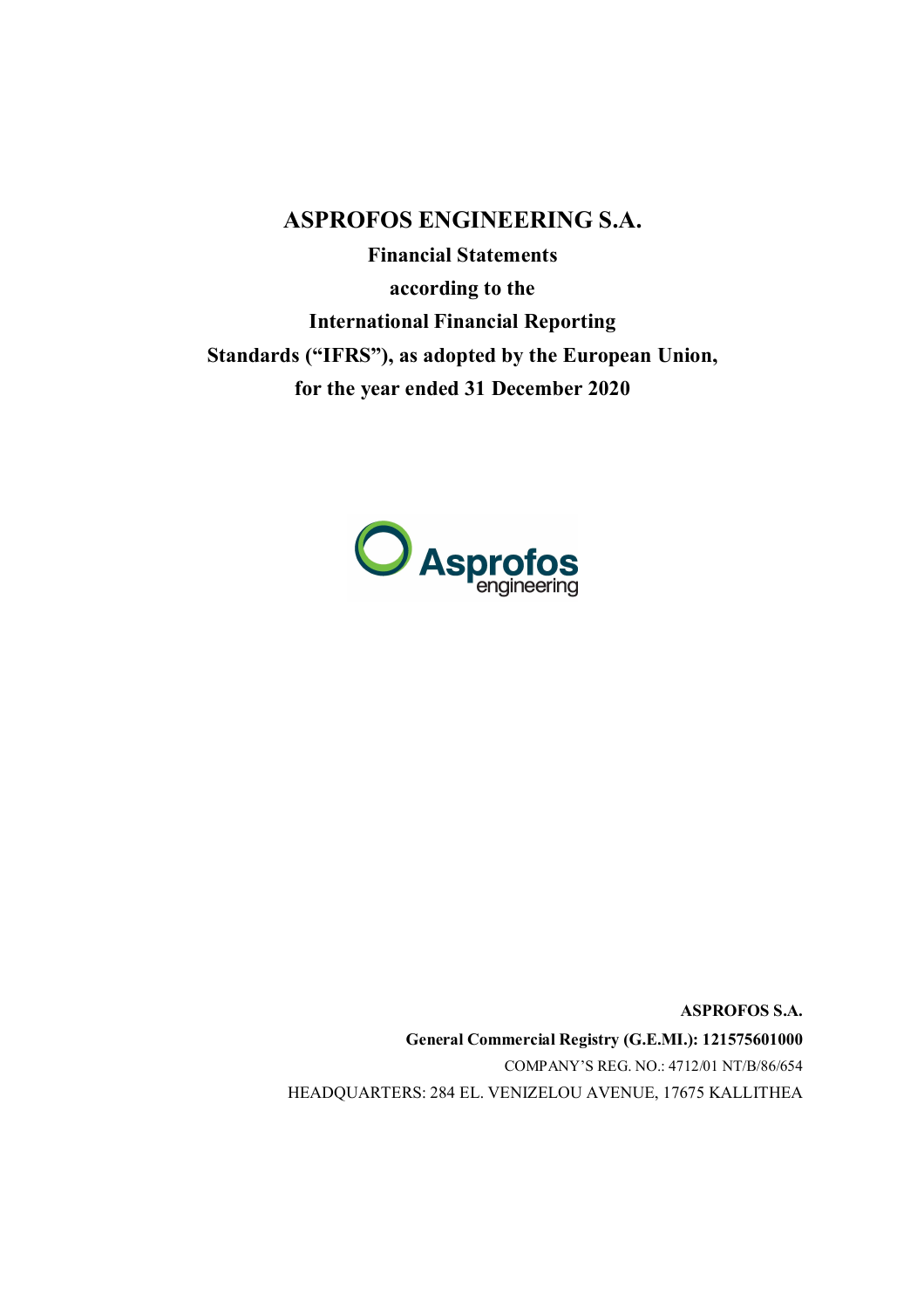**ASPROFOS ENGINEERING S.A. Financial Statements according to the International Financial Reporting**

**Standards ("IFRS"), as adopted by the European Union,**

**for the year ended 31 December 2020**



**ASPROFOS S.A. General Commercial Registry (G.E.MI.): 121575601000** COMPANY'S REG. NO.: 4712/01 ΝΤ/Β/86/654 HEADQUARTERS: 284 EL. VENIZELOU AVENUE, 17675 KALLITHEA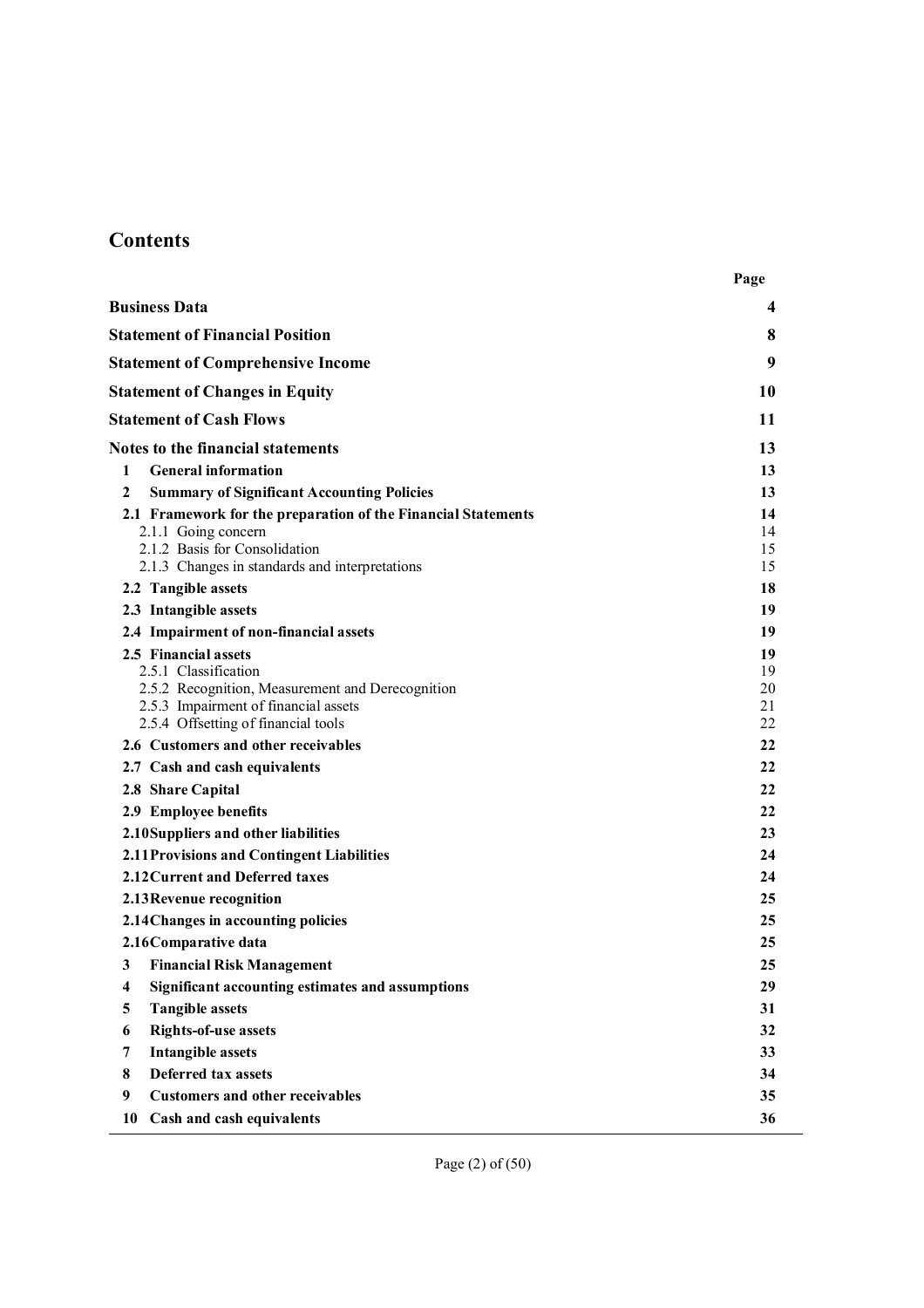# **Contents**

|                                                               | Page     |
|---------------------------------------------------------------|----------|
| <b>Business Data</b>                                          | 4        |
| <b>Statement of Financial Position</b>                        | 8        |
| <b>Statement of Comprehensive Income</b>                      | 9        |
| <b>Statement of Changes in Equity</b>                         | 10       |
| <b>Statement of Cash Flows</b>                                | 11       |
| <b>Notes to the financial statements</b>                      | 13       |
| <b>General information</b><br>1                               | 13       |
| 2<br><b>Summary of Significant Accounting Policies</b>        | 13       |
| 2.1 Framework for the preparation of the Financial Statements | 14       |
| 2.1.1 Going concern                                           | 14       |
| 2.1.2 Basis for Consolidation                                 | 15       |
| 2.1.3 Changes in standards and interpretations                | 15       |
| 2.2 Tangible assets                                           | 18       |
| 2.3 Intangible assets                                         | 19       |
| 2.4 Impairment of non-financial assets                        | 19       |
| 2.5 Financial assets<br>2.5.1 Classification                  | 19<br>19 |
| 2.5.2 Recognition, Measurement and Derecognition              | 20       |
| 2.5.3 Impairment of financial assets                          | 21       |
| 2.5.4 Offsetting of financial tools                           | 22       |
| 2.6 Customers and other receivables                           | 22       |
| 2.7 Cash and cash equivalents                                 | 22       |
| 2.8 Share Capital                                             | 22       |
| 2.9 Employee benefits                                         | 22       |
| 2.10 Suppliers and other liabilities                          | 23       |
| 2.11 Provisions and Contingent Liabilities                    | 24       |
| 2.12 Current and Deferred taxes                               | 24       |
| 2.13 Revenue recognition                                      | 25       |
| 2.14 Changes in accounting policies                           | 25       |
| 2.16 Comparative data                                         | 25       |
| 3 Financial Risk Management                                   | 25       |
| Significant accounting estimates and assumptions<br>4         | 29       |
| <b>Tangible assets</b><br>5                                   | 31       |
| <b>Rights-of-use assets</b><br>6                              | 32       |
| <b>Intangible assets</b><br>7                                 | 33       |
| Deferred tax assets<br>8                                      | 34       |
| 9<br><b>Customers and other receivables</b>                   | 35       |
| 10<br>Cash and cash equivalents                               | 36       |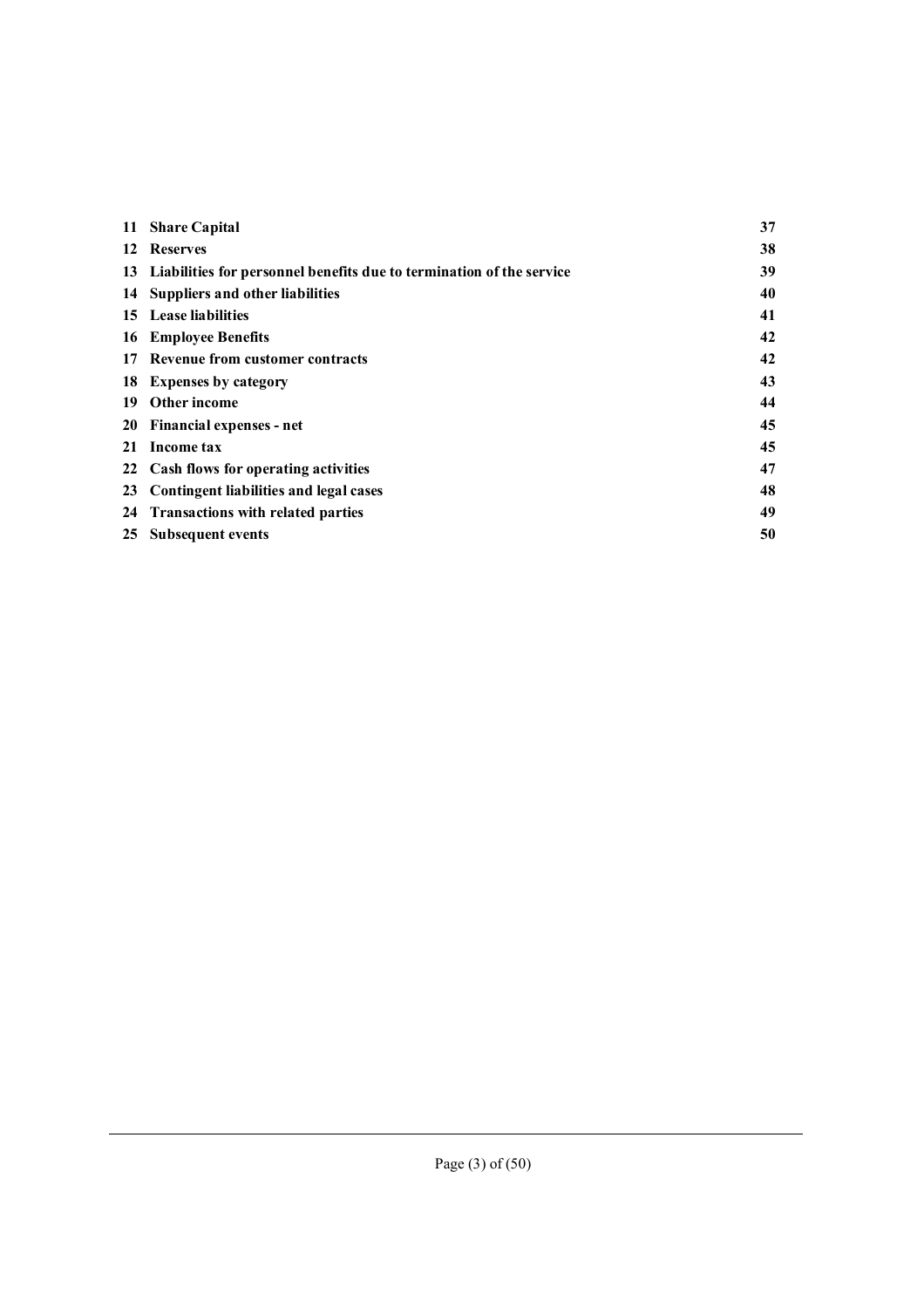|    | 11 Share Capital                                                        | 37 |
|----|-------------------------------------------------------------------------|----|
|    | 12 Reserves                                                             | 38 |
|    | 13 Liabilities for personnel benefits due to termination of the service | 39 |
|    | 14 Suppliers and other liabilities                                      | 40 |
|    | 15 Lease liabilities                                                    | 41 |
|    | <b>16</b> Employee Benefits                                             | 42 |
|    | 17 Revenue from customer contracts                                      | 42 |
|    | 18 Expenses by category                                                 | 43 |
| 19 | <b>Other income</b>                                                     | 44 |
|    | 20 Financial expenses - net                                             | 45 |
| 21 | Income tax                                                              | 45 |
|    | 22 Cash flows for operating activities                                  | 47 |
| 23 | Contingent liabilities and legal cases                                  | 48 |
|    | 24 Transactions with related parties                                    | 49 |
| 25 | Subsequent events                                                       | 50 |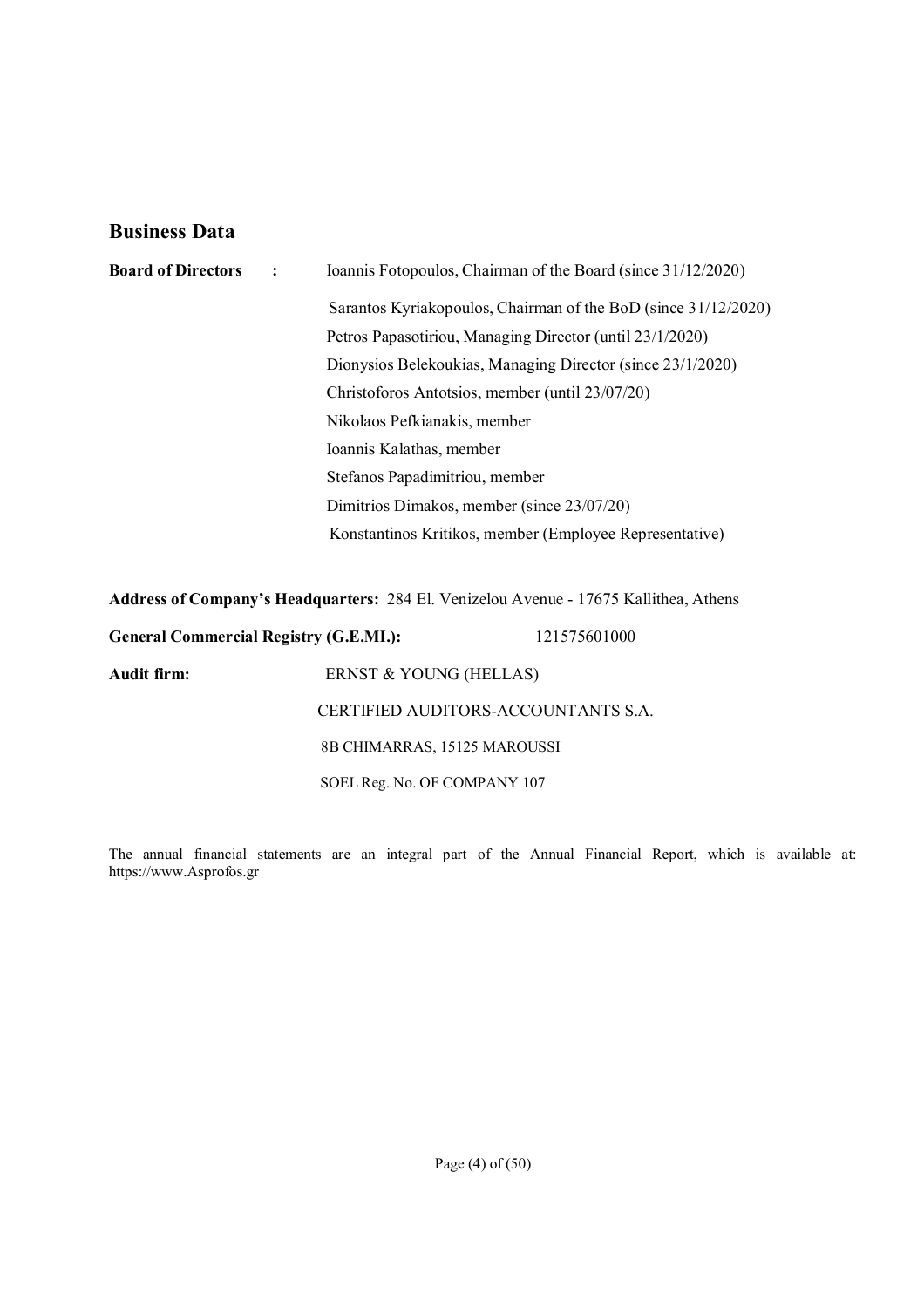## **Business Data**

| <b>Board of Directors</b> | Ioannis Fotopoulos, Chairman of the Board (since 31/12/2020)<br>$\ddot{\phantom{1}}$ |                                                                                       |  |
|---------------------------|--------------------------------------------------------------------------------------|---------------------------------------------------------------------------------------|--|
|                           |                                                                                      | Sarantos Kyriakopoulos, Chairman of the BoD (since 31/12/2020)                        |  |
|                           |                                                                                      | Petros Papasotiriou, Managing Director (until 23/1/2020)                              |  |
|                           |                                                                                      | Dionysios Belekoukias, Managing Director (since 23/1/2020)                            |  |
|                           |                                                                                      | Christoforos Antotsios, member (until 23/07/20)                                       |  |
|                           |                                                                                      | Nikolaos Pefkianakis, member                                                          |  |
|                           |                                                                                      | Ioannis Kalathas, member                                                              |  |
|                           |                                                                                      | Stefanos Papadimitriou, member                                                        |  |
|                           |                                                                                      | Dimitrios Dimakos, member (since 23/07/20)                                            |  |
|                           |                                                                                      | Konstantinos Kritikos, member (Employee Representative)                               |  |
|                           |                                                                                      |                                                                                       |  |
|                           |                                                                                      | Address of Company's Headquarters: 284 El. Venizelou Avenue - 17675 Kallithea, Athens |  |

**General Commercial Registry (G.E.MI.):** 121575601000

**Audit firm:** ERNST & YOUNG (HELLAS)

The annual financial statements are an integral part of the Annual Financial Report, which is available at: https://www.Asprofos.gr

CERTIFIED AUDITORS-ACCOUNTANTS S.A.

8Β CHIMARRAS, 15125 MAROUSSI

SOEL Reg. No. OF COMPANY 107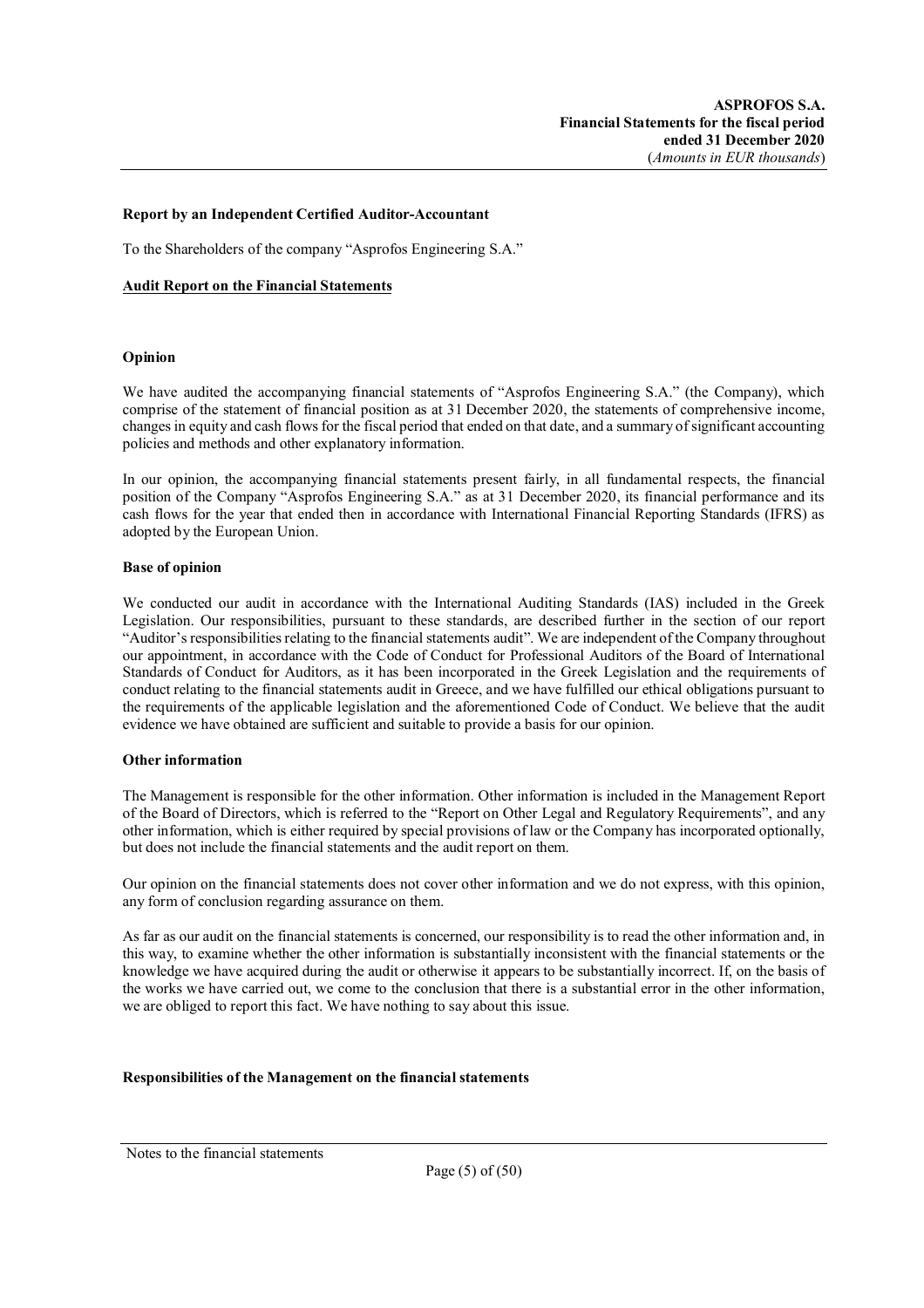#### **Report by an Independent Certified Auditor-Accountant**

To the Shareholders of the company "Asprofos Engineering S.A."

#### **Audit Report on the Financial Statements**

#### **Opinion**

We have audited the accompanying financial statements of "Asprofos Engineering S.A." (the Company), which comprise of the statement of financial position as at 31 December 2020, the statements of comprehensive income, changes in equity and cash flows for the fiscal period that ended on that date, and a summary of significant accounting policies and methods and other explanatory information.

In our opinion, the accompanying financial statements present fairly, in all fundamental respects, the financial position of the Company "Asprofos Engineering S.A." as at 31 December 2020, its financial performance and its cash flows for the year that ended then in accordance with International Financial Reporting Standards (IFRS) as adopted by the European Union.

#### **Base of opinion**

We conducted our audit in accordance with the International Auditing Standards (IAS) included in the Greek Legislation. Our responsibilities, pursuant to these standards, are described further in the section of our report "Auditor's responsibilities relating to the financial statements audit". We are independent of the Company throughout our appointment, in accordance with the Code of Conduct for Professional Auditors of the Board of International Standards of Conduct for Auditors, as it has been incorporated in the Greek Legislation and the requirements of conduct relating to the financial statements audit in Greece, and we have fulfilled our ethical obligations pursuant to the requirements of the applicable legislation and the aforementioned Code of Conduct. We believe that the audit evidence we have obtained are sufficient and suitable to provide a basis for our opinion.

#### **Other information**

The Management is responsible for the other information. Other information is included in the Management Report of the Board of Directors, which is referred to the "Report on Other Legal and Regulatory Requirements", and any other information, which is either required by special provisions of law or the Company has incorporated optionally, but does not include the financial statements and the audit report on them.

Our opinion on the financial statements does not cover other information and we do not express, with this opinion, any form of conclusion regarding assurance on them.

As far as our audit on the financial statements is concerned, our responsibility is to read the other information and, in this way, to examine whether the other information is substantially inconsistent with the financial statements or the knowledge we have acquired during the audit or otherwise it appears to be substantially incorrect. If, on the basis of the works we have carried out, we come to the conclusion that there is a substantial error in the other information, we are obliged to report this fact. We have nothing to say about this issue.

#### **Responsibilities of the Management on the financial statements**

Notes to the financial statements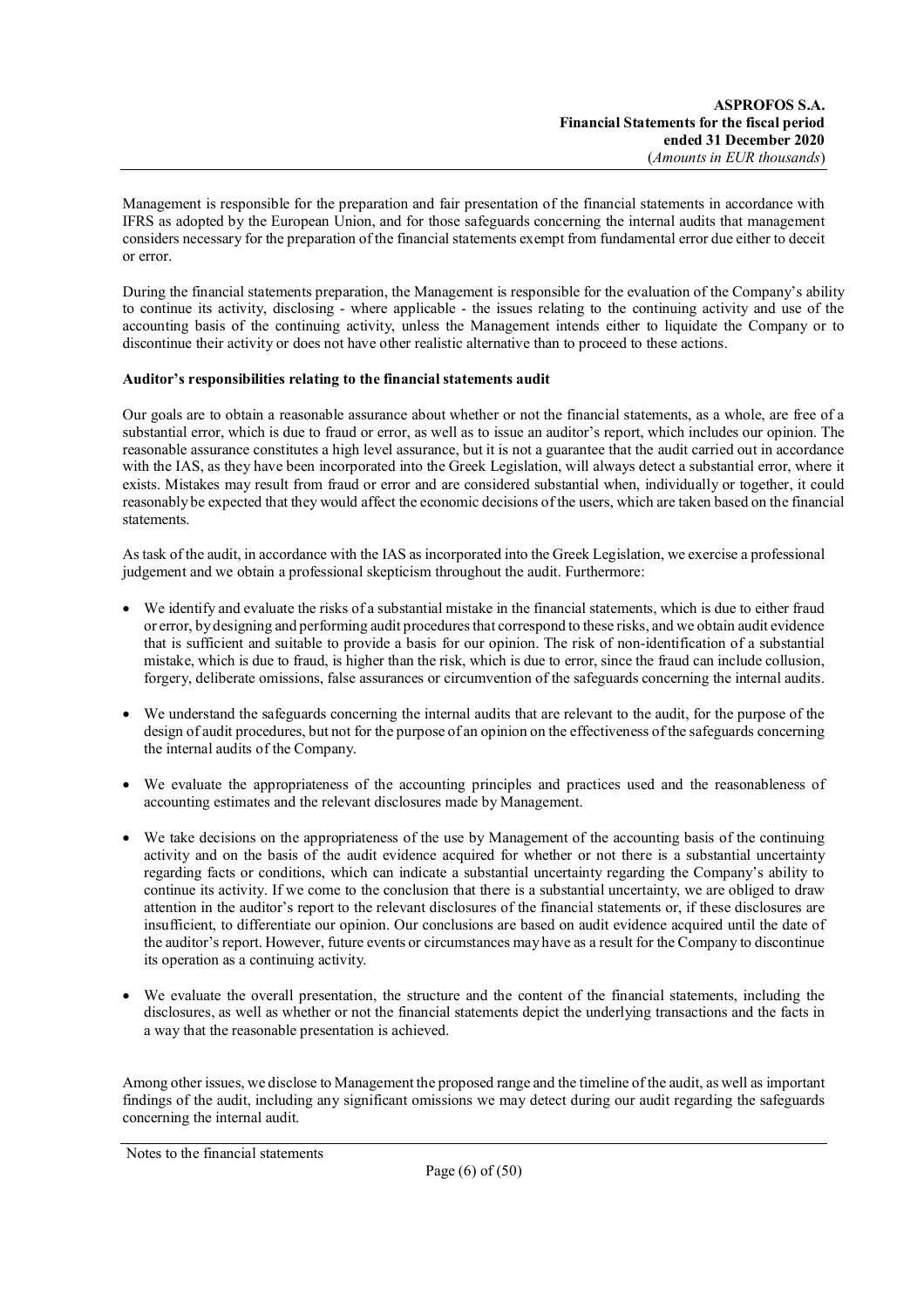Management is responsible for the preparation and fair presentation of the financial statements in accordance with IFRS as adopted by the European Union, and for those safeguards concerning the internal audits that management considers necessary for the preparation of the financial statements exempt from fundamental error due either to deceit or error.

During the financial statements preparation, the Management is responsible for the evaluation of the Company's ability to continue its activity, disclosing - where applicable - the issues relating to the continuing activity and use of the accounting basis of the continuing activity, unless the Management intends either to liquidate the Company or to discontinue their activity or does not have other realistic alternative than to proceed to these actions.

### **Auditor's responsibilities relating to the financial statements audit**

Our goals are to obtain a reasonable assurance about whether or not the financial statements, as a whole, are free of a substantial error, which is due to fraud or error, as well as to issue an auditor's report, which includes our opinion. The reasonable assurance constitutes a high level assurance, but it is not a guarantee that the audit carried out in accordance with the IAS, as they have been incorporated into the Greek Legislation, will always detect a substantial error, where it exists. Mistakes may result from fraud or error and are considered substantial when, individually or together, it could reasonably be expected that they would affect the economic decisions of the users, which are taken based on the financial statements.

As task of the audit, in accordance with the IAS as incorporated into the Greek Legislation, we exercise a professional judgement and we obtain a professional skepticism throughout the audit. Furthermore:

- We identify and evaluate the risks of a substantial mistake in the financial statements, which is due to either fraud or error, by designing and performing audit procedures that correspond to these risks, and we obtain audit evidence that is sufficient and suitable to provide a basis for our opinion. The risk of non-identification of a substantial mistake, which is due to fraud, is higher than the risk, which is due to error, since the fraud can include collusion, forgery, deliberate omissions, false assurances or circumvention of the safeguards concerning the internal audits.
- We understand the safeguards concerning the internal audits that are relevant to the audit, for the purpose of the design of audit procedures, but not for the purpose of an opinion on the effectiveness of the safeguards concerning the internal audits of the Company.
- We evaluate the appropriateness of the accounting principles and practices used and the reasonableness of accounting estimates and the relevant disclosures made by Management.
- We take decisions on the appropriateness of the use by Management of the accounting basis of the continuing activity and on the basis of the audit evidence acquired for whether or not there is a substantial uncertainty regarding facts or conditions, which can indicate a substantial uncertainty regarding the Company's ability to continue its activity. If we come to the conclusion that there is a substantial uncertainty, we are obliged to draw attention in the auditor's report to the relevant disclosures of the financial statements or, if these disclosures are insufficient, to differentiate our opinion. Our conclusions are based on audit evidence acquired until the date of the auditor's report. However, future events or circumstances may have as a result for the Company to discontinue its operation as a continuing activity.
- We evaluate the overall presentation, the structure and the content of the financial statements, including the disclosures, as well as whether or not the financial statements depict the underlying transactions and the facts in a way that the reasonable presentation is achieved.

Among other issues, we disclose to Management the proposed range and the timeline of the audit, as well as important findings of the audit, including any significant omissions we may detect during our audit regarding the safeguards concerning the internal audit.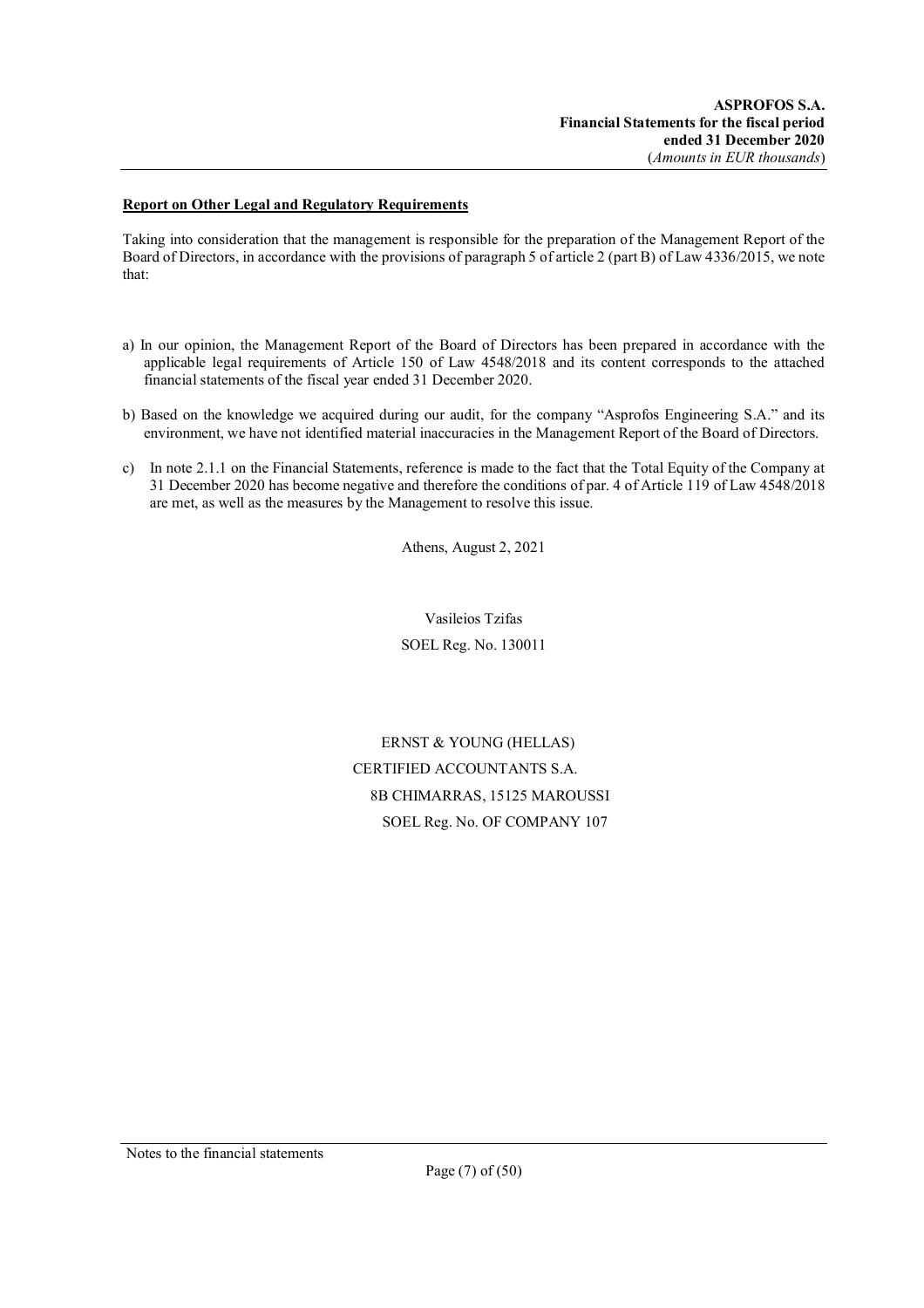### **Report on Other Legal and Regulatory Requirements**

Taking into consideration that the management is responsible for the preparation of the Management Report of the Board of Directors, in accordance with the provisions of paragraph 5 of article 2 (part B) of Law 4336/2015, we note that:

- a) In our opinion, the Management Report of the Board of Directors has been prepared in accordance with the applicable legal requirements of Article 150 of Law 4548/2018 and its content corresponds to the attached financial statements of the fiscal year ended 31 December 2020.
- b) Based on the knowledge we acquired during our audit, for the company "Asprofos Engineering S.A." and its environment, we have not identified material inaccuracies in the Management Report of the Board of Directors.
- c) In note 2.1.1 on the Financial Statements, reference is made to the fact that the Total Equity of the Company at 31 December 2020 has become negative and therefore the conditions of par. 4 of Article 119 of Law 4548/2018 are met, as well as the measures by the Management to resolve this issue.

Athens, August 2, 2021

Vasileios Tzifas SOEL Reg. No. 130011

ERNST & YOUNG (HELLAS) CERTIFIED ACCOUNTANTS S.A. 8Β CHIMARRAS, 15125 MAROUSSI SOEL Reg. No. OF COMPANY 107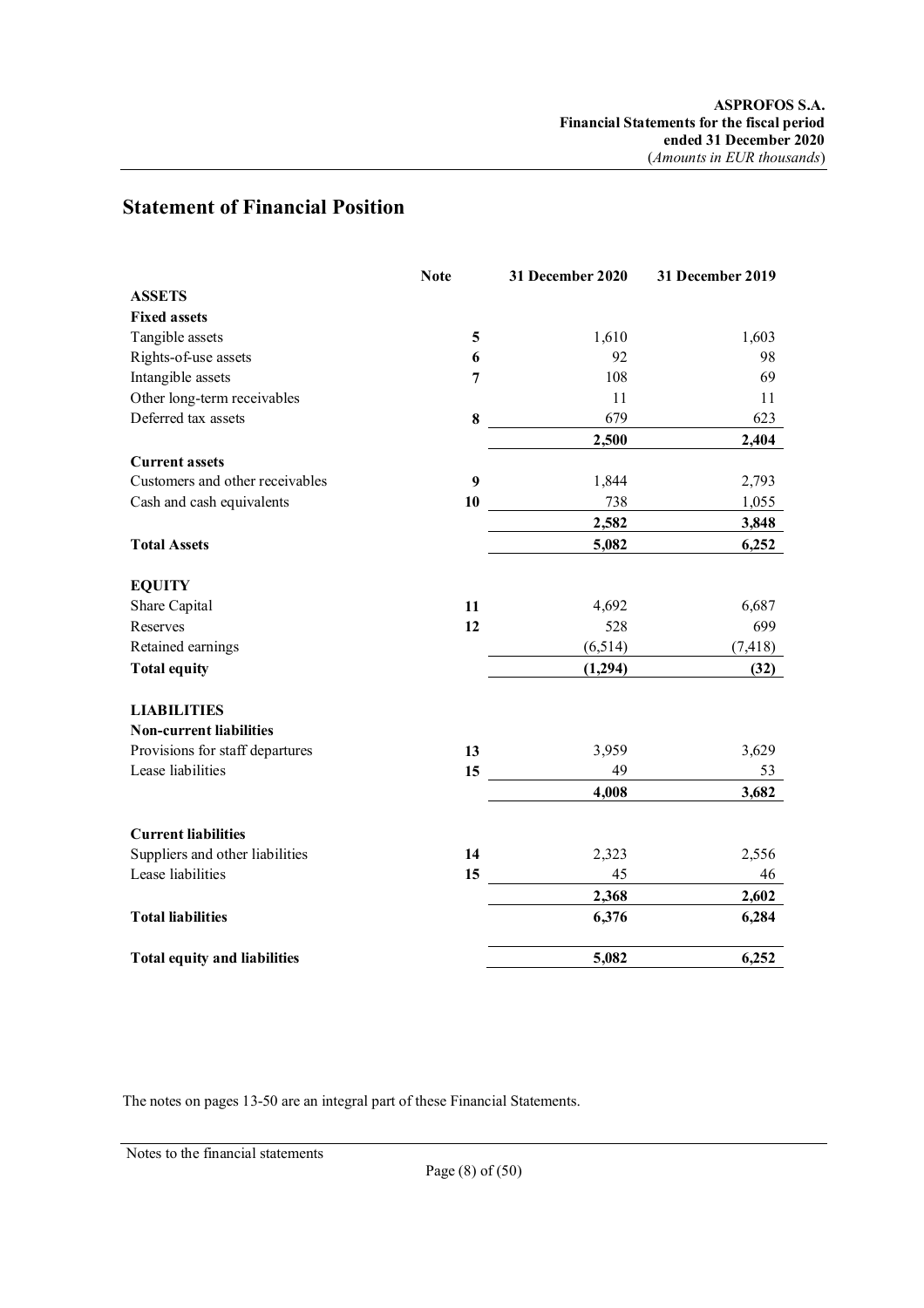# **Statement of Financial Position**

|                                     | <b>Note</b>    | 31 December 2020 | 31 December 2019 |
|-------------------------------------|----------------|------------------|------------------|
| <b>ASSETS</b>                       |                |                  |                  |
| <b>Fixed assets</b>                 |                |                  |                  |
| Tangible assets                     | 5              | 1,610            | 1,603            |
| Rights-of-use assets                | 6              | 92               | 98               |
| Intangible assets                   | $\overline{7}$ | 108              | 69               |
| Other long-term receivables         |                | 11               | 11               |
| Deferred tax assets                 | 8              | 679              | 623              |
|                                     |                | 2,500            | 2,404            |
| <b>Current assets</b>               |                |                  |                  |
| Customers and other receivables     | 9              | 1,844            | 2,793            |
| Cash and cash equivalents           | 10             | 738              | 1,055            |
|                                     |                | 2,582            | 3,848            |
| <b>Total Assets</b>                 |                | 5,082            | 6,252            |
|                                     |                |                  |                  |
| <b>EQUITY</b>                       |                |                  |                  |
| Share Capital                       | 11             | 4,692            | 6,687            |
| Reserves                            | 12             | 528              | 699              |
| Retained earnings                   |                | (6,514)          | (7, 418)         |
| <b>Total equity</b>                 |                | (1,294)          | (32)             |
| <b>LIABILITIES</b>                  |                |                  |                  |
| <b>Non-current liabilities</b>      |                |                  |                  |
| Provisions for staff departures     | 13             | 3,959            | 3,629            |
| Lease liabilities                   | 15             | 49               | 53               |
|                                     |                | 4,008            | 3,682            |
| <b>Current liabilities</b>          |                |                  |                  |
| Suppliers and other liabilities     | 14             | 2,323            | 2,556            |
| Lease liabilities                   | 15             | 45               | 46               |
|                                     |                | 2,368            | 2,602            |
| <b>Total liabilities</b>            |                | 6,376            | 6,284            |
| <b>Total equity and liabilities</b> |                | 5,082            | 6,252            |

The notes on pages 13-50 are an integral part of these Financial Statements.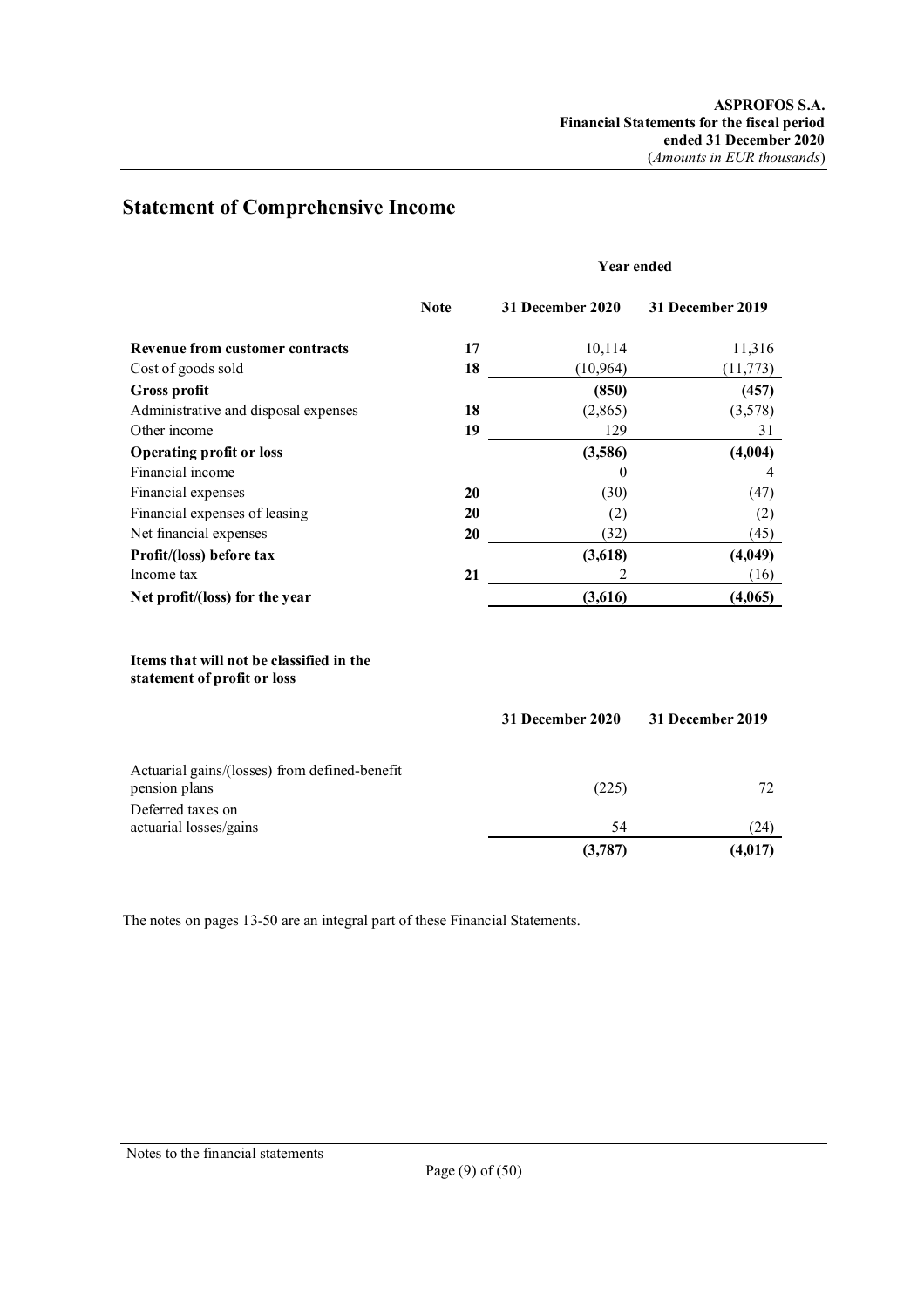# **Statement of Comprehensive Income**

### **Year ended**

|                                        | <b>Note</b> | 31 December 2020 | 31 December 2019 |
|----------------------------------------|-------------|------------------|------------------|
| <b>Revenue from customer contracts</b> | 17          | 10,114           | 11,316           |
| Cost of goods sold                     | 18          | (10, 964)        | (11,773)         |
| <b>Gross profit</b>                    |             | (850)            | (457)            |
| Administrative and disposal expenses   | 18          | (2,865)          | (3,578)          |
| Other income                           | 19          | 129              | 31               |
| <b>Operating profit or loss</b>        |             | (3,586)          | (4,004)          |
| Financial income                       |             | 0                | 4                |
| Financial expenses                     | 20          | (30)             | (47)             |
| Financial expenses of leasing          | 20          | (2)              | (2)              |
| Net financial expenses                 | 20          | (32)             | (45)             |
| Profit/(loss) before tax               |             | (3,618)          | (4,049)          |
| Income tax                             | 21          |                  | (16)             |
| Net profit/(loss) for the year         |             | (3,616)          | (4,065)          |
|                                        |             |                  |                  |

### **Items that will not be classified in the statement of profit or loss**

|                                                                | 31 December 2020 | 31 December 2019 |  |
|----------------------------------------------------------------|------------------|------------------|--|
| Actuarial gains/(losses) from defined-benefit<br>pension plans | (225)            | 72               |  |
| Deferred taxes on<br>actuarial losses/gains                    | 54               | (24)             |  |
|                                                                | (3,787)          | (4,017)          |  |

The notes on pages 13-50 are an integral part of these Financial Statements.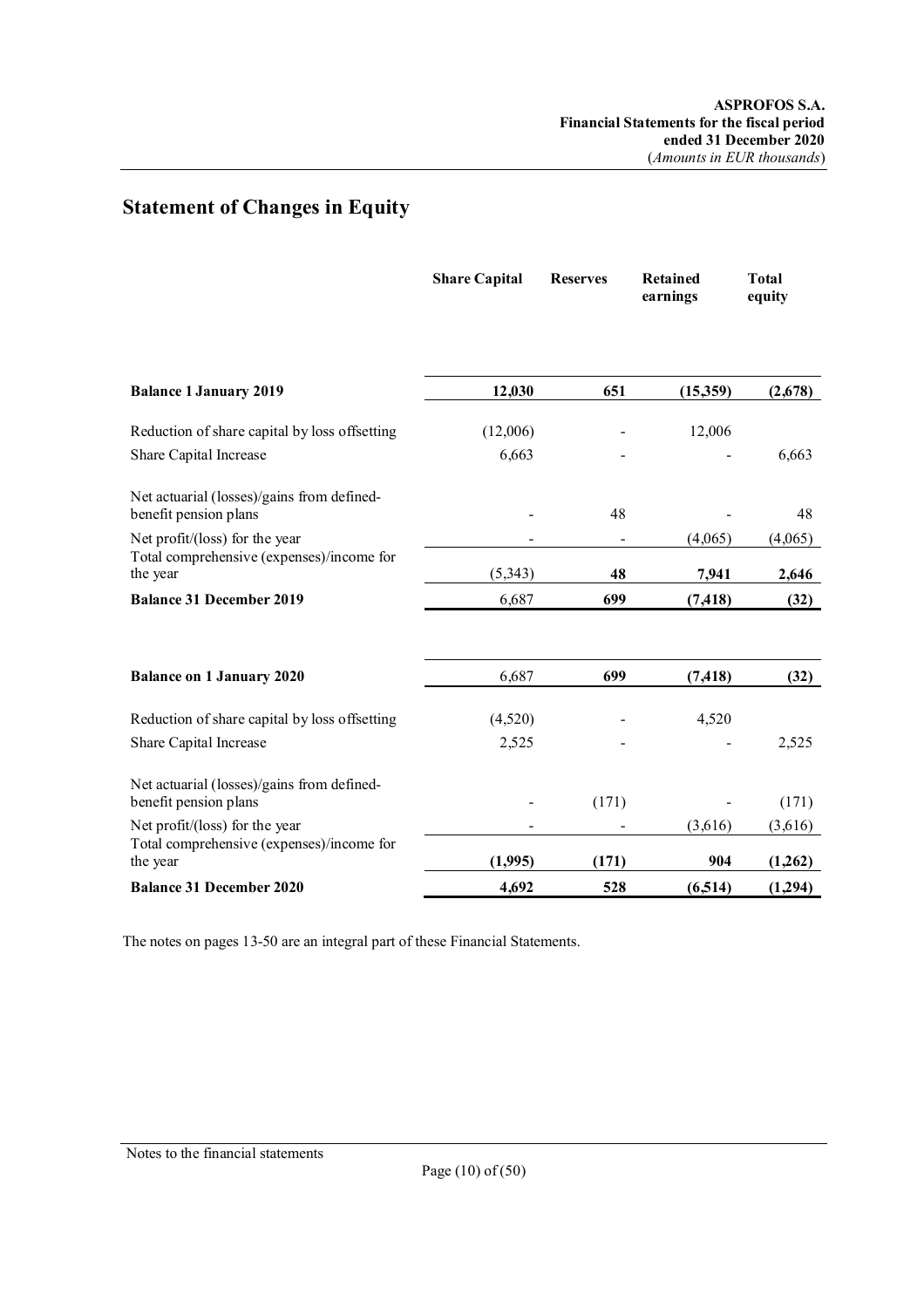# **Statement of Changes in Equity**

|                                                                     | <b>Share Capital</b> | <b>Reserves</b> | <b>Retained</b><br>earnings | <b>Total</b><br>equity |
|---------------------------------------------------------------------|----------------------|-----------------|-----------------------------|------------------------|
| <b>Balance 1 January 2019</b>                                       | 12,030               | 651             | (15,359)                    | (2,678)                |
| Reduction of share capital by loss offsetting                       | (12,006)             |                 | 12,006                      |                        |
| Share Capital Increase                                              | 6,663                |                 |                             | 6,663                  |
| Net actuarial (losses)/gains from defined-<br>benefit pension plans |                      | 48              |                             | 48                     |
| Net profit/(loss) for the year                                      |                      |                 | (4,065)                     | (4,065)                |
| Total comprehensive (expenses)/income for<br>the year               | (5,343)              | 48              | 7,941                       | 2,646                  |
| <b>Balance 31 December 2019</b>                                     | 6,687                | 699             | (7, 418)                    | (32)                   |
| <b>Balance on 1 January 2020</b>                                    | 6,687                | 699             | (7, 418)                    | (32)                   |
| Reduction of share capital by loss offsetting                       | (4,520)              |                 | 4,520                       |                        |
| Share Capital Increase                                              | 2,525                |                 |                             | 2,525                  |
| Net actuarial (losses)/gains from defined-<br>benefit pension plans |                      | (171)           |                             | (171)                  |
| Net profit/(loss) for the year                                      |                      |                 | (3,616)                     | (3,616)                |
| Total comprehensive (expenses)/income for<br>the year               | (1,995)              | (171)           | 904                         | (1,262)                |
| <b>Balance 31 December 2020</b>                                     | 4,692                | 528             | (6,514)                     | (1, 294)               |

The notes on pages 13-50 are an integral part of these Financial Statements.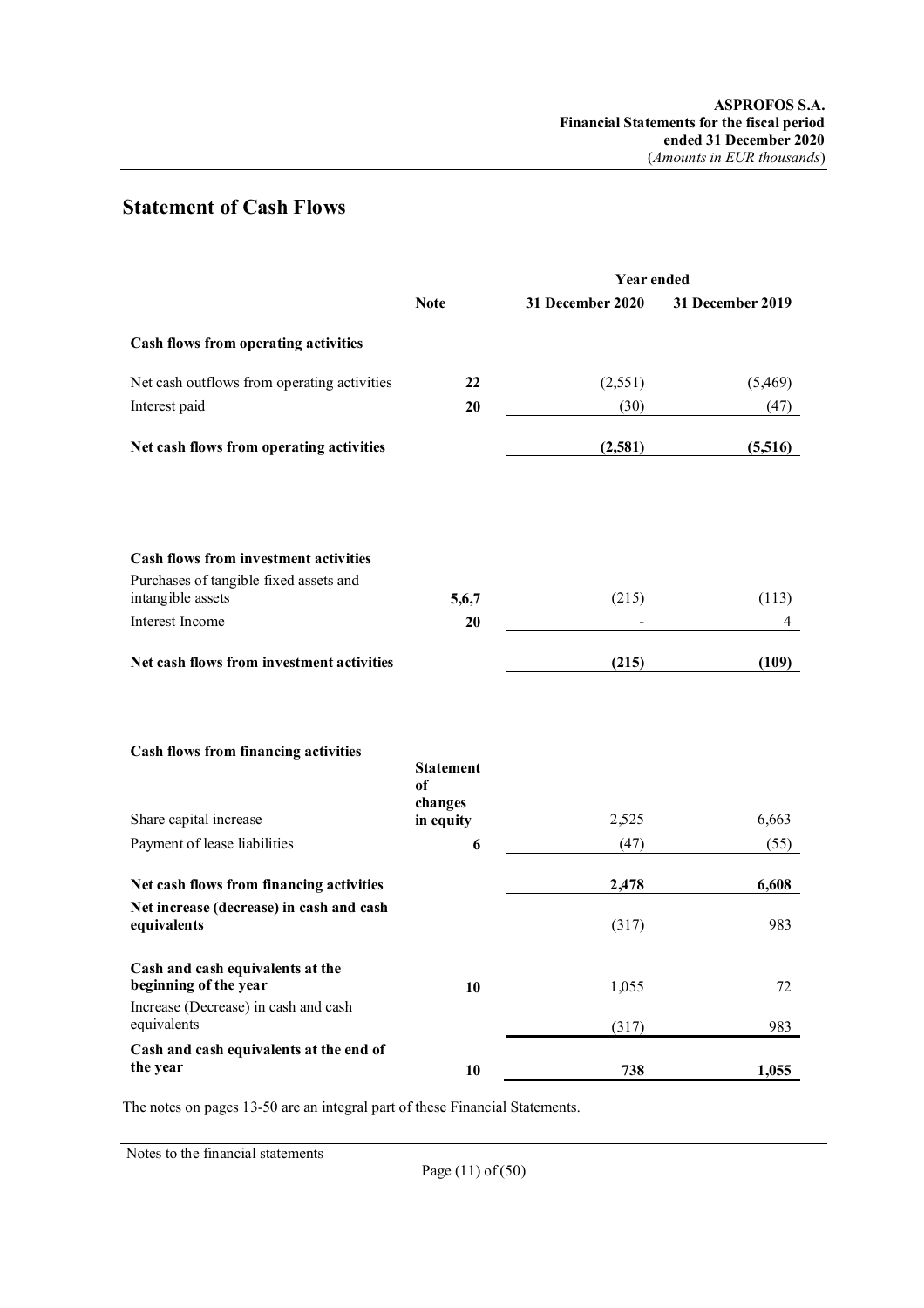# **Statement of Cash Flows**

|                                                                                                                  |                        | <b>Year ended</b> |                  |
|------------------------------------------------------------------------------------------------------------------|------------------------|-------------------|------------------|
|                                                                                                                  | <b>Note</b>            | 31 December 2020  | 31 December 2019 |
| Cash flows from operating activities                                                                             |                        |                   |                  |
| Net cash outflows from operating activities                                                                      | 22                     | (2,551)           | (5,469)          |
| Interest paid                                                                                                    | 20                     | (30)              | (47)             |
| Net cash flows from operating activities                                                                         |                        | (2,581)           | (5,516)          |
|                                                                                                                  |                        |                   |                  |
| <b>Cash flows from investment activities</b><br>Purchases of tangible fixed assets and                           |                        |                   |                  |
| intangible assets                                                                                                | 5,6,7                  | (215)             | (113)            |
| Interest Income                                                                                                  | 20                     |                   | 4                |
| Net cash flows from investment activities                                                                        |                        | (215)             | (109)            |
| Cash flows from financing activities                                                                             | <b>Statement</b><br>of |                   |                  |
| Share capital increase                                                                                           | changes<br>in equity   | 2,525             | 6,663            |
| Payment of lease liabilities                                                                                     | 6                      | (47)              | (55)             |
| Net cash flows from financing activities                                                                         |                        | 2,478             | 6,608            |
| Net increase (decrease) in cash and cash<br>equivalents                                                          |                        | (317)             | 983              |
| Cash and cash equivalents at the<br>beginning of the year<br>Increase (Decrease) in cash and cash<br>equivalents | 10                     | 1,055             | 72<br>983        |
| Cash and cash equivalents at the end of                                                                          |                        | (317)             |                  |
| the year                                                                                                         | 10                     | 738               | 1,055            |

The notes on pages 13-50 are an integral part of these Financial Statements.

Notes to the financial statements

Page (11) of (50)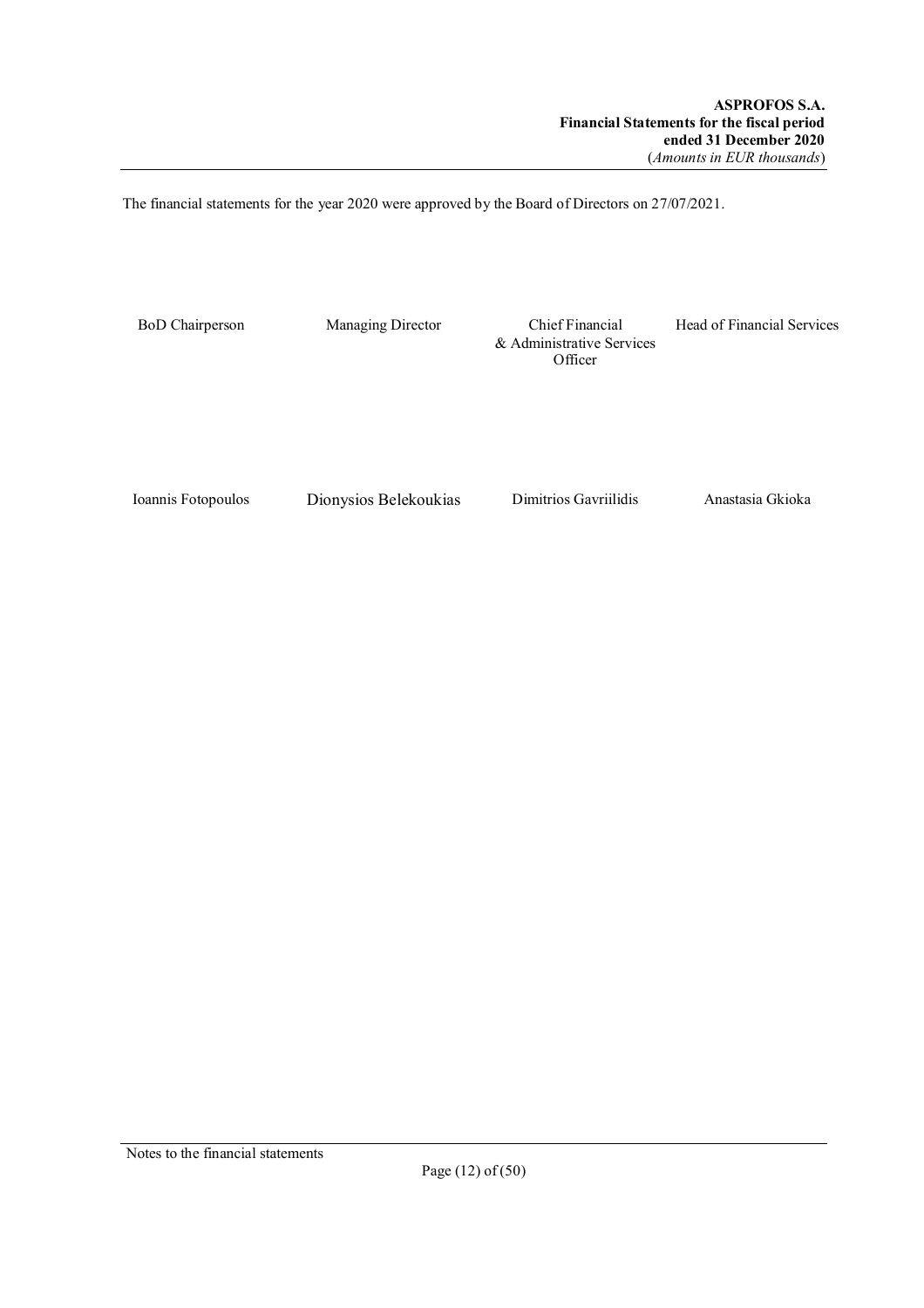The financial statements for the year 2020 were approved by the Board of Directors on 27/07/2021.

BoD Chairperson Managing Director Chief Financial & Administrative Services **Officer** 

Head of Financial Services

Ioannis Fotopoulos Dionysios Belekoukias Dimitrios Gavriilidis Anastasia Gkioka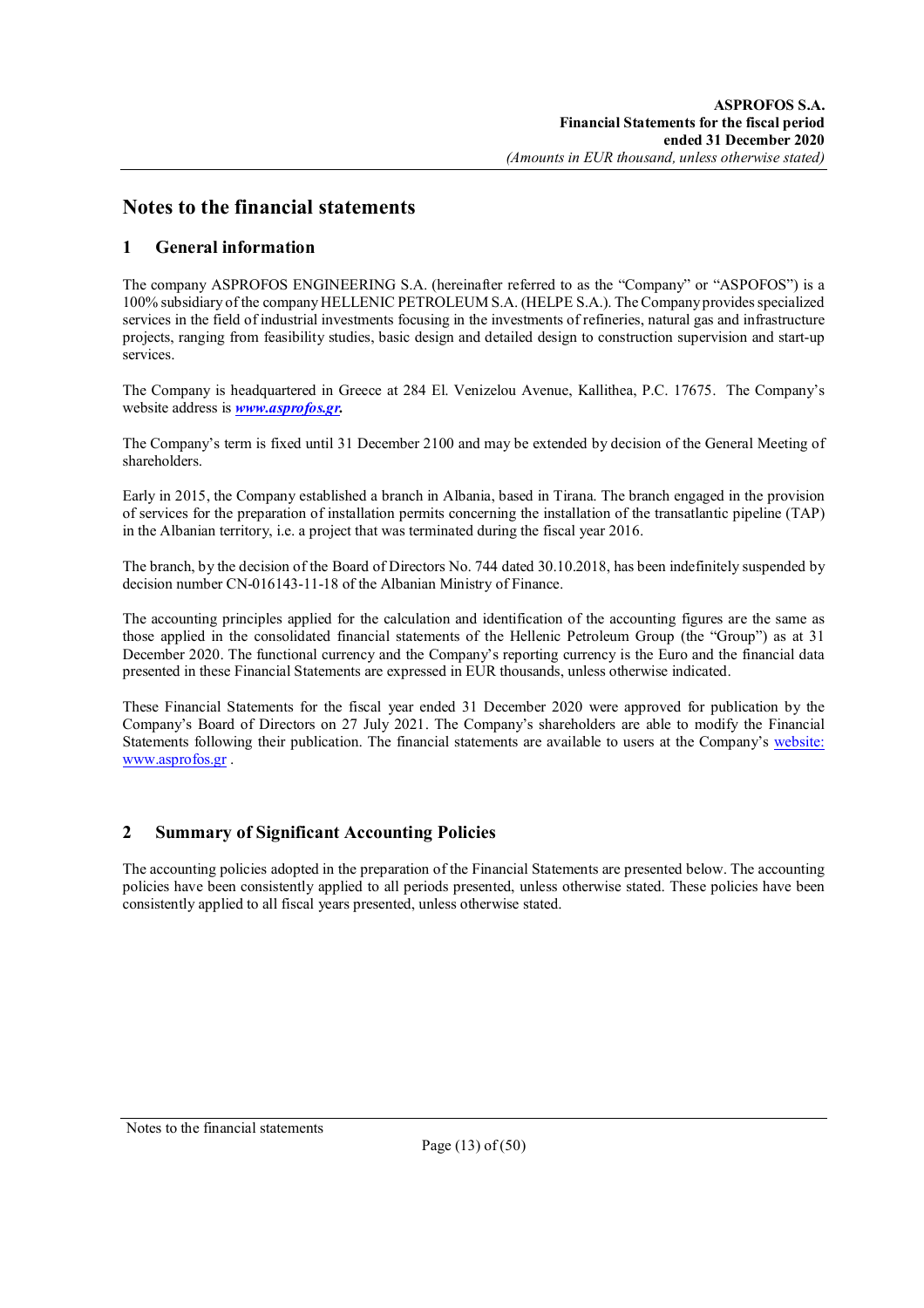## **Notes to the financial statements**

## **1 General information**

The company ASPROFOS ENGINEERING S.A. (hereinafter referred to as the "Company" or "ASPOFOS") is a 100% subsidiary of the company HELLENIC PETROLEUM S.A. (HELPE S.A.). The Company provides specialized services in the field of industrial investments focusing in the investments of refineries, natural gas and infrastructure projects, ranging from feasibility studies, basic design and detailed design to construction supervision and start-up services.

The Company is headquartered in Greece at 284 El. Venizelou Avenue, Kallithea, P.C. 17675. The Company's website address is *www.asprofos.gr.*

The Company's term is fixed until 31 December 2100 and may be extended by decision of the General Meeting of shareholders.

Early in 2015, the Company established a branch in Albania, based in Tirana. The branch engaged in the provision of services for the preparation of installation permits concerning the installation of the transatlantic pipeline (TAP) in the Albanian territory, i.e. a project that was terminated during the fiscal year 2016.

The branch, by the decision of the Board of Directors No. 744 dated 30.10.2018, has been indefinitely suspended by decision number CN-016143-11-18 of the Albanian Ministry of Finance.

The accounting principles applied for the calculation and identification of the accounting figures are the same as those applied in the consolidated financial statements of the Hellenic Petroleum Group (the "Group") as at 31 December 2020. The functional currency and the Company's reporting currency is the Euro and the financial data presented in these Financial Statements are expressed in EUR thousands, unless otherwise indicated.

These Financial Statements for the fiscal year ended 31 December 2020 were approved for publication by the Company's Board of Directors on 27 July 2021. The Company's shareholders are able to modify the Financial Statements following their publication. The financial statements are available to users at the Company's website: www.asprofos.gr .

## **2 Summary of Significant Accounting Policies**

The accounting policies adopted in the preparation of the Financial Statements are presented below. The accounting policies have been consistently applied to all periods presented, unless otherwise stated. These policies have been consistently applied to all fiscal years presented, unless otherwise stated.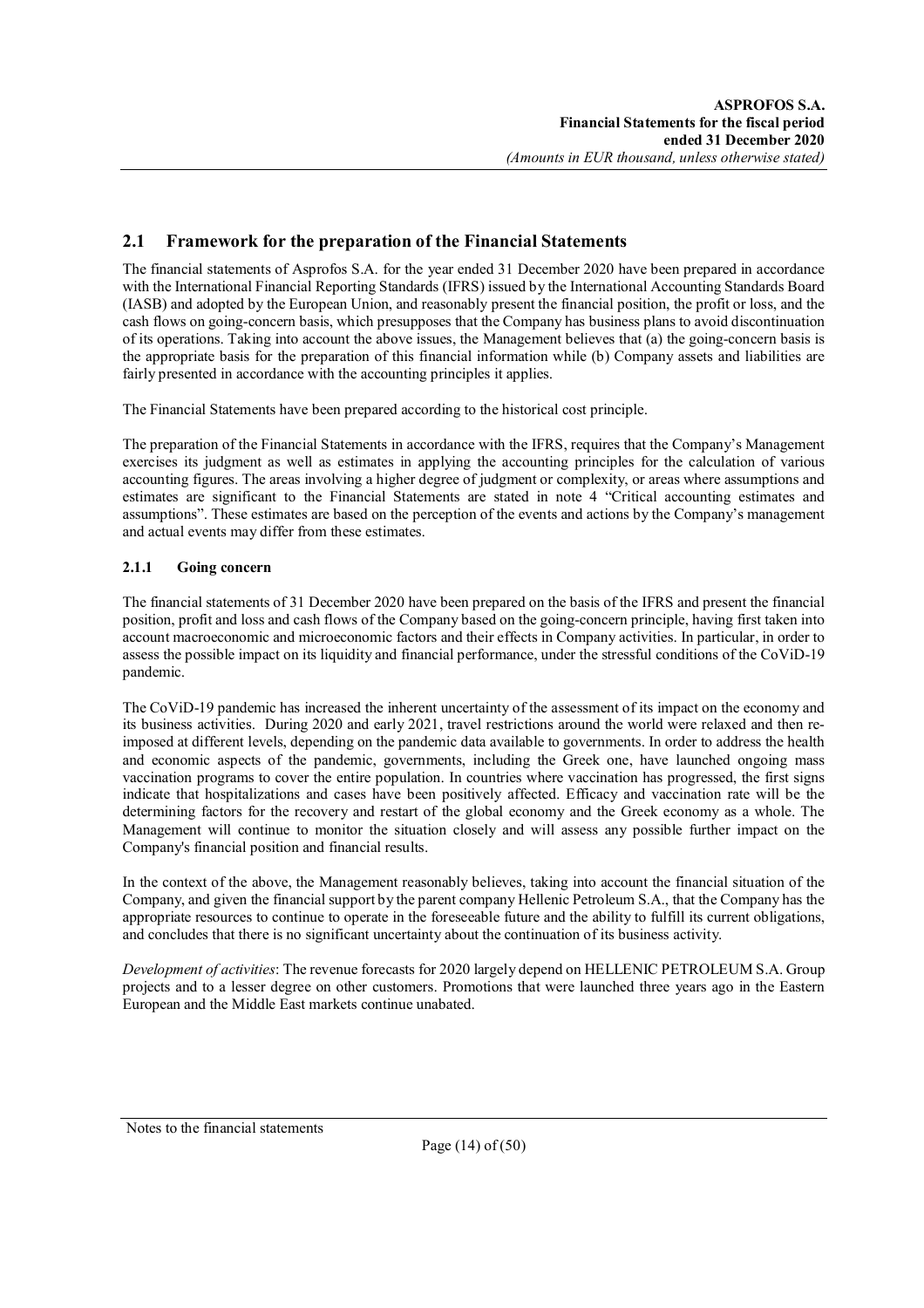## **2.1 Framework for the preparation of the Financial Statements**

The financial statements of Asprofos S.A. for the year ended 31 December 2020 have been prepared in accordance with the International Financial Reporting Standards (IFRS) issued by the International Accounting Standards Board (IASB) and adopted by the European Union, and reasonably present the financial position, the profit or loss, and the cash flows on going-concern basis, which presupposes that the Company has business plans to avoid discontinuation of its operations. Taking into account the above issues, the Management believes that (a) the going-concern basis is the appropriate basis for the preparation of this financial information while (b) Company assets and liabilities are fairly presented in accordance with the accounting principles it applies.

The Financial Statements have been prepared according to the historical cost principle.

The preparation of the Financial Statements in accordance with the IFRS, requires that the Company's Management exercises its judgment as well as estimates in applying the accounting principles for the calculation of various accounting figures. The areas involving a higher degree of judgment or complexity, or areas where assumptions and estimates are significant to the Financial Statements are stated in note 4 "Critical accounting estimates and assumptions". These estimates are based on the perception of the events and actions by the Company's management and actual events may differ from these estimates.

## **2.1.1 Going concern**

The financial statements of 31 December 2020 have been prepared on the basis of the IFRS and present the financial position, profit and loss and cash flows of the Company based on the going-concern principle, having first taken into account macroeconomic and microeconomic factors and their effects in Company activities. In particular, in order to assess the possible impact on its liquidity and financial performance, under the stressful conditions of the CoViD-19 pandemic.

The CoViD-19 pandemic has increased the inherent uncertainty of the assessment of its impact on the economy and its business activities. During 2020 and early 2021, travel restrictions around the world were relaxed and then reimposed at different levels, depending on the pandemic data available to governments. In order to address the health and economic aspects of the pandemic, governments, including the Greek one, have launched ongoing mass vaccination programs to cover the entire population. In countries where vaccination has progressed, the first signs indicate that hospitalizations and cases have been positively affected. Efficacy and vaccination rate will be the determining factors for the recovery and restart of the global economy and the Greek economy as a whole. The Management will continue to monitor the situation closely and will assess any possible further impact on the Company's financial position and financial results.

In the context of the above, the Management reasonably believes, taking into account the financial situation of the Company, and given the financial support by the parent company Hellenic Petroleum S.A., that the Company has the appropriate resources to continue to operate in the foreseeable future and the ability to fulfill its current obligations, and concludes that there is no significant uncertainty about the continuation of its business activity.

*Development of activities*: The revenue forecasts for 2020 largely depend on HELLENIC PETROLEUM S.A. Group projects and to a lesser degree on other customers. Promotions that were launched three years ago in the Eastern European and the Middle East markets continue unabated.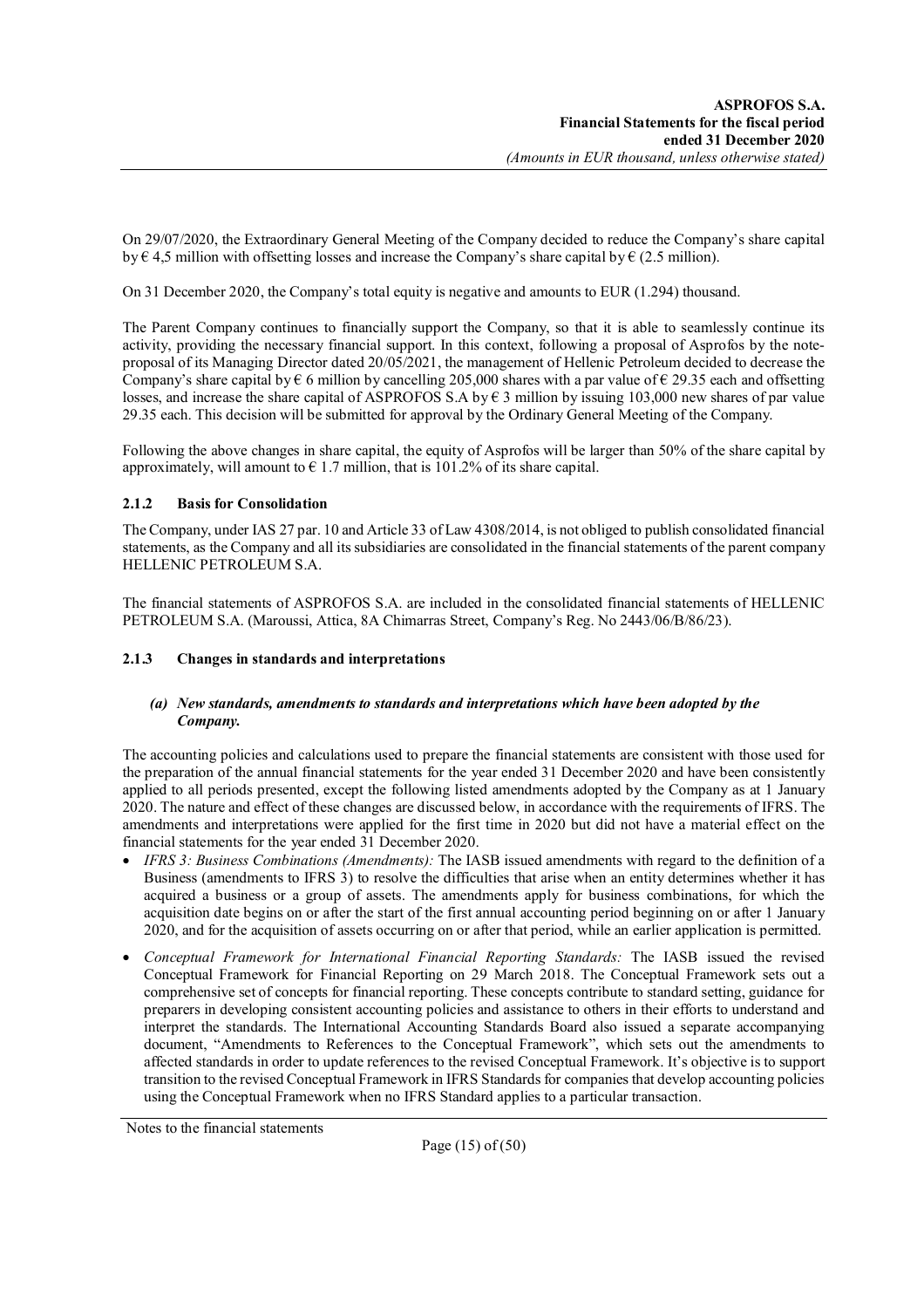On 29/07/2020, the Extraordinary General Meeting of the Company decided to reduce the Company's share capital by  $\epsilon$  4,5 million with offsetting losses and increase the Company's share capital by  $\epsilon$  (2.5 million).

On 31 December 2020, the Company's total equity is negative and amounts to EUR (1.294) thousand.

The Parent Company continues to financially support the Company, so that it is able to seamlessly continue its activity, providing the necessary financial support. In this context, following a proposal of Asprofos by the noteproposal of its Managing Director dated 20/05/2021, the management of Hellenic Petroleum decided to decrease the Company's share capital by  $\epsilon$  6 million by cancelling 205,000 shares with a par value of  $\epsilon$  29.35 each and offsetting losses, and increase the share capital of ASPROFOS S.A by  $\epsilon$  3 million by issuing 103,000 new shares of par value 29.35 each. This decision will be submitted for approval by the Ordinary General Meeting of the Company.

Following the above changes in share capital, the equity of Asprofos will be larger than 50% of the share capital by approximately, will amount to  $\epsilon$  1.7 million, that is 101.2% of its share capital.

### **2.1.2 Basis for Consolidation**

The Company, under IAS 27 par. 10 and Article 33 of Law 4308/2014, is not obliged to publish consolidated financial statements, as the Company and all its subsidiaries are consolidated in the financial statements of the parent company HELLENIC PETROLEUM S.A.

The financial statements of ASPROFOS S.A. are included in the consolidated financial statements of HELLENIC PETROLEUM S.A. (Maroussi, Attica, 8A Chimarras Street, Company's Reg. No 2443/06/Β/86/23).

### **2.1.3 Changes in standards and interpretations**

### *(a) New standards, amendments to standards and interpretations which have been adopted by the Company.*

The accounting policies and calculations used to prepare the financial statements are consistent with those used for the preparation of the annual financial statements for the year ended 31 December 2020 and have been consistently applied to all periods presented, except the following listed amendments adopted by the Company as at 1 January 2020. The nature and effect of these changes are discussed below, in accordance with the requirements of IFRS. The amendments and interpretations were applied for the first time in 2020 but did not have a material effect on the financial statements for the year ended 31 December 2020.

- *IFRS 3: Business Combinations (Amendments):* The IASB issued amendments with regard to the definition of a Business (amendments to IFRS 3) to resolve the difficulties that arise when an entity determines whether it has acquired a business or a group of assets. The amendments apply for business combinations, for which the acquisition date begins on or after the start of the first annual accounting period beginning on or after 1 January 2020, and for the acquisition of assets occurring on or after that period, while an earlier application is permitted.
- *Conceptual Framework for International Financial Reporting Standards:* The IASB issued the revised Conceptual Framework for Financial Reporting on 29 March 2018. The Conceptual Framework sets out a comprehensive set of concepts for financial reporting. These concepts contribute to standard setting, guidance for preparers in developing consistent accounting policies and assistance to others in their efforts to understand and interpret the standards. The International Accounting Standards Board also issued a separate accompanying document, "Amendments to References to the Conceptual Framework", which sets out the amendments to affected standards in order to update references to the revised Conceptual Framework. It's objective is to support transition to the revised Conceptual Framework in IFRS Standards for companies that develop accounting policies using the Conceptual Framework when no IFRS Standard applies to a particular transaction.

Notes to the financial statements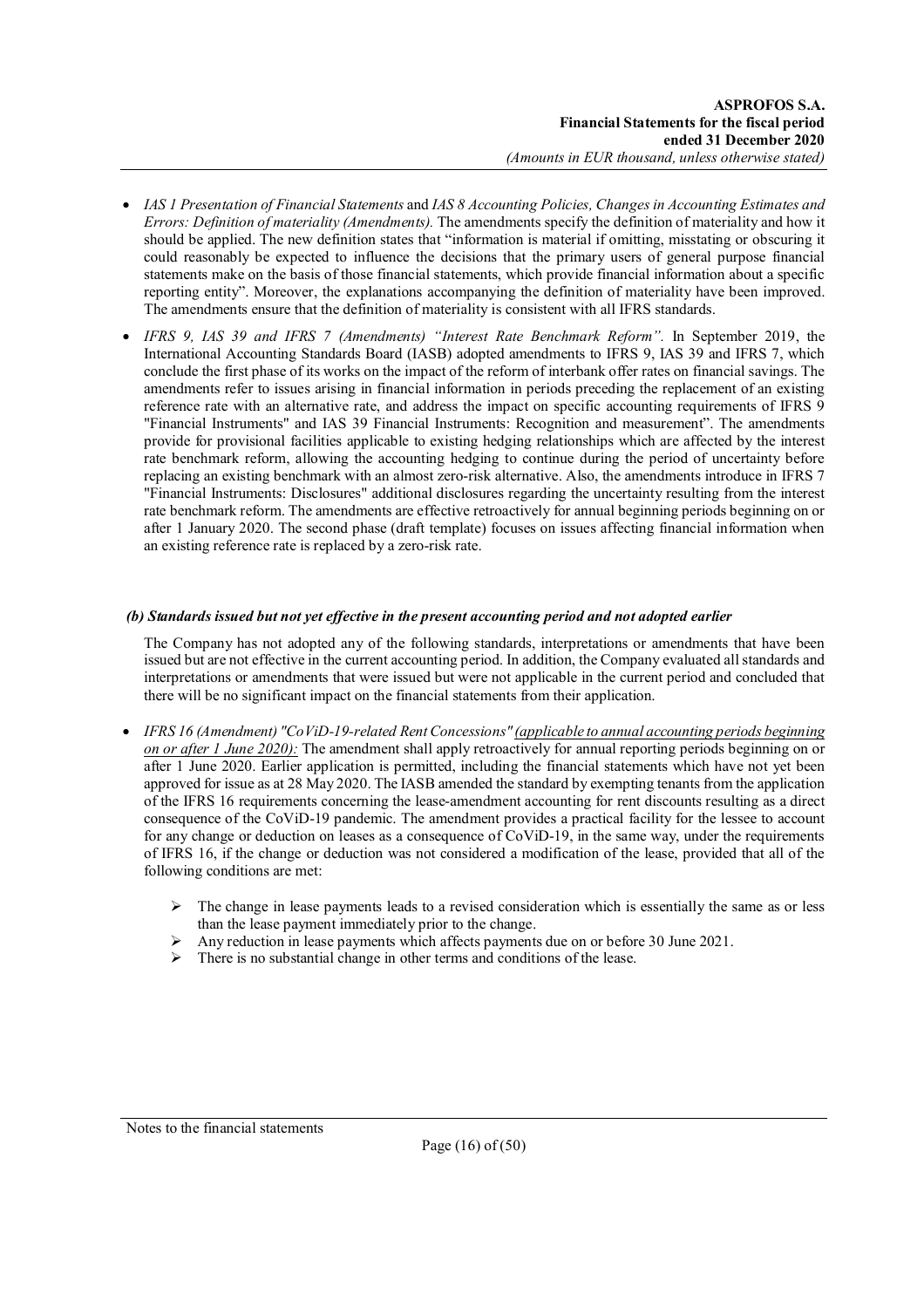- *IAS 1 Presentation of Financial Statements* and *IAS 8 Accounting Policies, Changes in Accounting Estimates and Errors: Definition of materiality (Amendments).* The amendments specify the definition of materiality and how it should be applied. The new definition states that "information is material if omitting, misstating or obscuring it could reasonably be expected to influence the decisions that the primary users of general purpose financial statements make on the basis of those financial statements, which provide financial information about a specific reporting entity". Moreover, the explanations accompanying the definition of materiality have been improved. The amendments ensure that the definition of materiality is consistent with all IFRS standards.
- *IFRS 9, IAS 39 and IFRS 7 (Amendments) "Interest Rate Benchmark Reform".* In September 2019, the International Accounting Standards Board (IASB) adopted amendments to IFRS 9, IAS 39 and IFRS 7, which conclude the first phase of its works on the impact of the reform of interbank offer rates on financial savings. The amendments refer to issues arising in financial information in periods preceding the replacement of an existing reference rate with an alternative rate, and address the impact on specific accounting requirements of IFRS 9 "Financial Instruments" and IAS 39 Financial Instruments: Recognition and measurement". The amendments provide for provisional facilities applicable to existing hedging relationships which are affected by the interest rate benchmark reform, allowing the accounting hedging to continue during the period of uncertainty before replacing an existing benchmark with an almost zero-risk alternative. Also, the amendments introduce in IFRS 7 "Financial Instruments: Disclosures" additional disclosures regarding the uncertainty resulting from the interest rate benchmark reform. The amendments are effective retroactively for annual beginning periods beginning on or after 1 January 2020. The second phase (draft template) focuses on issues affecting financial information when an existing reference rate is replaced by a zero-risk rate.

### *(b) Standards issued but not yet effective in the present accounting period and not adopted earlier*

The Company has not adopted any of the following standards, interpretations or amendments that have been issued but are not effective in the current accounting period. In addition, the Company evaluated all standards and interpretations or amendments that were issued but were not applicable in the current period and concluded that there will be no significant impact on the financial statements from their application.

- *IFRS 16 (Amendment) "CoViD-19-related Rent Concessions" (applicable to annual accounting periods beginning on or after 1 June 2020):* The amendment shall apply retroactively for annual reporting periods beginning on or after 1 June 2020. Earlier application is permitted, including the financial statements which have not yet been approved for issue as at 28 May 2020. The IASB amended the standard by exempting tenants from the application of the IFRS 16 requirements concerning the lease-amendment accounting for rent discounts resulting as a direct consequence of the CoViD-19 pandemic. The amendment provides a practical facility for the lessee to account for any change or deduction on leases as a consequence of CoViD-19, in the same way, under the requirements of IFRS 16, if the change or deduction was not considered a modification of the lease, provided that all of the following conditions are met:
	- The change in lease payments leads to a revised consideration which is essentially the same as or less than the lease payment immediately prior to the change.
	- Any reduction in lease payments which affects payments due on or before 30 June 2021.
	- There is no substantial change in other terms and conditions of the lease.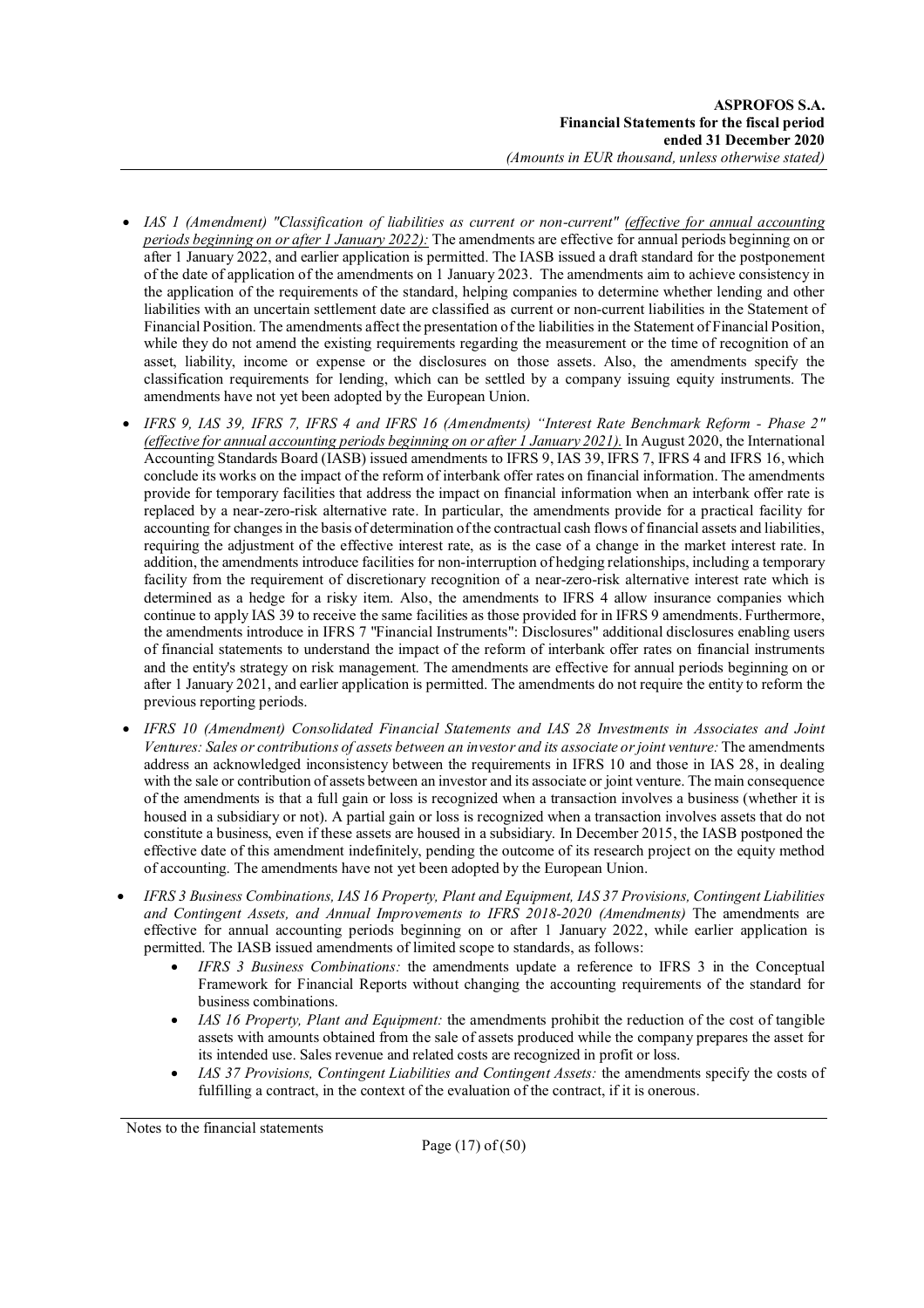- IAS 1 (Amendment) "Classification of liabilities as current or non-current" (effective for annual accounting *periods beginning on or after 1 January 2022):* The amendments are effective for annual periods beginning on or after 1 January 2022, and earlier application is permitted. The IASB issued a draft standard for the postponement of the date of application of the amendments on 1 January 2023. The amendments aim to achieve consistency in the application of the requirements of the standard, helping companies to determine whether lending and other liabilities with an uncertain settlement date are classified as current or non-current liabilities in the Statement of Financial Position. The amendments affect the presentation of the liabilities in the Statement of Financial Position, while they do not amend the existing requirements regarding the measurement or the time of recognition of an asset, liability, income or expense or the disclosures on those assets. Also, the amendments specify the classification requirements for lending, which can be settled by a company issuing equity instruments. The amendments have not yet been adopted by the European Union.
- *IFRS 9, IAS 39, IFRS 7, IFRS 4 and IFRS 16 (Amendments) "Interest Rate Benchmark Reform - Phase 2" (effective for annual accounting periods beginning on or after 1 January 2021).* In August 2020, the International Accounting Standards Board (IASB) issued amendments to IFRS 9, IAS 39, IFRS 7, IFRS 4 and IFRS 16, which conclude its works on the impact of the reform of interbank offer rates on financial information. The amendments provide for temporary facilities that address the impact on financial information when an interbank offer rate is replaced by a near-zero-risk alternative rate. In particular, the amendments provide for a practical facility for accounting for changes in the basis of determination of the contractual cash flows of financial assets and liabilities, requiring the adjustment of the effective interest rate, as is the case of a change in the market interest rate. In addition, the amendments introduce facilities for non-interruption of hedging relationships, including a temporary facility from the requirement of discretionary recognition of a near-zero-risk alternative interest rate which is determined as a hedge for a risky item. Also, the amendments to IFRS 4 allow insurance companies which continue to apply IAS 39 to receive the same facilities as those provided for in IFRS 9 amendments. Furthermore, the amendments introduce in IFRS 7 "Financial Instruments": Disclosures" additional disclosures enabling users of financial statements to understand the impact of the reform of interbank offer rates on financial instruments and the entity's strategy on risk management. The amendments are effective for annual periods beginning on or after 1 January 2021, and earlier application is permitted. The amendments do not require the entity to reform the previous reporting periods.
- *IFRS 10 (Amendment) Consolidated Financial Statements and IAS 28 Investments in Associates and Joint Ventures: Sales or contributions of assets between an investor and its associate or joint venture:* The amendments address an acknowledged inconsistency between the requirements in IFRS 10 and those in IAS 28, in dealing with the sale or contribution of assets between an investor and its associate or joint venture. The main consequence of the amendments is that a full gain or loss is recognized when a transaction involves a business (whether it is housed in a subsidiary or not). A partial gain or loss is recognized when a transaction involves assets that do not constitute a business, even if these assets are housed in a subsidiary. In December 2015, the IASB postponed the effective date of this amendment indefinitely, pending the outcome of its research project on the equity method of accounting. The amendments have not yet been adopted by the European Union.
- *IFRS 3 Business Combinations, IAS 16 Property, Plant and Equipment, IAS 37 Provisions, Contingent Liabilities and Contingent Assets, and Annual Improvements to IFRS 2018-2020 (Amendments)* The amendments are effective for annual accounting periods beginning on or after 1 January 2022, while earlier application is permitted. The IASB issued amendments of limited scope to standards, as follows:
	- *IFRS 3 Business Combinations:* the amendments update a reference to IFRS 3 in the Conceptual Framework for Financial Reports without changing the accounting requirements of the standard for business combinations.
	- *IAS 16 Property, Plant and Equipment:* the amendments prohibit the reduction of the cost of tangible assets with amounts obtained from the sale of assets produced while the company prepares the asset for its intended use. Sales revenue and related costs are recognized in profit or loss.
	- *IAS 37 Provisions, Contingent Liabilities and Contingent Assets:* the amendments specify the costs of fulfilling a contract, in the context of the evaluation of the contract, if it is onerous.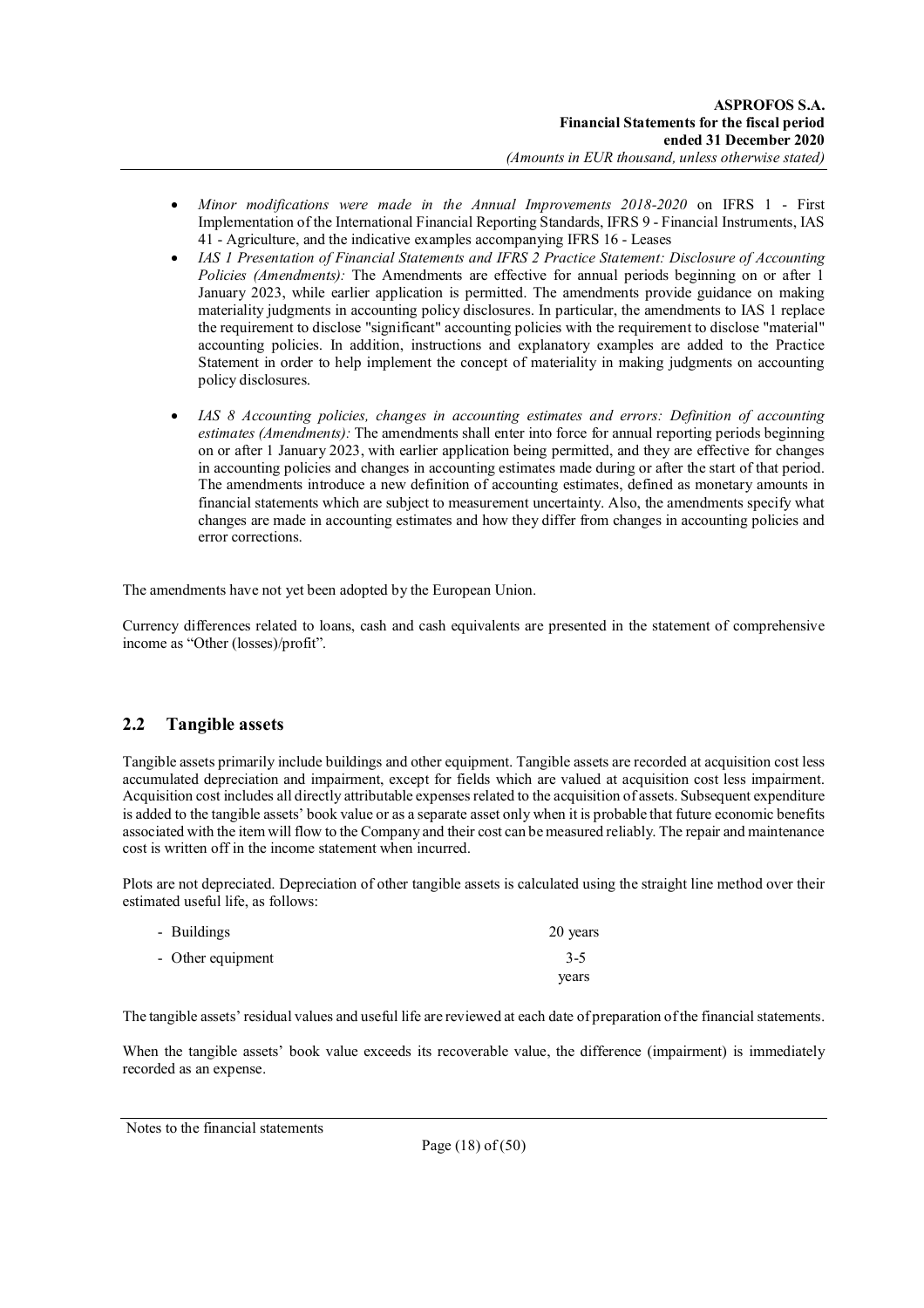- *Minor modifications were made in the Annual Improvements 2018-2020* on IFRS 1 First Implementation of the International Financial Reporting Standards, IFRS 9 - Financial Instruments, IAS 41 - Agriculture, and the indicative examples accompanying IFRS 16 - Leases
- *IAS 1 Presentation of Financial Statements and IFRS 2 Practice Statement: Disclosure of Accounting Policies (Amendments):* The Amendments are effective for annual periods beginning on or after 1 January 2023, while earlier application is permitted. The amendments provide guidance on making materiality judgments in accounting policy disclosures. In particular, the amendments to IAS 1 replace the requirement to disclose "significant" accounting policies with the requirement to disclose "material" accounting policies. In addition, instructions and explanatory examples are added to the Practice Statement in order to help implement the concept of materiality in making judgments on accounting policy disclosures.
- *IAS 8 Accounting policies, changes in accounting estimates and errors: Definition of accounting estimates (Amendments):* The amendments shall enter into force for annual reporting periods beginning on or after 1 January 2023, with earlier application being permitted, and they are effective for changes in accounting policies and changes in accounting estimates made during or after the start of that period. The amendments introduce a new definition of accounting estimates, defined as monetary amounts in financial statements which are subject to measurement uncertainty. Also, the amendments specify what changes are made in accounting estimates and how they differ from changes in accounting policies and error corrections.

The amendments have not yet been adopted by the European Union.

Currency differences related to loans, cash and cash equivalents are presented in the statement of comprehensive income as "Other (losses)/profit".

## **2.2 Tangible assets**

Tangible assets primarily include buildings and other equipment. Tangible assets are recorded at acquisition cost less accumulated depreciation and impairment, except for fields which are valued at acquisition cost less impairment. Acquisition cost includes all directly attributable expenses related to the acquisition of assets. Subsequent expenditure is added to the tangible assets' book value or as a separate asset only when it is probable that future economic benefits associated with the item will flow to the Company and their cost can be measured reliably. The repair and maintenance cost is written off in the income statement when incurred.

Plots are not depreciated. Depreciation of other tangible assets is calculated using the straight line method over their estimated useful life, as follows:

| - Buildings       | 20 years |
|-------------------|----------|
| - Other equipment | $3 - 5$  |
|                   | years    |

The tangible assets' residual values and useful life are reviewed at each date of preparation of the financial statements.

When the tangible assets' book value exceeds its recoverable value, the difference (impairment) is immediately recorded as an expense.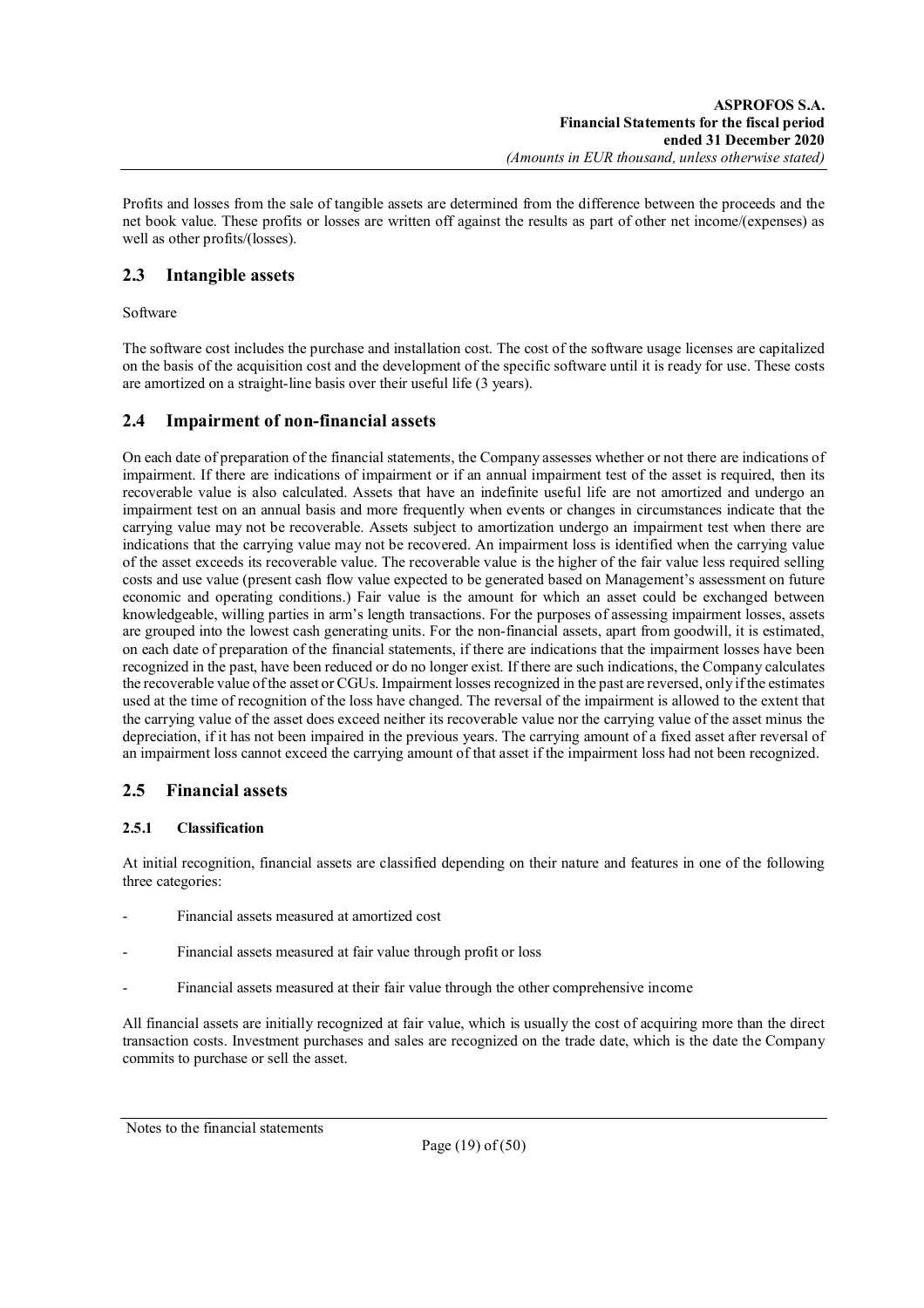Profits and losses from the sale of tangible assets are determined from the difference between the proceeds and the net book value. These profits or losses are written off against the results as part of other net income/(expenses) as well as other profits/(losses).

## **2.3 Intangible assets**

Software

The software cost includes the purchase and installation cost. The cost of the software usage licenses are capitalized on the basis of the acquisition cost and the development of the specific software until it is ready for use. These costs are amortized on a straight-line basis over their useful life (3 years).

## **2.4 Impairment of non-financial assets**

On each date of preparation of the financial statements, the Company assesses whether or not there are indications of impairment. If there are indications of impairment or if an annual impairment test of the asset is required, then its recoverable value is also calculated. Assets that have an indefinite useful life are not amortized and undergo an impairment test on an annual basis and more frequently when events or changes in circumstances indicate that the carrying value may not be recoverable. Assets subject to amortization undergo an impairment test when there are indications that the carrying value may not be recovered. An impairment loss is identified when the carrying value of the asset exceeds its recoverable value. The recoverable value is the higher of the fair value less required selling costs and use value (present cash flow value expected to be generated based on Management's assessment on future economic and operating conditions.) Fair value is the amount for which an asset could be exchanged between knowledgeable, willing parties in arm's length transactions. For the purposes of assessing impairment losses, assets are grouped into the lowest cash generating units. For the non-financial assets, apart from goodwill, it is estimated, on each date of preparation of the financial statements, if there are indications that the impairment losses have been recognized in the past, have been reduced or do no longer exist. If there are such indications, the Company calculates the recoverable value of the asset or CGUs. Impairment losses recognized in the past are reversed, only if the estimates used at the time of recognition of the loss have changed. The reversal of the impairment is allowed to the extent that the carrying value of the asset does exceed neither its recoverable value nor the carrying value of the asset minus the depreciation, if it has not been impaired in the previous years. The carrying amount of a fixed asset after reversal of an impairment loss cannot exceed the carrying amount of that asset if the impairment loss had not been recognized.

## **2.5 Financial assets**

## **2.5.1 Classification**

At initial recognition, financial assets are classified depending on their nature and features in one of the following three categories:

- Financial assets measured at amortized cost
- Financial assets measured at fair value through profit or loss
- Financial assets measured at their fair value through the other comprehensive income

All financial assets are initially recognized at fair value, which is usually the cost of acquiring more than the direct transaction costs. Investment purchases and sales are recognized on the trade date, which is the date the Company commits to purchase or sell the asset.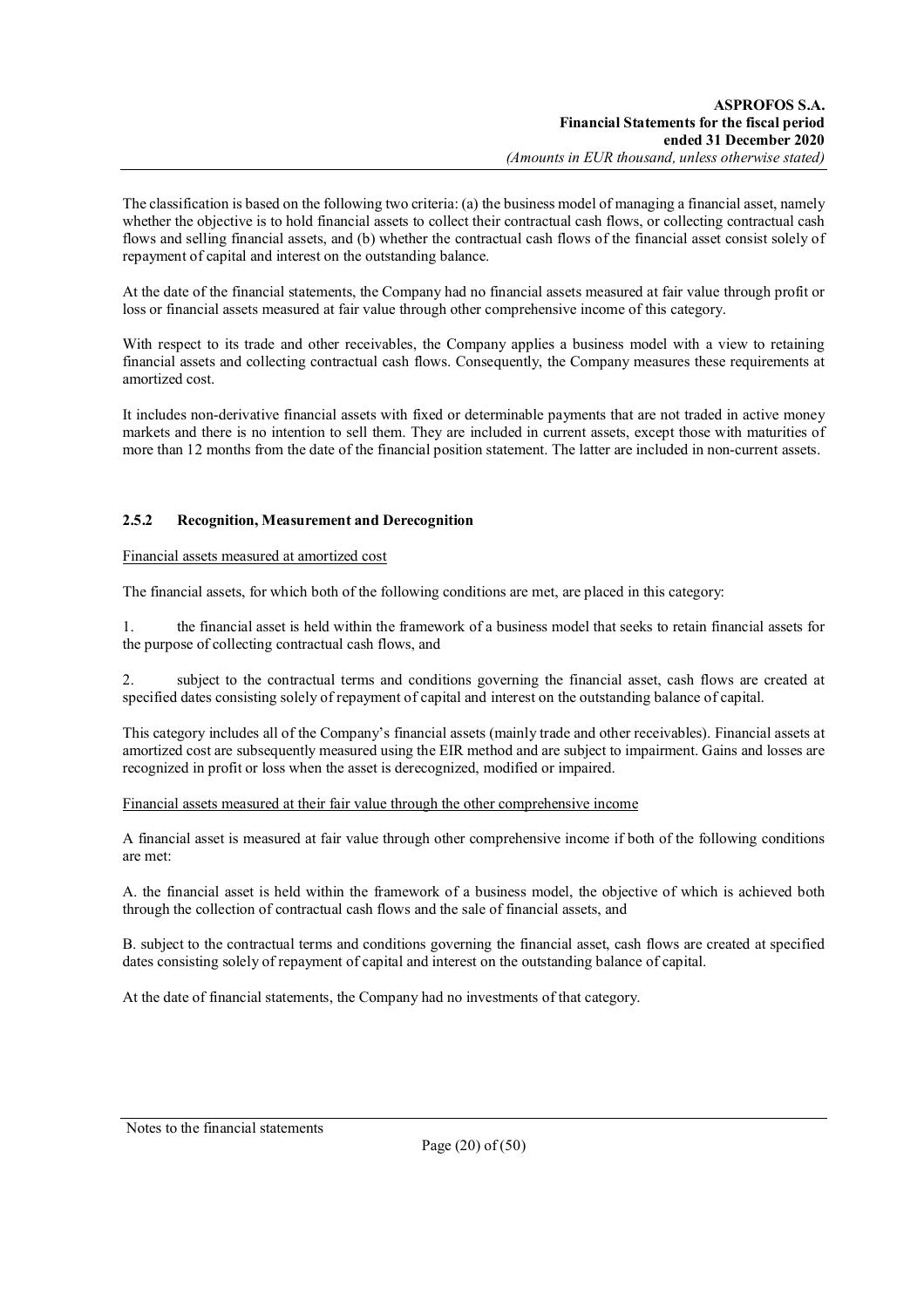The classification is based on the following two criteria: (a) the business model of managing a financial asset, namely whether the objective is to hold financial assets to collect their contractual cash flows, or collecting contractual cash flows and selling financial assets, and (b) whether the contractual cash flows of the financial asset consist solely of repayment of capital and interest on the outstanding balance.

At the date of the financial statements, the Company had no financial assets measured at fair value through profit or loss or financial assets measured at fair value through other comprehensive income of this category.

With respect to its trade and other receivables, the Company applies a business model with a view to retaining financial assets and collecting contractual cash flows. Consequently, the Company measures these requirements at amortized cost.

It includes non-derivative financial assets with fixed or determinable payments that are not traded in active money markets and there is no intention to sell them. They are included in current assets, except those with maturities of more than 12 months from the date of the financial position statement. The latter are included in non-current assets.

## **2.5.2 Recognition, Measurement and Derecognition**

### Financial assets measured at amortized cost

The financial assets, for which both of the following conditions are met, are placed in this category:

1. the financial asset is held within the framework of a business model that seeks to retain financial assets for the purpose of collecting contractual cash flows, and

2. subject to the contractual terms and conditions governing the financial asset, cash flows are created at specified dates consisting solely of repayment of capital and interest on the outstanding balance of capital.

This category includes all of the Company's financial assets (mainly trade and other receivables). Financial assets at amortized cost are subsequently measured using the EIR method and are subject to impairment. Gains and losses are recognized in profit or loss when the asset is derecognized, modified or impaired.

Financial assets measured at their fair value through the other comprehensive income

A financial asset is measured at fair value through other comprehensive income if both of the following conditions are met:

A. the financial asset is held within the framework of a business model, the objective of which is achieved both through the collection of contractual cash flows and the sale of financial assets, and

B. subject to the contractual terms and conditions governing the financial asset, cash flows are created at specified dates consisting solely of repayment of capital and interest on the outstanding balance of capital.

At the date of financial statements, the Company had no investments of that category.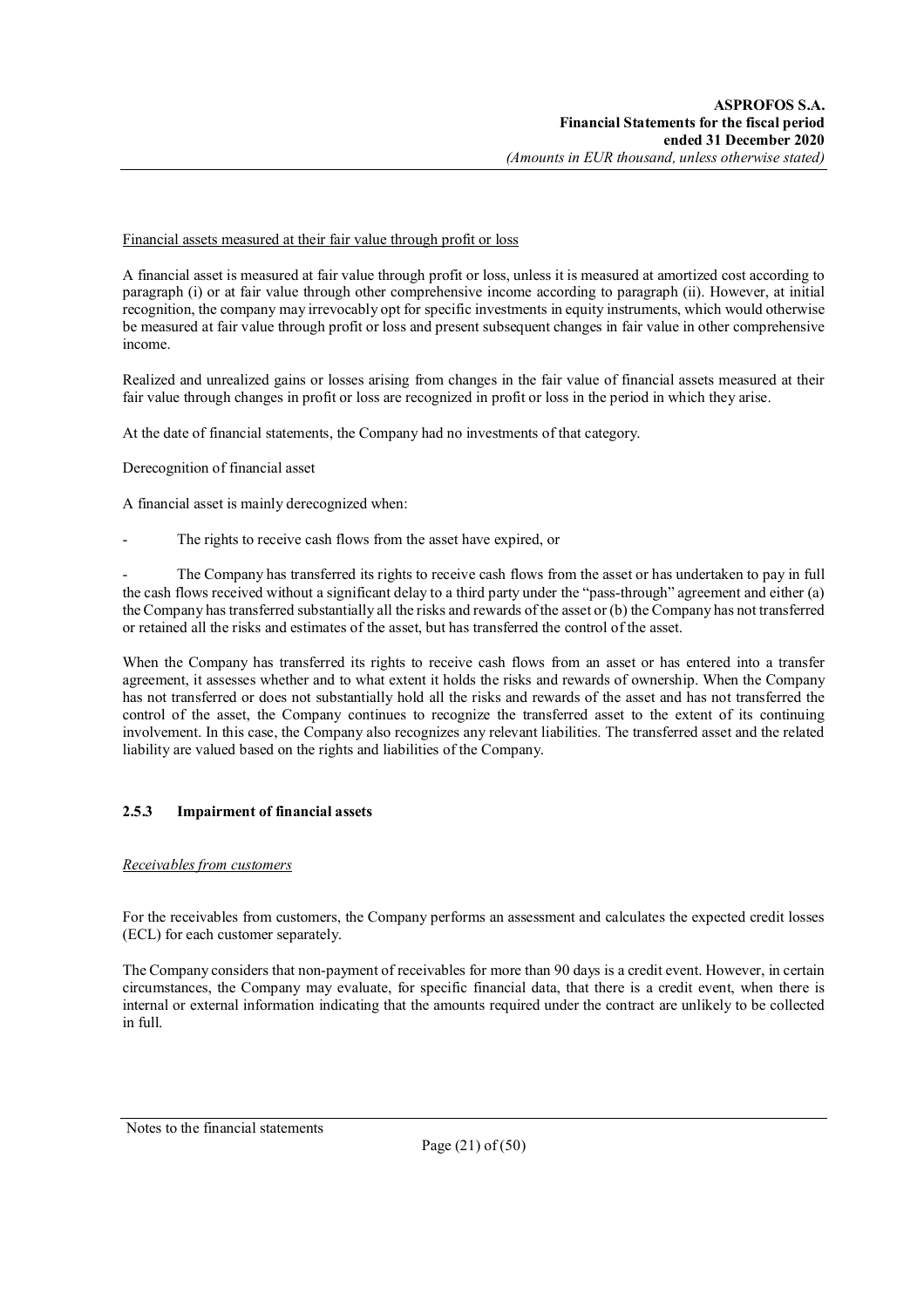### Financial assets measured at their fair value through profit or loss

A financial asset is measured at fair value through profit or loss, unless it is measured at amortized cost according to paragraph (i) or at fair value through other comprehensive income according to paragraph (ii). However, at initial recognition, the company may irrevocably opt for specific investments in equity instruments, which would otherwise be measured at fair value through profit or loss and present subsequent changes in fair value in other comprehensive income.

Realized and unrealized gains or losses arising from changes in the fair value of financial assets measured at their fair value through changes in profit or loss are recognized in profit or loss in the period in which they arise.

At the date of financial statements, the Company had no investments of that category.

Derecognition of financial asset

A financial asset is mainly derecognized when:

The rights to receive cash flows from the asset have expired, or

The Company has transferred its rights to receive cash flows from the asset or has undertaken to pay in full the cash flows received without a significant delay to a third party under the "pass-through" agreement and either (a) the Company has transferred substantially all the risks and rewards of the asset or (b) the Company has not transferred or retained all the risks and estimates of the asset, but has transferred the control of the asset.

When the Company has transferred its rights to receive cash flows from an asset or has entered into a transfer agreement, it assesses whether and to what extent it holds the risks and rewards of ownership. When the Company has not transferred or does not substantially hold all the risks and rewards of the asset and has not transferred the control of the asset, the Company continues to recognize the transferred asset to the extent of its continuing involvement. In this case, the Company also recognizes any relevant liabilities. The transferred asset and the related liability are valued based on the rights and liabilities of the Company.

## **2.5.3 Impairment of financial assets**

### *Receivables from customers*

For the receivables from customers, the Company performs an assessment and calculates the expected credit losses (ECL) for each customer separately.

The Company considers that non-payment of receivables for more than 90 days is a credit event. However, in certain circumstances, the Company may evaluate, for specific financial data, that there is a credit event, when there is internal or external information indicating that the amounts required under the contract are unlikely to be collected in full.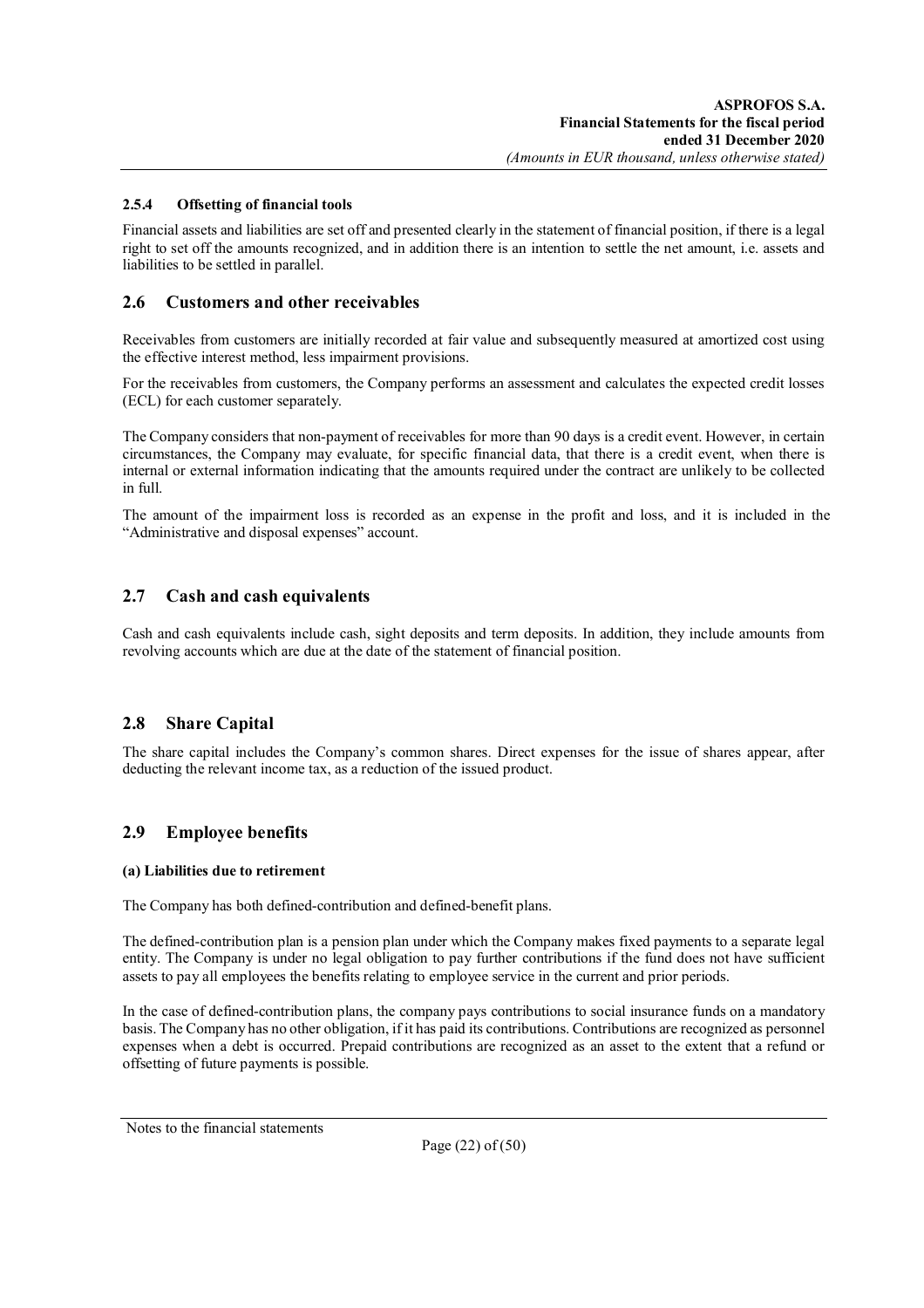### **2.5.4 Offsetting of financial tools**

Financial assets and liabilities are set off and presented clearly in the statement of financial position, if there is a legal right to set off the amounts recognized, and in addition there is an intention to settle the net amount, i.e. assets and liabilities to be settled in parallel.

### **2.6 Customers and other receivables**

Receivables from customers are initially recorded at fair value and subsequently measured at amortized cost using the effective interest method, less impairment provisions.

For the receivables from customers, the Company performs an assessment and calculates the expected credit losses (ECL) for each customer separately.

The Company considers that non-payment of receivables for more than 90 days is a credit event. However, in certain circumstances, the Company may evaluate, for specific financial data, that there is a credit event, when there is internal or external information indicating that the amounts required under the contract are unlikely to be collected in full.

The amount of the impairment loss is recorded as an expense in the profit and loss, and it is included in the "Administrative and disposal expenses" account.

## **2.7 Cash and cash equivalents**

Cash and cash equivalents include cash, sight deposits and term deposits. In addition, they include amounts from revolving accounts which are due at the date of the statement of financial position.

## **2.8 Share Capital**

The share capital includes the Company's common shares. Direct expenses for the issue of shares appear, after deducting the relevant income tax, as a reduction of the issued product.

## **2.9 Employee benefits**

### **(a) Liabilities due to retirement**

The Company has both defined-contribution and defined-benefit plans.

The defined-contribution plan is a pension plan under which the Company makes fixed payments to a separate legal entity. The Company is under no legal obligation to pay further contributions if the fund does not have sufficient assets to pay all employees the benefits relating to employee service in the current and prior periods.

In the case of defined-contribution plans, the company pays contributions to social insurance funds on a mandatory basis. The Company has no other obligation, if it has paid its contributions. Contributions are recognized as personnel expenses when a debt is occurred. Prepaid contributions are recognized as an asset to the extent that a refund or offsetting of future payments is possible.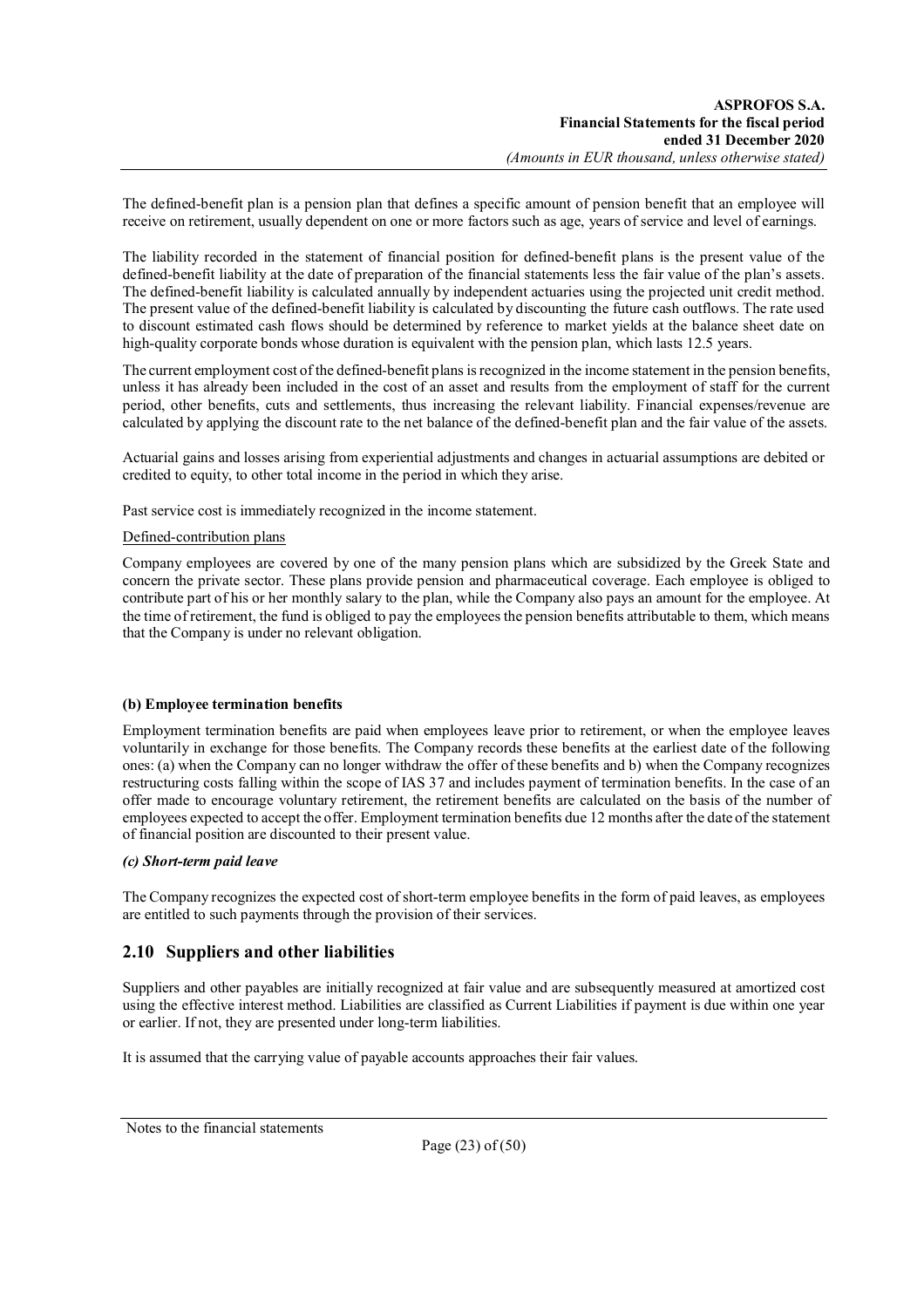The defined-benefit plan is a pension plan that defines a specific amount of pension benefit that an employee will receive on retirement, usually dependent on one or more factors such as age, years of service and level of earnings.

The liability recorded in the statement of financial position for defined-benefit plans is the present value of the defined-benefit liability at the date of preparation of the financial statements less the fair value of the plan's assets. The defined-benefit liability is calculated annually by independent actuaries using the projected unit credit method. The present value of the defined-benefit liability is calculated by discounting the future cash outflows. The rate used to discount estimated cash flows should be determined by reference to market yields at the balance sheet date on high-quality corporate bonds whose duration is equivalent with the pension plan, which lasts 12.5 years.

The current employment cost of the defined-benefit plans is recognized in the income statement in the pension benefits, unless it has already been included in the cost of an asset and results from the employment of staff for the current period, other benefits, cuts and settlements, thus increasing the relevant liability. Financial expenses/revenue are calculated by applying the discount rate to the net balance of the defined-benefit plan and the fair value of the assets.

Actuarial gains and losses arising from experiential adjustments and changes in actuarial assumptions are debited or credited to equity, to other total income in the period in which they arise.

Past service cost is immediately recognized in the income statement.

### Defined-contribution plans

Company employees are covered by one of the many pension plans which are subsidized by the Greek State and concern the private sector. These plans provide pension and pharmaceutical coverage. Each employee is obliged to contribute part of his or her monthly salary to the plan, while the Company also pays an amount for the employee. At the time of retirement, the fund is obliged to pay the employees the pension benefits attributable to them, which means that the Company is under no relevant obligation.

## **(b) Employee termination benefits**

Employment termination benefits are paid when employees leave prior to retirement, or when the employee leaves voluntarily in exchange for those benefits. The Company records these benefits at the earliest date of the following ones: (a) when the Company can no longer withdraw the offer of these benefits and b) when the Company recognizes restructuring costs falling within the scope of IAS 37 and includes payment of termination benefits. In the case of an offer made to encourage voluntary retirement, the retirement benefits are calculated on the basis of the number of employees expected to accept the offer. Employment termination benefits due 12 months after the date of the statement of financial position are discounted to their present value.

### *(c) Short-term paid leave*

The Company recognizes the expected cost of short-term employee benefits in the form of paid leaves, as employees are entitled to such payments through the provision of their services.

## **2.10 Suppliers and other liabilities**

Suppliers and other payables are initially recognized at fair value and are subsequently measured at amortized cost using the effective interest method. Liabilities are classified as Current Liabilities if payment is due within one year or earlier. If not, they are presented under long-term liabilities.

It is assumed that the carrying value of payable accounts approaches their fair values.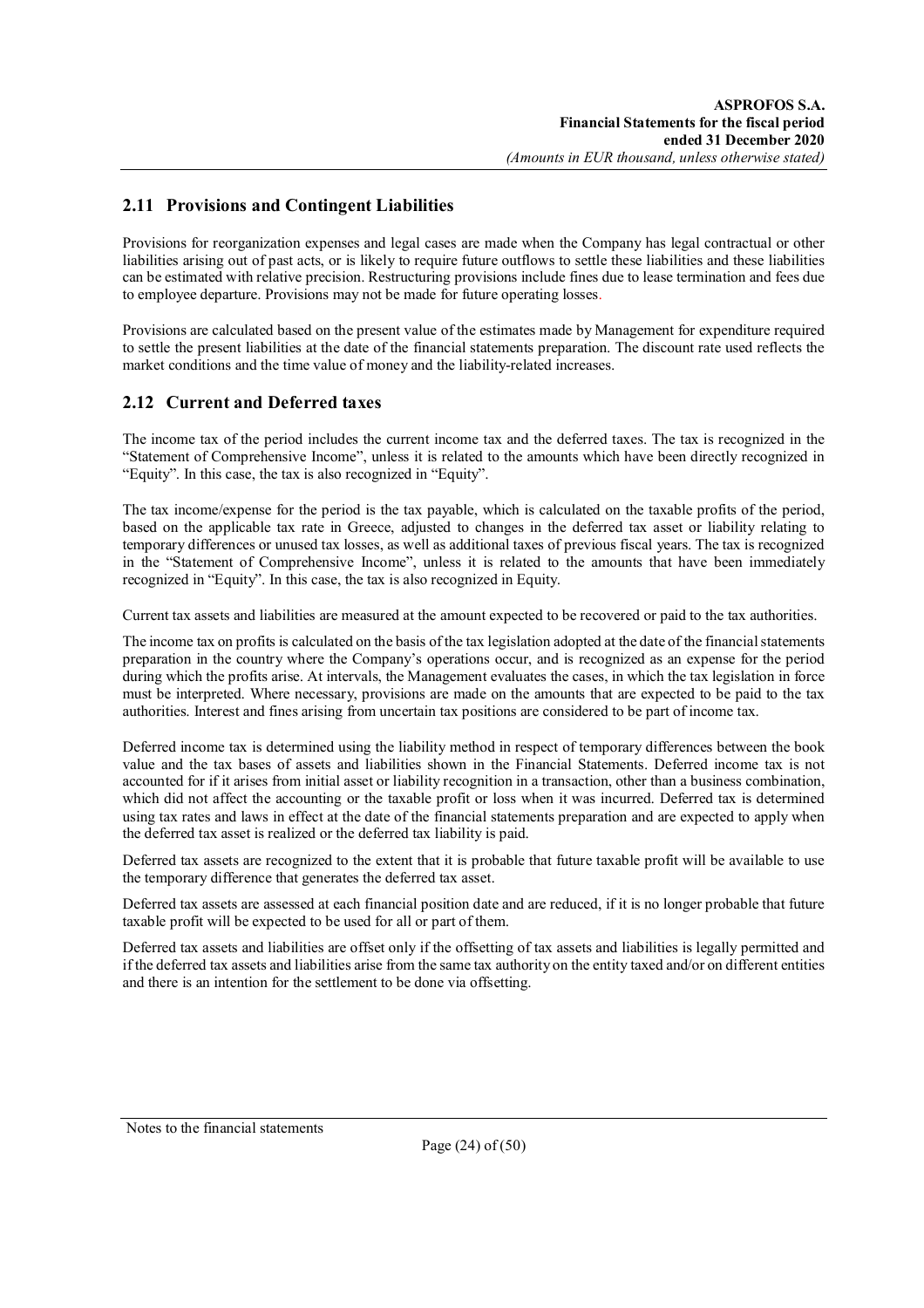## **2.11 Provisions and Contingent Liabilities**

Provisions for reorganization expenses and legal cases are made when the Company has legal contractual or other liabilities arising out of past acts, or is likely to require future outflows to settle these liabilities and these liabilities can be estimated with relative precision. Restructuring provisions include fines due to lease termination and fees due to employee departure. Provisions may not be made for future operating losses.

Provisions are calculated based on the present value of the estimates made by Management for expenditure required to settle the present liabilities at the date of the financial statements preparation. The discount rate used reflects the market conditions and the time value of money and the liability-related increases.

## **2.12 Current and Deferred taxes**

The income tax of the period includes the current income tax and the deferred taxes. The tax is recognized in the "Statement of Comprehensive Income", unless it is related to the amounts which have been directly recognized in "Equity". In this case, the tax is also recognized in "Equity".

The tax income/expense for the period is the tax payable, which is calculated on the taxable profits of the period, based on the applicable tax rate in Greece, adjusted to changes in the deferred tax asset or liability relating to temporary differences or unused tax losses, as well as additional taxes of previous fiscal years. The tax is recognized in the "Statement of Comprehensive Income", unless it is related to the amounts that have been immediately recognized in "Equity". In this case, the tax is also recognized in Equity.

Current tax assets and liabilities are measured at the amount expected to be recovered or paid to the tax authorities.

The income tax on profits is calculated on the basis of the tax legislation adopted at the date of the financial statements preparation in the country where the Company's operations occur, and is recognized as an expense for the period during which the profits arise. At intervals, the Management evaluates the cases, in which the tax legislation in force must be interpreted. Where necessary, provisions are made on the amounts that are expected to be paid to the tax authorities. Interest and fines arising from uncertain tax positions are considered to be part of income tax.

Deferred income tax is determined using the liability method in respect of temporary differences between the book value and the tax bases of assets and liabilities shown in the Financial Statements. Deferred income tax is not accounted for if it arises from initial asset or liability recognition in a transaction, other than a business combination, which did not affect the accounting or the taxable profit or loss when it was incurred. Deferred tax is determined using tax rates and laws in effect at the date of the financial statements preparation and are expected to apply when the deferred tax asset is realized or the deferred tax liability is paid.

Deferred tax assets are recognized to the extent that it is probable that future taxable profit will be available to use the temporary difference that generates the deferred tax asset.

Deferred tax assets are assessed at each financial position date and are reduced, if it is no longer probable that future taxable profit will be expected to be used for all or part of them.

Deferred tax assets and liabilities are offset only if the offsetting of tax assets and liabilities is legally permitted and if the deferred tax assets and liabilities arise from the same tax authority on the entity taxed and/or on different entities and there is an intention for the settlement to be done via offsetting.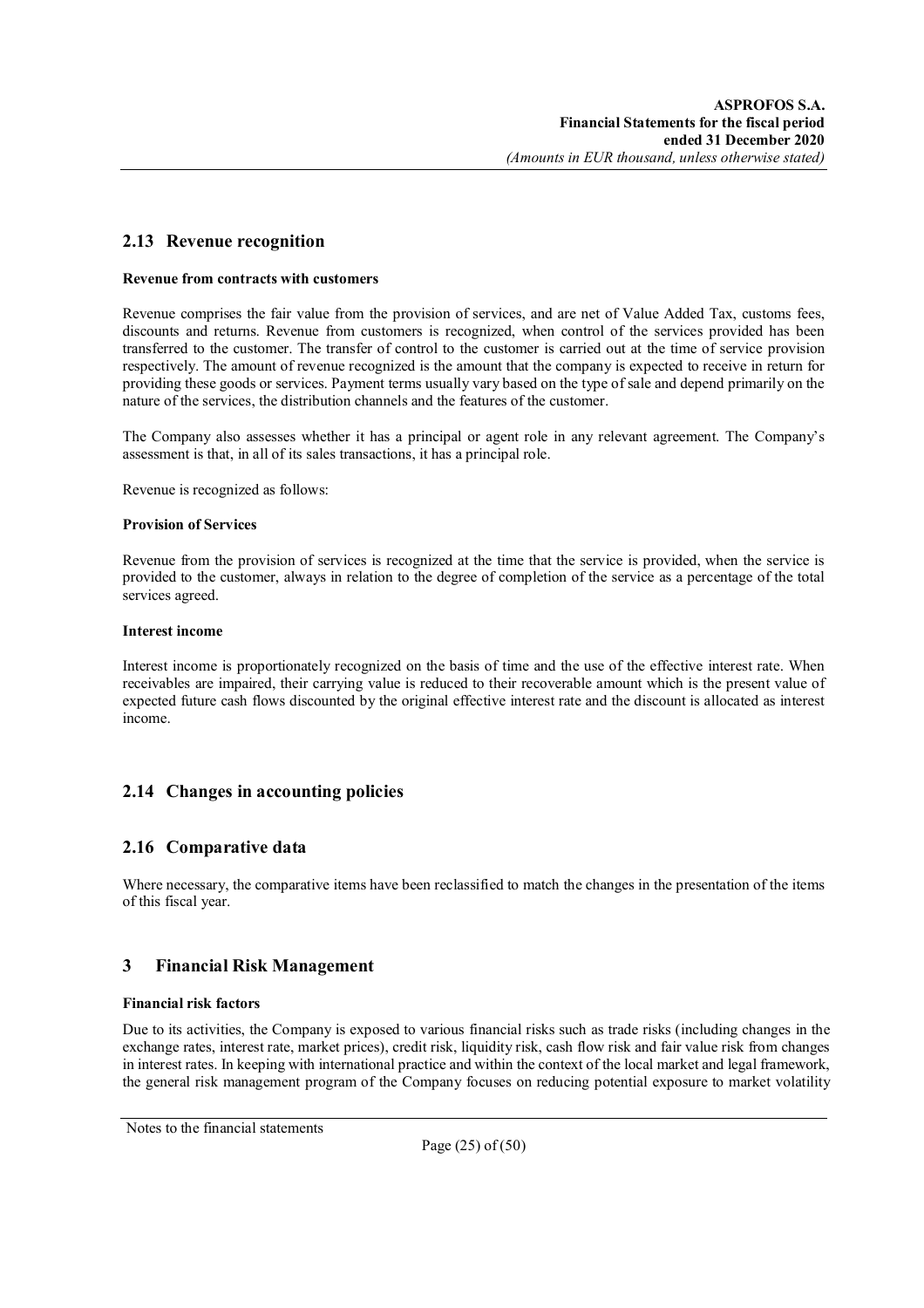## **2.13 Revenue recognition**

#### **Revenue from contracts with customers**

Revenue comprises the fair value from the provision of services, and are net of Value Added Tax, customs fees, discounts and returns. Revenue from customers is recognized, when control of the services provided has been transferred to the customer. The transfer of control to the customer is carried out at the time of service provision respectively. The amount of revenue recognized is the amount that the company is expected to receive in return for providing these goods or services. Payment terms usually vary based on the type of sale and depend primarily on the nature of the services, the distribution channels and the features of the customer.

The Company also assesses whether it has a principal or agent role in any relevant agreement. The Company's assessment is that, in all of its sales transactions, it has a principal role.

Revenue is recognized as follows:

#### **Provision of Services**

Revenue from the provision of services is recognized at the time that the service is provided, when the service is provided to the customer, always in relation to the degree of completion of the service as a percentage of the total services agreed.

#### **Interest income**

Interest income is proportionately recognized on the basis of time and the use of the effective interest rate. When receivables are impaired, their carrying value is reduced to their recoverable amount which is the present value of expected future cash flows discounted by the original effective interest rate and the discount is allocated as interest income.

## **2.14 Changes in accounting policies**

## **2.16 Comparative data**

Where necessary, the comparative items have been reclassified to match the changes in the presentation of the items of this fiscal year.

## **3 Financial Risk Management**

### **Financial risk factors**

Due to its activities, the Company is exposed to various financial risks such as trade risks (including changes in the exchange rates, interest rate, market prices), credit risk, liquidity risk, cash flow risk and fair value risk from changes in interest rates. In keeping with international practice and within the context of the local market and legal framework, the general risk management program of the Company focuses on reducing potential exposure to market volatility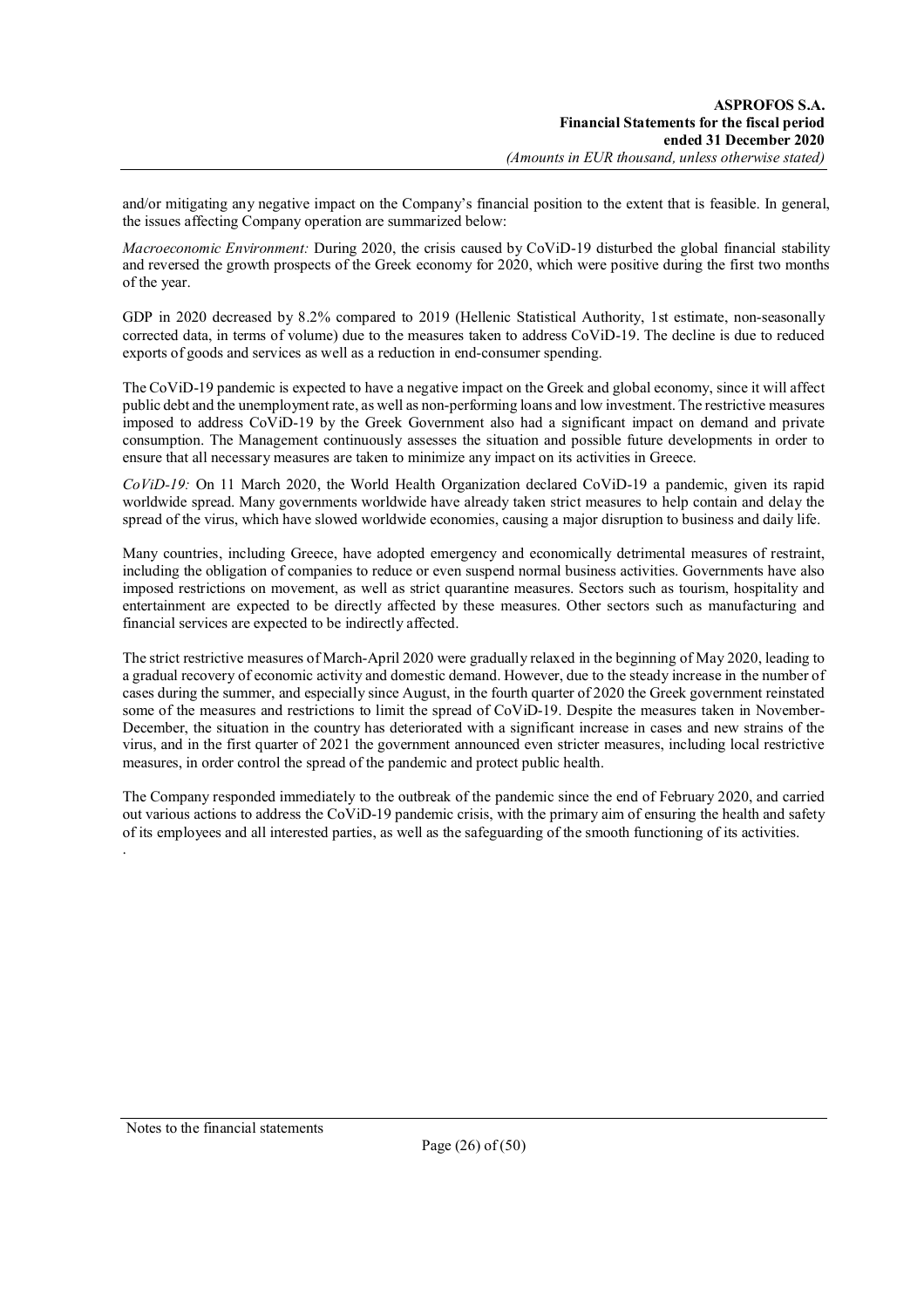and/or mitigating any negative impact on the Company's financial position to the extent that is feasible. In general, the issues affecting Company operation are summarized below:

*Macroeconomic Environment:* During 2020, the crisis caused by CoViD-19 disturbed the global financial stability and reversed the growth prospects of the Greek economy for 2020, which were positive during the first two months of the year.

GDP in 2020 decreased by 8.2% compared to 2019 (Hellenic Statistical Authority, 1st estimate, non-seasonally corrected data, in terms of volume) due to the measures taken to address CoViD-19. The decline is due to reduced exports of goods and services as well as a reduction in end-consumer spending.

The CoViD-19 pandemic is expected to have a negative impact on the Greek and global economy, since it will affect public debt and the unemployment rate, as well as non-performing loans and low investment. The restrictive measures imposed to address CoViD-19 by the Greek Government also had a significant impact on demand and private consumption. The Management continuously assesses the situation and possible future developments in order to ensure that all necessary measures are taken to minimize any impact on its activities in Greece.

*CoViD-19:* On 11 March 2020, the World Health Organization declared CoViD-19 a pandemic, given its rapid worldwide spread. Many governments worldwide have already taken strict measures to help contain and delay the spread of the virus, which have slowed worldwide economies, causing a major disruption to business and daily life.

Many countries, including Greece, have adopted emergency and economically detrimental measures of restraint, including the obligation of companies to reduce or even suspend normal business activities. Governments have also imposed restrictions on movement, as well as strict quarantine measures. Sectors such as tourism, hospitality and entertainment are expected to be directly affected by these measures. Other sectors such as manufacturing and financial services are expected to be indirectly affected.

The strict restrictive measures of March-April 2020 were gradually relaxed in the beginning of May 2020, leading to a gradual recovery of economic activity and domestic demand. However, due to the steady increase in the number of cases during the summer, and especially since August, in the fourth quarter of 2020 the Greek government reinstated some of the measures and restrictions to limit the spread of CoViD-19. Despite the measures taken in November-December, the situation in the country has deteriorated with a significant increase in cases and new strains of the virus, and in the first quarter of 2021 the government announced even stricter measures, including local restrictive measures, in order control the spread of the pandemic and protect public health.

The Company responded immediately to the outbreak of the pandemic since the end of February 2020, and carried out various actions to address the CoViD-19 pandemic crisis, with the primary aim of ensuring the health and safety of its employees and all interested parties, as well as the safeguarding of the smooth functioning of its activities. .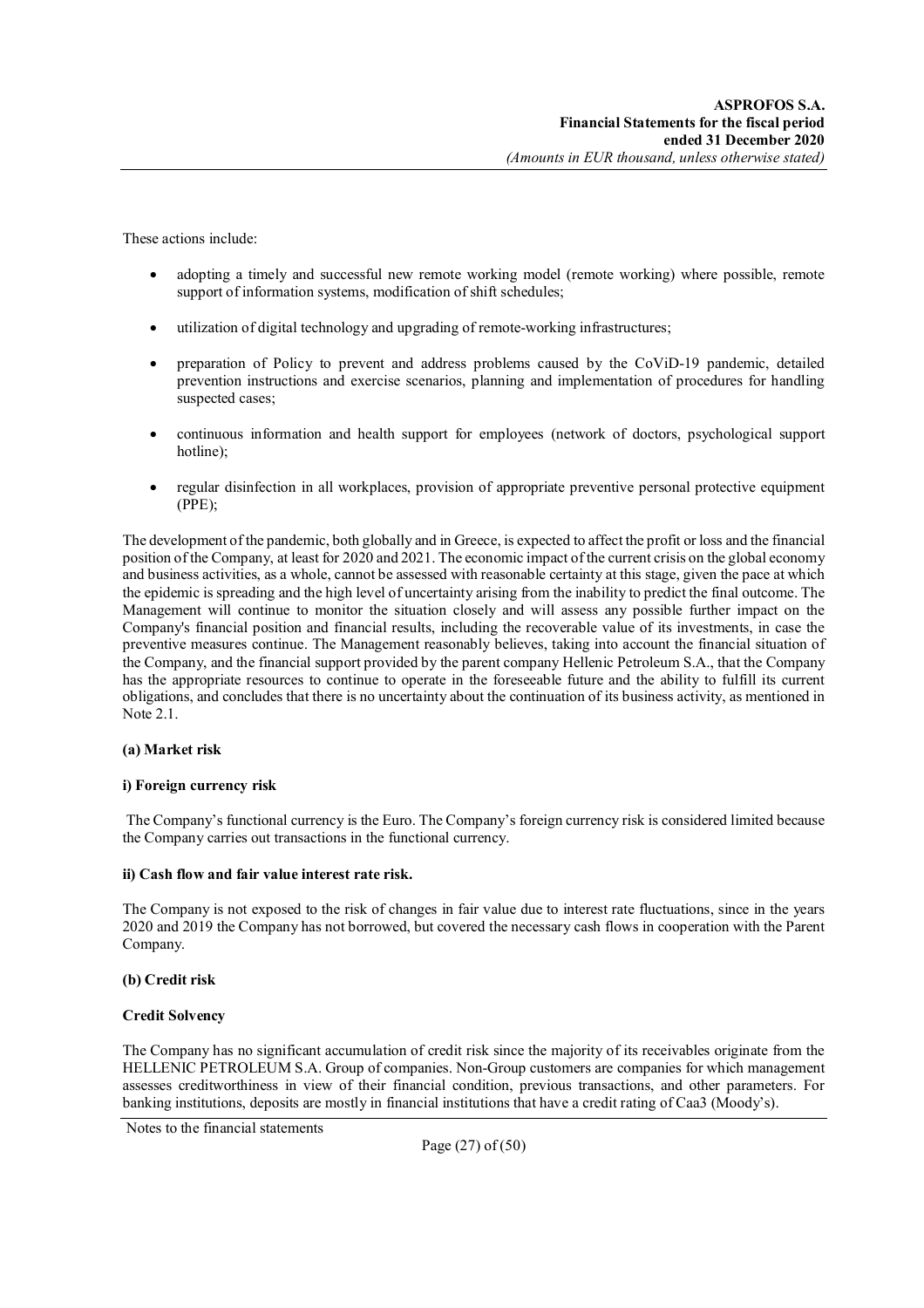These actions include:

- adopting a timely and successful new remote working model (remote working) where possible, remote support of information systems, modification of shift schedules;
- utilization of digital technology and upgrading of remote-working infrastructures;
- preparation of Policy to prevent and address problems caused by the CoViD-19 pandemic, detailed prevention instructions and exercise scenarios, planning and implementation of procedures for handling suspected cases;
- continuous information and health support for employees (network of doctors, psychological support hotline);
- regular disinfection in all workplaces, provision of appropriate preventive personal protective equipment (PPE);

The development of the pandemic, both globally and in Greece, is expected to affect the profit or loss and the financial position of the Company, at least for 2020 and 2021. The economic impact of the current crisis on the global economy and business activities, as a whole, cannot be assessed with reasonable certainty at this stage, given the pace at which the epidemic is spreading and the high level of uncertainty arising from the inability to predict the final outcome. The Management will continue to monitor the situation closely and will assess any possible further impact on the Company's financial position and financial results, including the recoverable value of its investments, in case the preventive measures continue. The Management reasonably believes, taking into account the financial situation of the Company, and the financial support provided by the parent company Hellenic Petroleum S.A., that the Company has the appropriate resources to continue to operate in the foreseeable future and the ability to fulfill its current obligations, and concludes that there is no uncertainty about the continuation of its business activity, as mentioned in Note 2.1.

### **(a) Market risk**

#### **i) Foreign currency risk**

The Company's functional currency is the Euro. The Company's foreign currency risk is considered limited because the Company carries out transactions in the functional currency.

#### **ii) Cash flow and fair value interest rate risk.**

The Company is not exposed to the risk of changes in fair value due to interest rate fluctuations, since in the years 2020 and 2019 the Company has not borrowed, but covered the necessary cash flows in cooperation with the Parent Company.

### **(b) Credit risk**

### **Credit Solvency**

The Company has no significant accumulation of credit risk since the majority of its receivables originate from the HELLENIC PETROLEUM S.A. Group of companies. Non-Group customers are companies for which management assesses creditworthiness in view of their financial condition, previous transactions, and other parameters. For banking institutions, deposits are mostly in financial institutions that have a credit rating of Caa3 (Moody's).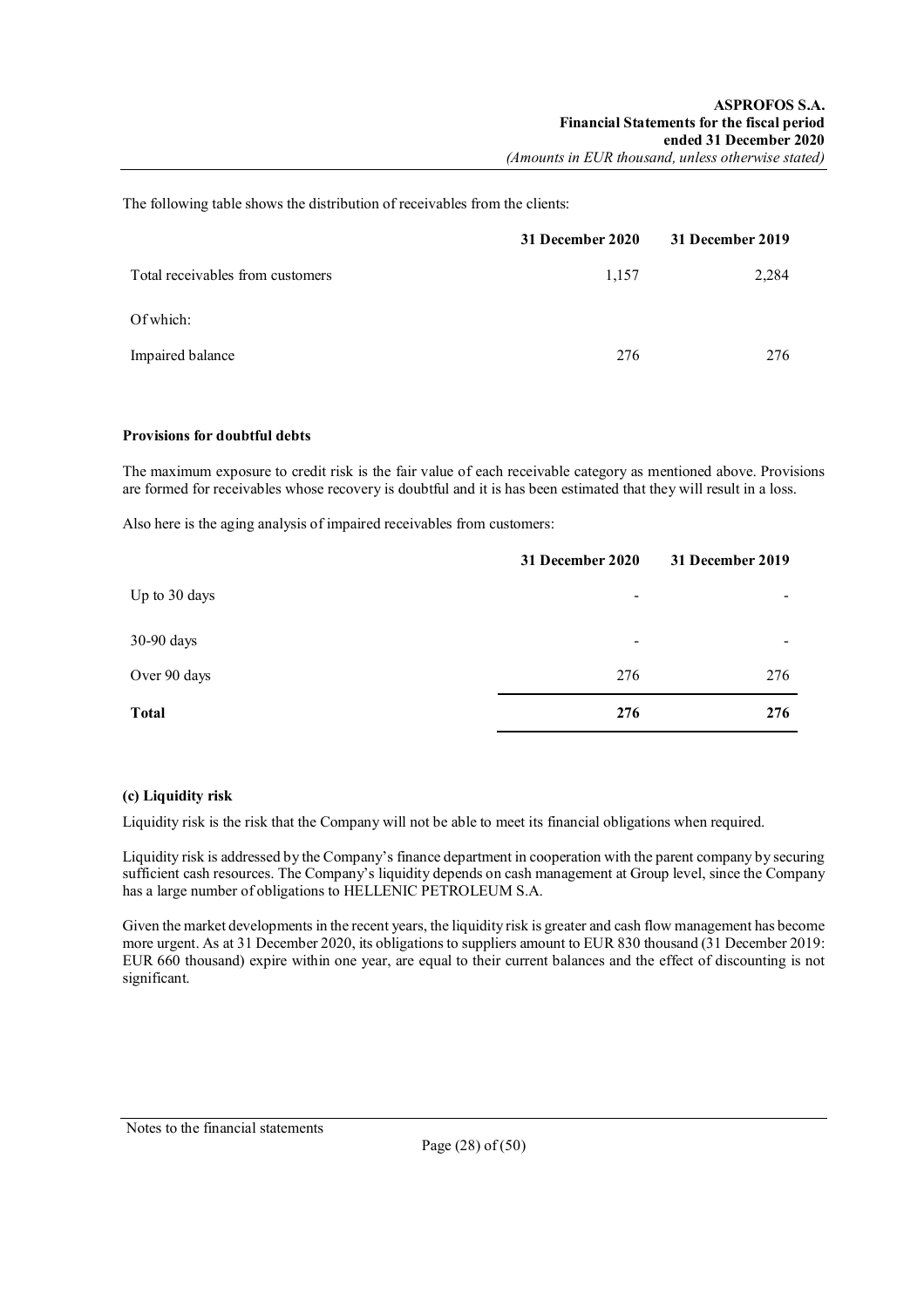The following table shows the distribution of receivables from the clients:

|                                  | 31 December 2020 | 31 December 2019 |
|----------------------------------|------------------|------------------|
| Total receivables from customers | 1,157            | 2,284            |
| Of which:                        |                  |                  |
| Impaired balance                 | 276              | 276              |

### **Provisions for doubtful debts**

The maximum exposure to credit risk is the fair value of each receivable category as mentioned above. Provisions are formed for receivables whose recovery is doubtful and it is has been estimated that they will result in a loss.

Also here is the aging analysis of impaired receivables from customers:

|               | 31 December 2020         | 31 December 2019 |
|---------------|--------------------------|------------------|
| Up to 30 days | $\overline{\phantom{a}}$ | -                |
| 30-90 days    | $\overline{\phantom{a}}$ | ۰                |
| Over 90 days  | 276                      | 276              |
| <b>Total</b>  | 276                      | 276              |

## **(c) Liquidity risk**

Liquidity risk is the risk that the Company will not be able to meet its financial obligations when required.

Liquidity risk is addressed by the Company's finance department in cooperation with the parent company by securing sufficient cash resources. The Company's liquidity depends on cash management at Group level, since the Company has a large number of obligations to HELLENIC PETROLEUM S.A.

Given the market developments in the recent years, the liquidity risk is greater and cash flow management has become more urgent. As at 31 December 2020, its obligations to suppliers amount to EUR 830 thousand (31 December 2019: EUR 660 thousand) expire within one year, are equal to their current balances and the effect of discounting is not significant.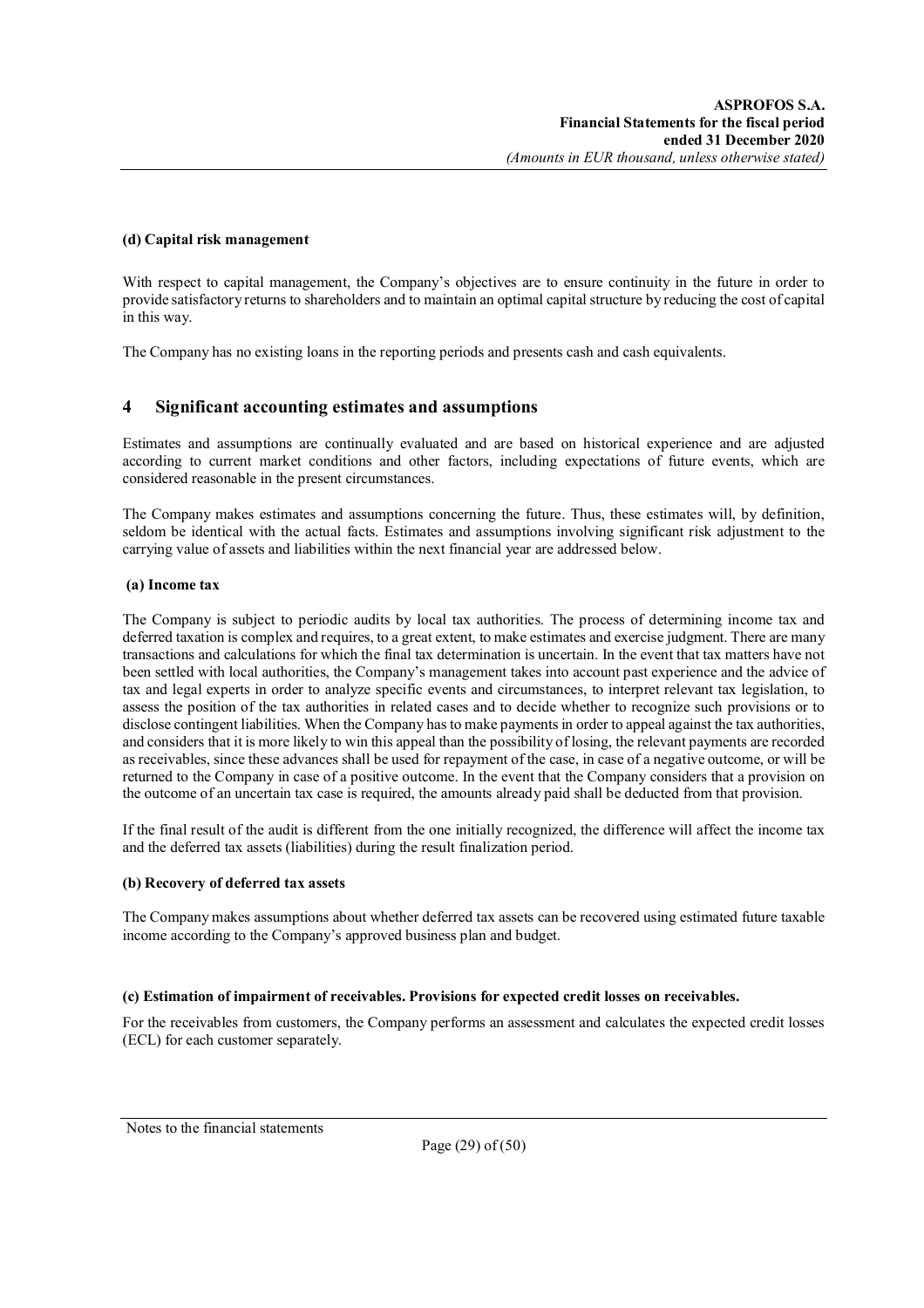### **(d) Capital risk management**

With respect to capital management, the Company's objectives are to ensure continuity in the future in order to provide satisfactory returns to shareholders and to maintain an optimal capital structure by reducing the cost of capital in this way.

The Company has no existing loans in the reporting periods and presents cash and cash equivalents.

## **4 Significant accounting estimates and assumptions**

Estimates and assumptions are continually evaluated and are based on historical experience and are adjusted according to current market conditions and other factors, including expectations of future events, which are considered reasonable in the present circumstances.

The Company makes estimates and assumptions concerning the future. Thus, these estimates will, by definition, seldom be identical with the actual facts. Estimates and assumptions involving significant risk adjustment to the carrying value of assets and liabilities within the next financial year are addressed below.

### **(a) Income tax**

The Company is subject to periodic audits by local tax authorities. The process of determining income tax and deferred taxation is complex and requires, to a great extent, to make estimates and exercise judgment. There are many transactions and calculations for which the final tax determination is uncertain. In the event that tax matters have not been settled with local authorities, the Company's management takes into account past experience and the advice of tax and legal experts in order to analyze specific events and circumstances, to interpret relevant tax legislation, to assess the position of the tax authorities in related cases and to decide whether to recognize such provisions or to disclose contingent liabilities. When the Company has to make payments in order to appeal against the tax authorities, and considers that it is more likely to win this appeal than the possibility of losing, the relevant payments are recorded as receivables, since these advances shall be used for repayment of the case, in case of a negative outcome, or will be returned to the Company in case of a positive outcome. In the event that the Company considers that a provision on the outcome of an uncertain tax case is required, the amounts already paid shall be deducted from that provision.

If the final result of the audit is different from the one initially recognized, the difference will affect the income tax and the deferred tax assets (liabilities) during the result finalization period.

### **(b) Recovery of deferred tax assets**

The Company makes assumptions about whether deferred tax assets can be recovered using estimated future taxable income according to the Company's approved business plan and budget.

### **(c) Estimation of impairment of receivables. Provisions for expected credit losses on receivables.**

For the receivables from customers, the Company performs an assessment and calculates the expected credit losses (ECL) for each customer separately.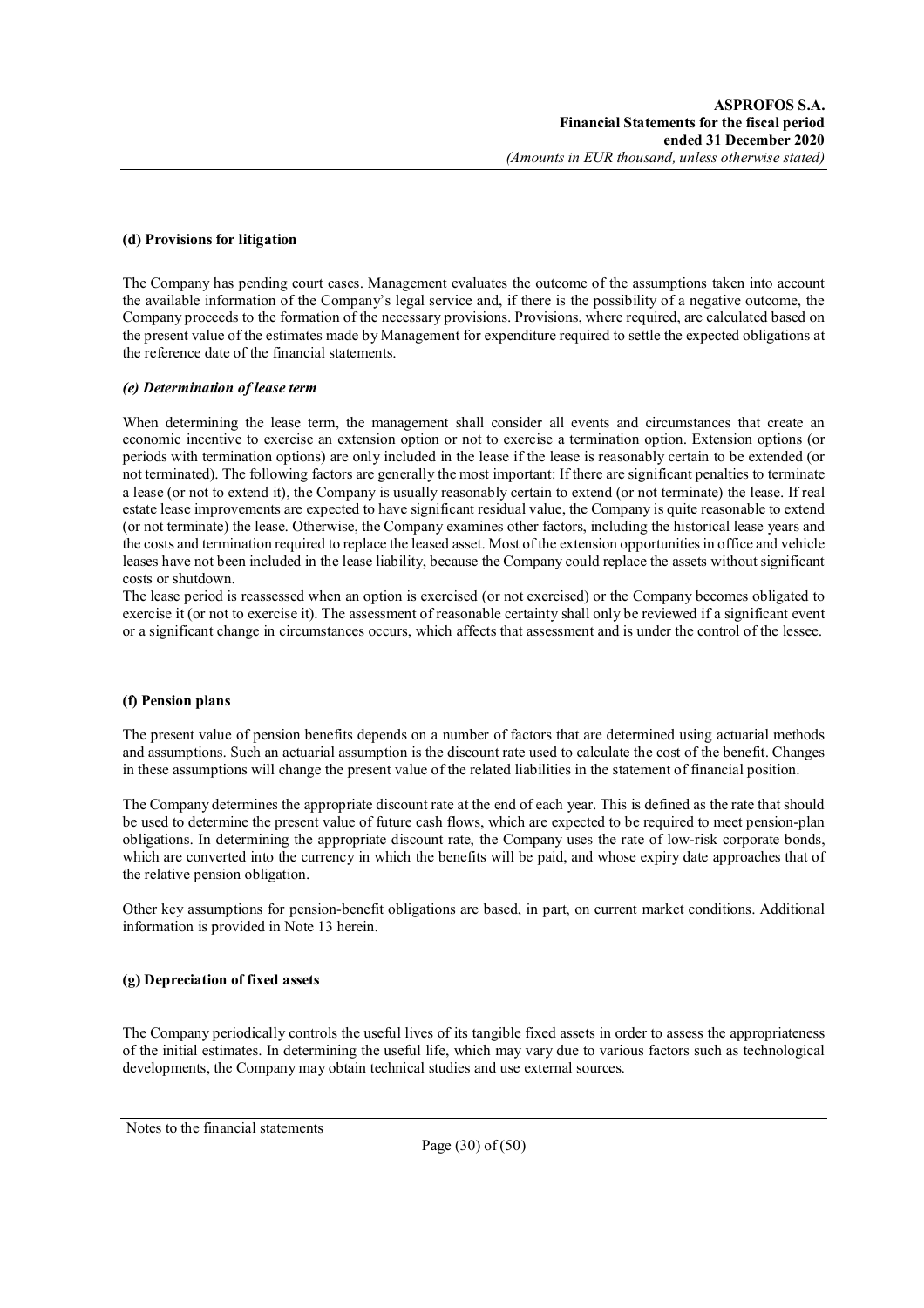### **(d) Provisions for litigation**

The Company has pending court cases. Management evaluates the outcome of the assumptions taken into account the available information of the Company's legal service and, if there is the possibility of a negative outcome, the Company proceeds to the formation of the necessary provisions. Provisions, where required, are calculated based on the present value of the estimates made by Management for expenditure required to settle the expected obligations at the reference date of the financial statements.

#### *(e) Determination of lease term*

When determining the lease term, the management shall consider all events and circumstances that create an economic incentive to exercise an extension option or not to exercise a termination option. Extension options (or periods with termination options) are only included in the lease if the lease is reasonably certain to be extended (or not terminated). The following factors are generally the most important: If there are significant penalties to terminate a lease (or not to extend it), the Company is usually reasonably certain to extend (or not terminate) the lease. If real estate lease improvements are expected to have significant residual value, the Company is quite reasonable to extend (or not terminate) the lease. Otherwise, the Company examines other factors, including the historical lease years and the costs and termination required to replace the leased asset. Most of the extension opportunities in office and vehicle leases have not been included in the lease liability, because the Company could replace the assets without significant costs or shutdown.

The lease period is reassessed when an option is exercised (or not exercised) or the Company becomes obligated to exercise it (or not to exercise it). The assessment of reasonable certainty shall only be reviewed if a significant event or a significant change in circumstances occurs, which affects that assessment and is under the control of the lessee.

### **(f) Pension plans**

The present value of pension benefits depends on a number of factors that are determined using actuarial methods and assumptions. Such an actuarial assumption is the discount rate used to calculate the cost of the benefit. Changes in these assumptions will change the present value of the related liabilities in the statement of financial position.

The Company determines the appropriate discount rate at the end of each year. This is defined as the rate that should be used to determine the present value of future cash flows, which are expected to be required to meet pension-plan obligations. In determining the appropriate discount rate, the Company uses the rate of low-risk corporate bonds, which are converted into the currency in which the benefits will be paid, and whose expiry date approaches that of the relative pension obligation.

Other key assumptions for pension-benefit obligations are based, in part, on current market conditions. Additional information is provided in Note 13 herein.

### **(g) Depreciation of fixed assets**

The Company periodically controls the useful lives of its tangible fixed assets in order to assess the appropriateness of the initial estimates. In determining the useful life, which may vary due to various factors such as technological developments, the Company may obtain technical studies and use external sources.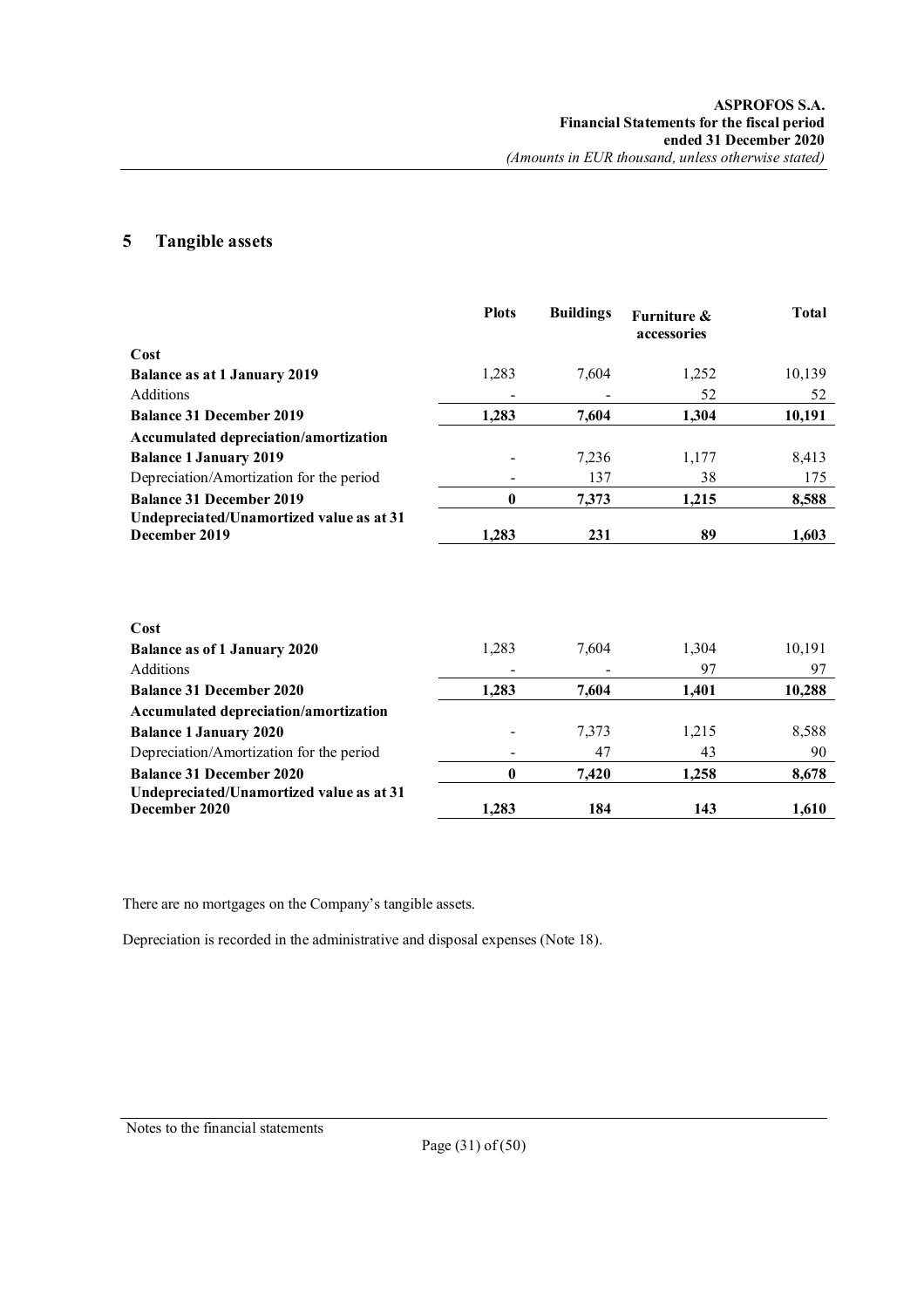## **5 Tangible assets**

|                                                           | <b>Plots</b>     | <b>Buildings</b> | <b>Furniture &amp;</b><br>accessories | <b>Total</b> |
|-----------------------------------------------------------|------------------|------------------|---------------------------------------|--------------|
| Cost                                                      |                  |                  |                                       |              |
| <b>Balance as at 1 January 2019</b>                       | 1,283            | 7,604            | 1,252                                 | 10,139       |
| Additions                                                 |                  |                  | 52                                    | 52           |
| <b>Balance 31 December 2019</b>                           | 1,283            | 7,604            | 1,304                                 | 10,191       |
| Accumulated depreciation/amortization                     |                  |                  |                                       |              |
| <b>Balance 1 January 2019</b>                             |                  | 7,236            | 1,177                                 | 8,413        |
| Depreciation/Amortization for the period                  |                  | 137              | 38                                    | 175          |
| <b>Balance 31 December 2019</b>                           | $\bf{0}$         | 7,373            | 1,215                                 | 8,588        |
| Undepreciated/Unamortized value as at 31<br>December 2019 | 1,283            | 231              | 89                                    | 1,603        |
|                                                           |                  |                  |                                       |              |
| Cost                                                      |                  |                  |                                       |              |
| <b>Balance as of 1 January 2020</b>                       | 1,283            | 7,604            | 1,304                                 | 10,191       |
| Additions                                                 |                  |                  | 97                                    | 97           |
| <b>Balance 31 December 2020</b>                           | 1,283            | 7,604            | 1,401                                 | 10,288       |
| <b>Accumulated depreciation/amortization</b>              |                  |                  |                                       |              |
| <b>Balance 1 January 2020</b>                             |                  | 7,373            | 1,215                                 | 8,588        |
| Depreciation/Amortization for the period                  |                  | 47               | 43                                    | 90           |
| <b>Balance 31 December 2020</b>                           | $\boldsymbol{0}$ | 7,420            | 1,258                                 | 8,678        |
| Undepreciated/Unamortized value as at 31<br>December 2020 | 1,283            | 184              | 143                                   | 1,610        |

There are no mortgages on the Company's tangible assets.

Depreciation is recorded in the administrative and disposal expenses (Note 18).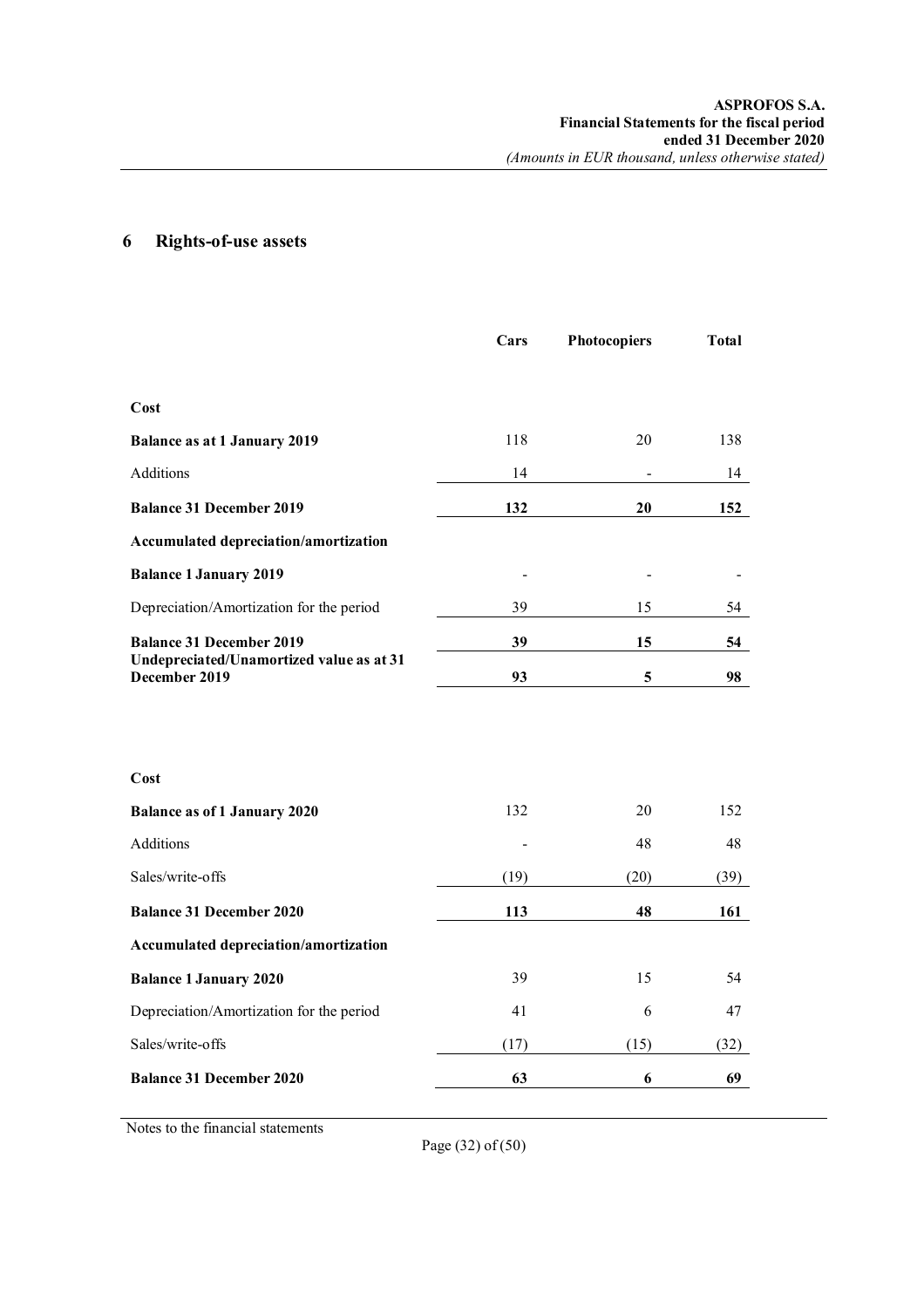# **6 Rights-of-use assets**

|                                                                                              | Cars | <b>Photocopiers</b> | <b>Total</b> |
|----------------------------------------------------------------------------------------------|------|---------------------|--------------|
|                                                                                              |      |                     |              |
| Cost                                                                                         |      |                     |              |
| <b>Balance as at 1 January 2019</b>                                                          | 118  | 20                  | 138          |
| Additions                                                                                    | 14   |                     | 14           |
| <b>Balance 31 December 2019</b>                                                              | 132  | 20                  | 152          |
| Accumulated depreciation/amortization                                                        |      |                     |              |
| <b>Balance 1 January 2019</b>                                                                |      |                     |              |
| Depreciation/Amortization for the period                                                     | 39   | 15                  | 54           |
| <b>Balance 31 December 2019</b><br>Undepreciated/Unamortized value as at 31<br>December 2019 | 39   | 15                  | 54           |
|                                                                                              | 93   | 5                   | 98           |
|                                                                                              |      |                     |              |
|                                                                                              |      |                     |              |
| Cost                                                                                         |      |                     |              |
| <b>Balance as of 1 January 2020</b>                                                          | 132  | 20                  | 152          |
| Additions                                                                                    |      | 48                  | 48           |
| Sales/write-offs                                                                             | (19) | (20)                | (39)         |
| <b>Balance 31 December 2020</b>                                                              | 113  | 48                  | 161          |
| Accumulated depreciation/amortization                                                        |      |                     |              |
| <b>Balance 1 January 2020</b>                                                                | 39   | 15                  | 54           |
| Depreciation/Amortization for the period                                                     | 41   | 6                   | 47           |
| Sales/write-offs                                                                             | (17) | (15)                | (32)         |
| <b>Balance 31 December 2020</b>                                                              | 63   | 6                   | 69           |

Notes to the financial statements

Page (32) of (50)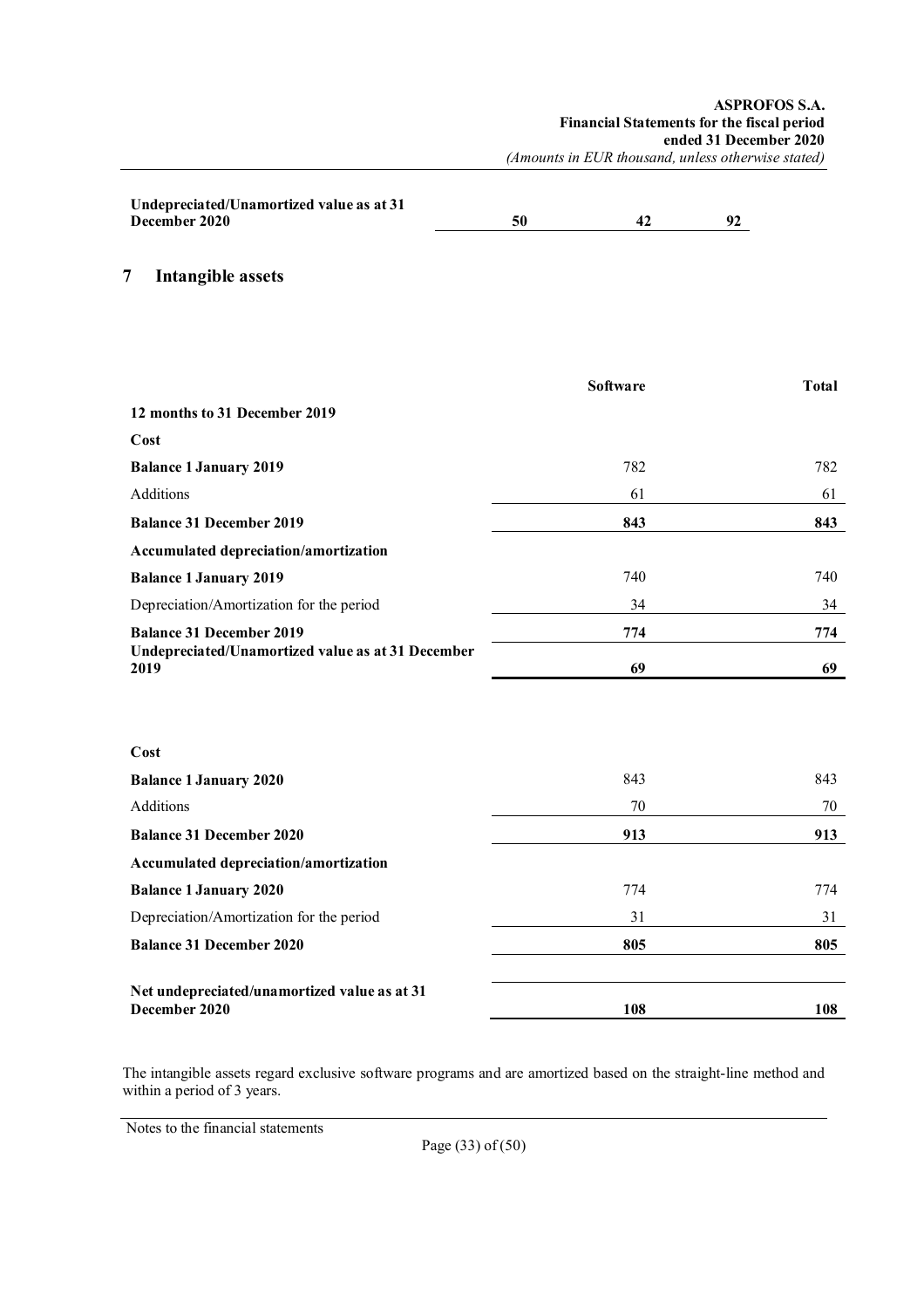| Undepreciated/Unamortized value as at 31 |    |  |
|------------------------------------------|----|--|
| December 2020                            | 50 |  |
|                                          |    |  |

**7 Intangible assets**

|                                                               | <b>Software</b> | <b>Total</b> |
|---------------------------------------------------------------|-----------------|--------------|
| 12 months to 31 December 2019                                 |                 |              |
| Cost                                                          |                 |              |
| <b>Balance 1 January 2019</b>                                 | 782             | 782          |
| <b>Additions</b>                                              | 61              | 61           |
| <b>Balance 31 December 2019</b>                               | 843             | 843          |
| Accumulated depreciation/amortization                         |                 |              |
| <b>Balance 1 January 2019</b>                                 | 740             | 740          |
| Depreciation/Amortization for the period                      | 34              | 34           |
| <b>Balance 31 December 2019</b>                               | 774             | 774          |
| Undepreciated/Unamortized value as at 31 December<br>2019     | 69              | 69           |
|                                                               |                 |              |
| Cost                                                          |                 |              |
| <b>Balance 1 January 2020</b>                                 | 843             | 843          |
| <b>Additions</b>                                              | 70              | 70           |
| <b>Balance 31 December 2020</b>                               | 913             | 913          |
| Accumulated depreciation/amortization                         |                 |              |
| <b>Balance 1 January 2020</b>                                 | 774             | 774          |
| Depreciation/Amortization for the period                      | 31              | 31           |
| <b>Balance 31 December 2020</b>                               | 805             | 805          |
| Net undepreciated/unamortized value as at 31<br>December 2020 | 108             | 108          |

The intangible assets regard exclusive software programs and are amortized based on the straight-line method and within a period of 3 years.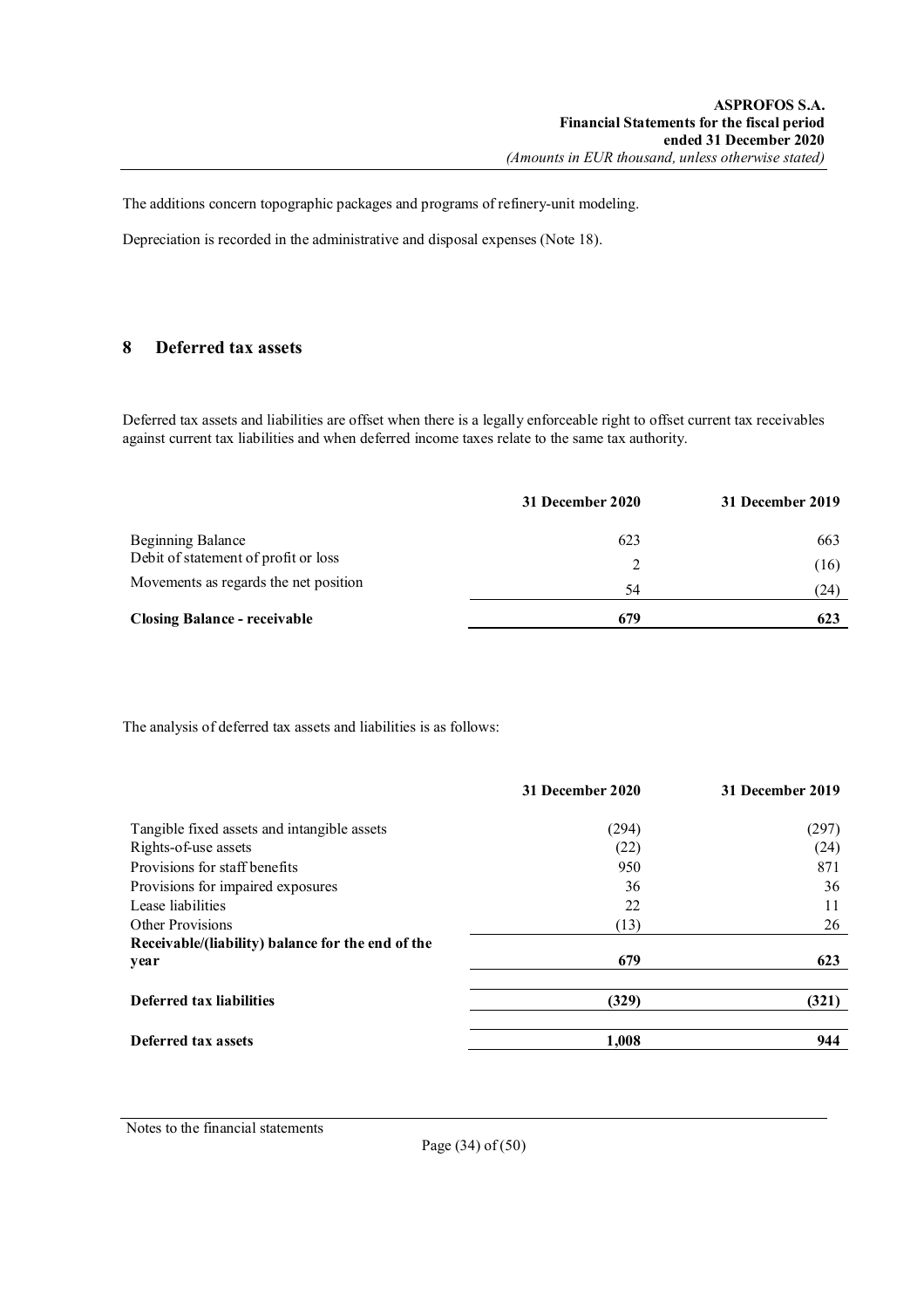The additions concern topographic packages and programs of refinery-unit modeling.

Depreciation is recorded in the administrative and disposal expenses (Note 18).

## **8 Deferred tax assets**

Deferred tax assets and liabilities are offset when there is a legally enforceable right to offset current tax receivables against current tax liabilities and when deferred income taxes relate to the same tax authority.

|                                       | 31 December 2020 | 31 December 2019 |
|---------------------------------------|------------------|------------------|
| <b>Beginning Balance</b>              | 623              | 663              |
| Debit of statement of profit or loss  |                  | (16)             |
| Movements as regards the net position | 54               | (24)             |
| <b>Closing Balance - receivable</b>   | 679              | 623              |

The analysis of deferred tax assets and liabilities is as follows:

|                                                           | 31 December 2020 | 31 December 2019 |
|-----------------------------------------------------------|------------------|------------------|
| Tangible fixed assets and intangible assets               | (294)            | (297)            |
| Rights-of-use assets                                      | (22)             | (24)             |
| Provisions for staff benefits                             | 950              | 871              |
| Provisions for impaired exposures                         | 36               | 36               |
| Lease liabilities                                         | 22               | 11               |
| Other Provisions                                          | (13)             | 26               |
| Receivable/(liability) balance for the end of the<br>year | 679              | 623              |
| Deferred tax liabilities                                  | (329)            | (321)            |
| Deferred tax assets                                       | 1,008            | 944              |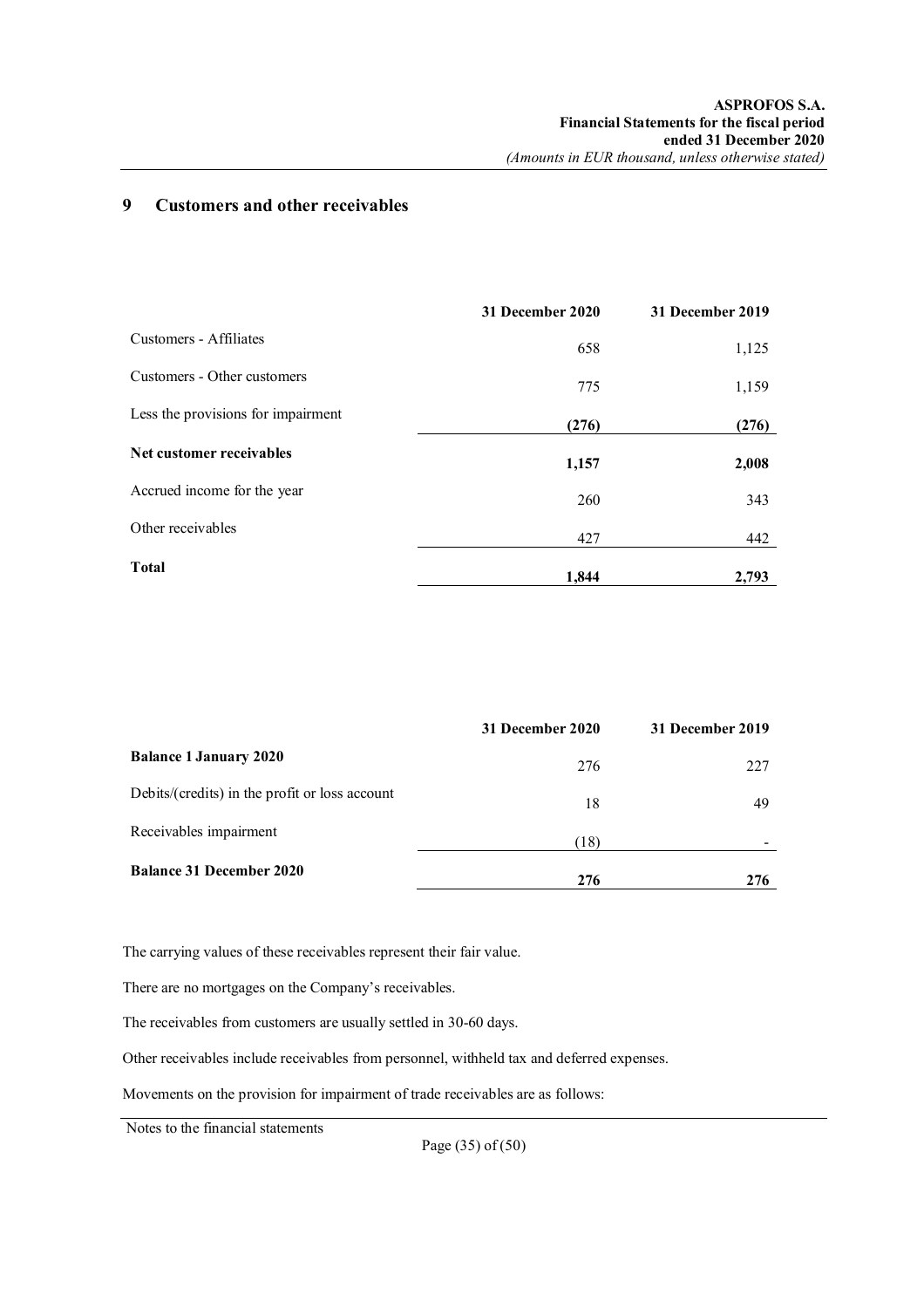## **9 Customers and other receivables**

|                                    | 31 December 2020 | 31 December 2019 |
|------------------------------------|------------------|------------------|
| Customers - Affiliates             | 658              | 1,125            |
| Customers - Other customers        | 775              | 1,159            |
| Less the provisions for impairment | (276)            | (276)            |
| Net customer receivables           | 1,157            | 2,008            |
| Accrued income for the year        | 260              | 343              |
| Other receivables                  | 427              | 442              |
| <b>Total</b>                       | 1,844            | 2,793            |

|                                                | 31 December 2020 | 31 December 2019 |
|------------------------------------------------|------------------|------------------|
| <b>Balance 1 January 2020</b>                  | 276              | 227              |
| Debits/(credits) in the profit or loss account | 18               | 49               |
| Receivables impairment                         | (18)             |                  |
| <b>Balance 31 December 2020</b>                | 276              | 276              |

The carrying values of these receivables represent their fair value.

There are no mortgages on the Company's receivables.

The receivables from customers are usually settled in 30-60 days.

Other receivables include receivables from personnel, withheld tax and deferred expenses.

Movements on the provision for impairment of trade receivables are as follows:

Notes to the financial statements

Page (35) of (50)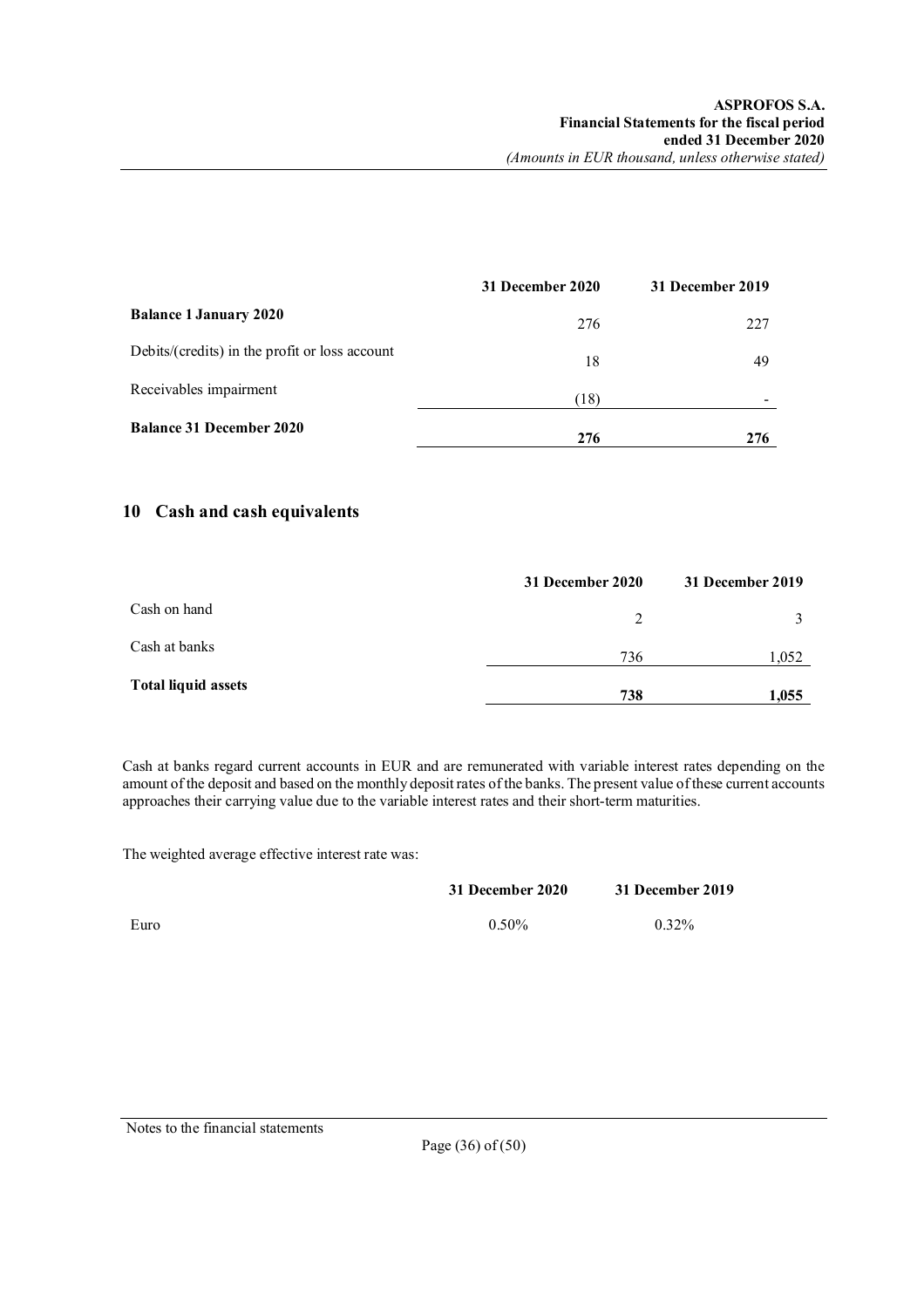|                                                | 31 December 2020 | 31 December 2019 |
|------------------------------------------------|------------------|------------------|
| <b>Balance 1 January 2020</b>                  | 276              | 227              |
| Debits/(credits) in the profit or loss account | 18               | 49               |
| Receivables impairment                         | (18)             |                  |
| <b>Balance 31 December 2020</b>                | 276              | 276              |

## **10 Cash and cash equivalents**

|                            | 31 December 2020 | 31 December 2019 |
|----------------------------|------------------|------------------|
| Cash on hand               | 2                |                  |
| Cash at banks              | 736              | 1,052            |
| <b>Total liquid assets</b> | 738              | 1,055            |

Cash at banks regard current accounts in EUR and are remunerated with variable interest rates depending on the amount of the deposit and based on the monthly deposit rates of the banks. The present value of these current accounts approaches their carrying value due to the variable interest rates and their short-term maturities.

The weighted average effective interest rate was:

|      | 31 December 2020 | 31 December 2019 |
|------|------------------|------------------|
| Euro | $0.50\%$         | $0.32\%$         |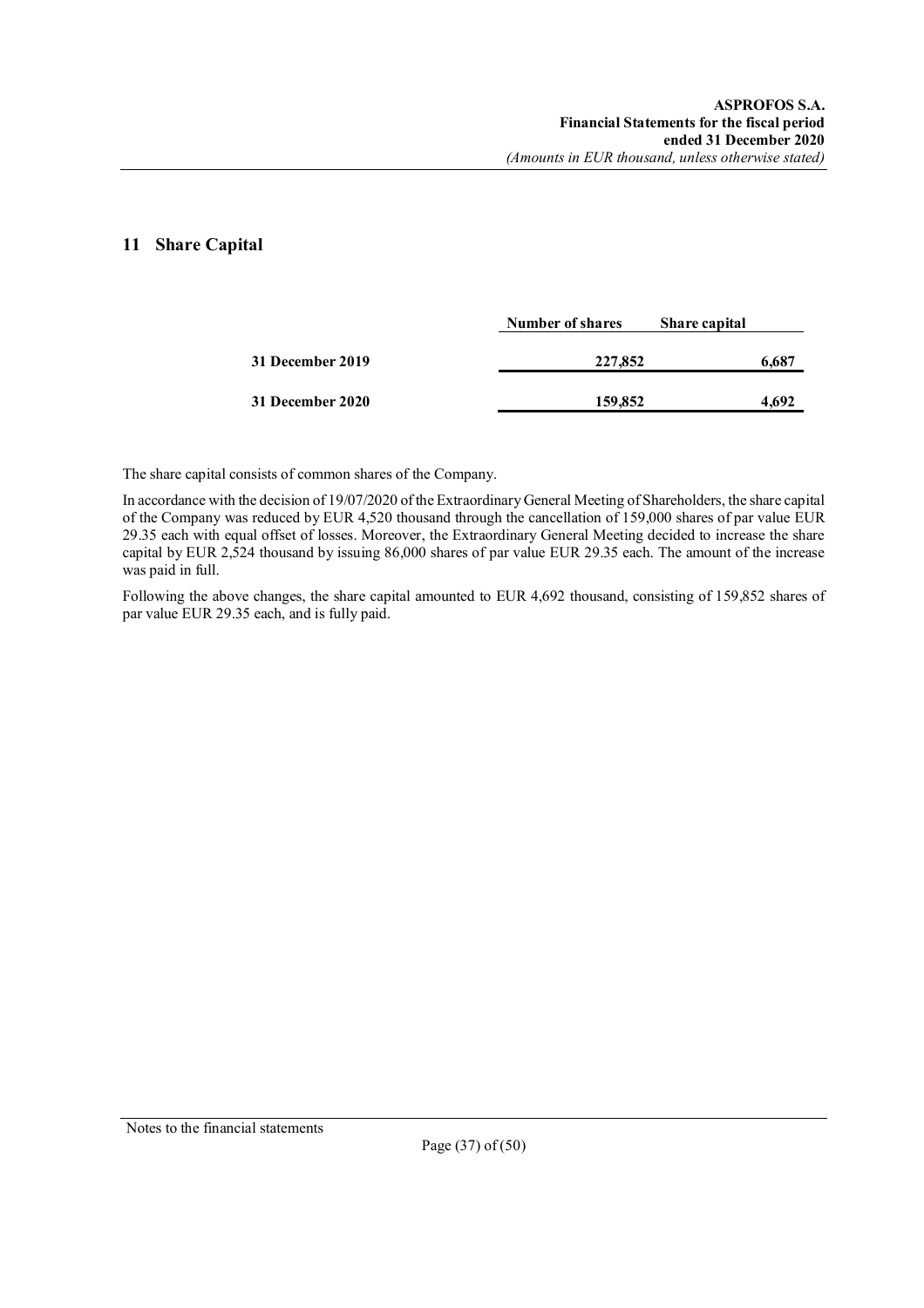## **11 Share Capital**

|                  | Number of shares | Share capital |       |
|------------------|------------------|---------------|-------|
| 31 December 2019 | 227,852          |               | 6,687 |
| 31 December 2020 | 159,852          |               | 4.692 |

The share capital consists of common shares of the Company.

In accordance with the decision of 19/07/2020 of the Extraordinary General Meeting of Shareholders, the share capital of the Company was reduced by EUR 4,520 thousand through the cancellation of 159,000 shares of par value EUR 29.35 each with equal offset of losses. Moreover, the Extraordinary General Meeting decided to increase the share capital by EUR 2,524 thousand by issuing 86,000 shares of par value EUR 29.35 each. The amount of the increase was paid in full.

Following the above changes, the share capital amounted to EUR 4,692 thousand, consisting of 159,852 shares of par value EUR 29.35 each, and is fully paid.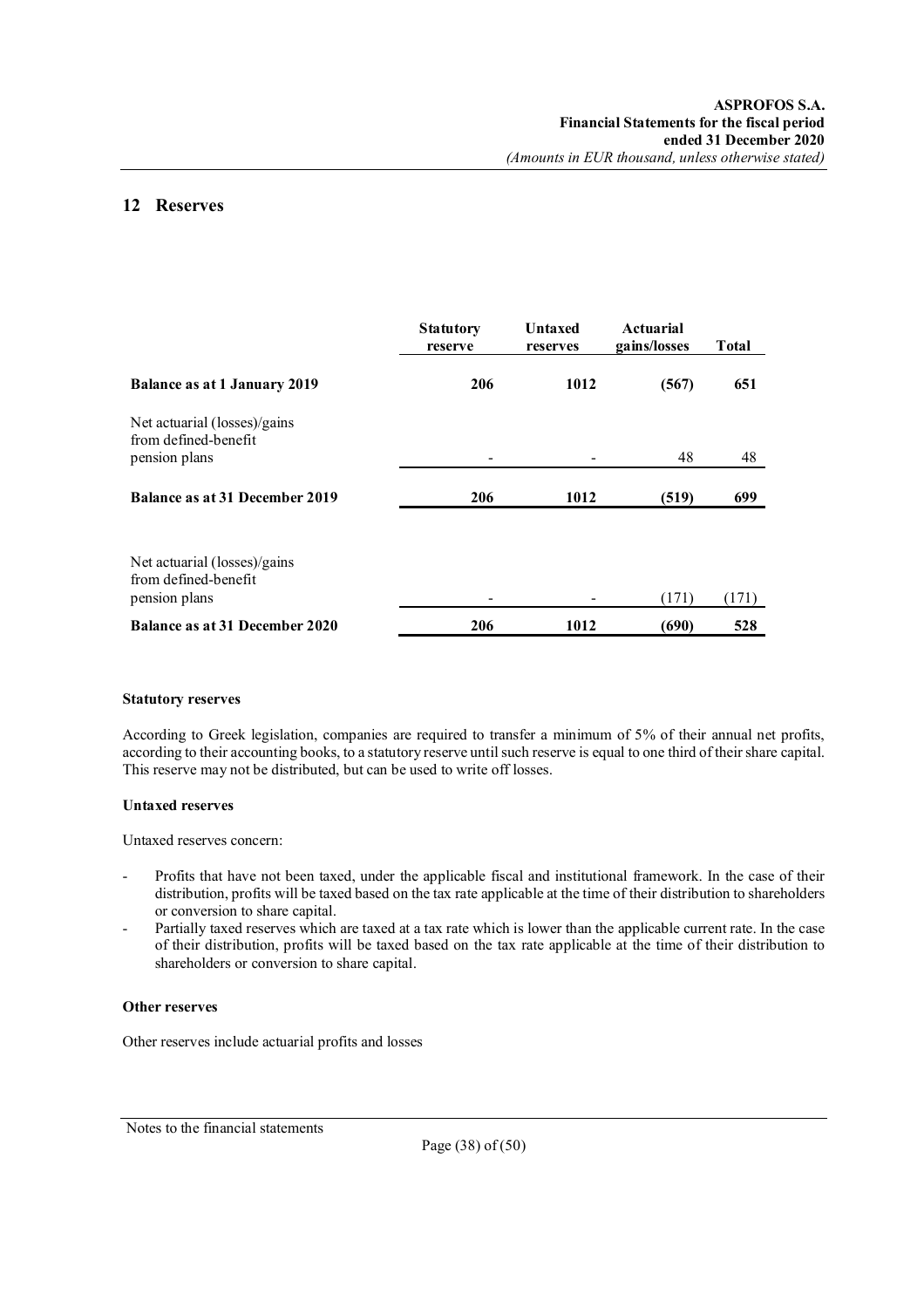## **12 Reserves**

|                                                                       | <b>Statutory</b><br>reserve | <b>Untaxed</b><br>reserves | <b>Actuarial</b><br>gains/losses | <b>Total</b> |
|-----------------------------------------------------------------------|-----------------------------|----------------------------|----------------------------------|--------------|
| <b>Balance as at 1 January 2019</b>                                   | 206                         | 1012                       | (567)                            | 651          |
| Net actuarial (losses)/gains<br>from defined-benefit<br>pension plans |                             |                            | 48                               | 48           |
| Balance as at 31 December 2019                                        | 206                         | 1012                       | (519)                            | 699          |
| Net actuarial (losses)/gains<br>from defined-benefit<br>pension plans |                             |                            | (171)                            | (171)        |
| Balance as at 31 December 2020                                        | 206                         | 1012                       | (690)                            | 528          |

### **Statutory reserves**

According to Greek legislation, companies are required to transfer a minimum of 5% of their annual net profits, according to their accounting books, to a statutory reserve until such reserve is equal to one third of their share capital. This reserve may not be distributed, but can be used to write off losses.

### **Untaxed reserves**

Untaxed reserves concern:

- Profits that have not been taxed, under the applicable fiscal and institutional framework. In the case of their distribution, profits will be taxed based on the tax rate applicable at the time of their distribution to shareholders or conversion to share capital.
- Partially taxed reserves which are taxed at a tax rate which is lower than the applicable current rate. In the case of their distribution, profits will be taxed based on the tax rate applicable at the time of their distribution to shareholders or conversion to share capital.

### **Other reserves**

Other reserves include actuarial profits and losses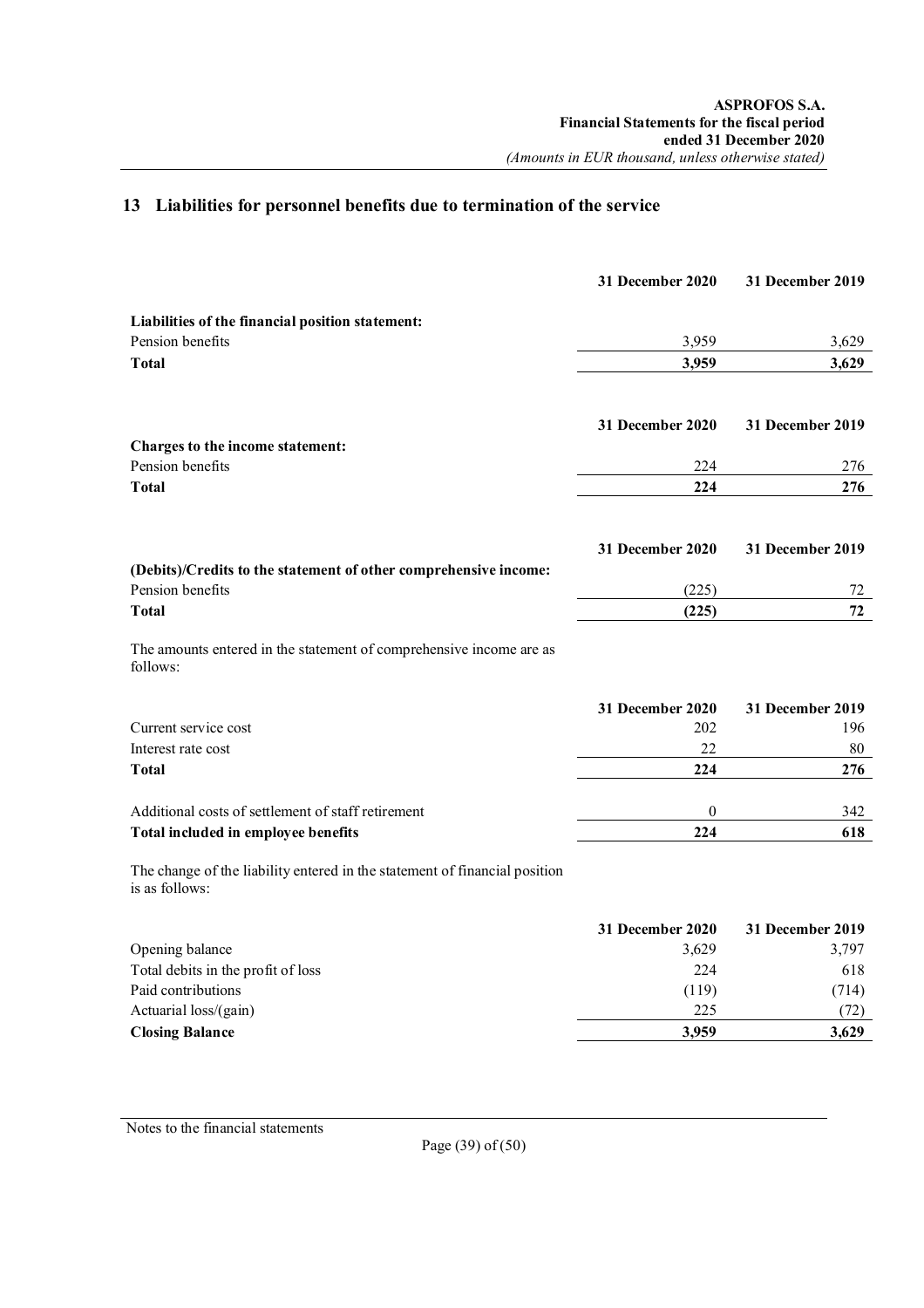## **13 Liabilities for personnel benefits due to termination of the service**

|                                                                                              | 31 December 2020 | 31 December 2019 |
|----------------------------------------------------------------------------------------------|------------------|------------------|
| Liabilities of the financial position statement:                                             |                  |                  |
| Pension benefits                                                                             | 3,959            | 3,629            |
| <b>Total</b>                                                                                 | 3,959            | 3,629            |
|                                                                                              | 31 December 2020 | 31 December 2019 |
| Charges to the income statement:                                                             |                  |                  |
| Pension benefits                                                                             | 224              | 276              |
| <b>Total</b>                                                                                 | 224              | 276              |
|                                                                                              | 31 December 2020 | 31 December 2019 |
| (Debits)/Credits to the statement of other comprehensive income:                             |                  |                  |
| Pension benefits                                                                             | (225)            | 72               |
| <b>Total</b>                                                                                 | (225)            | 72               |
| The amounts entered in the statement of comprehensive income are as<br>follows:              |                  |                  |
|                                                                                              | 31 December 2020 | 31 December 2019 |
| Current service cost                                                                         | 202              | 196              |
| Interest rate cost                                                                           | 22               | 80               |
| <b>Total</b>                                                                                 | 224              | 276              |
| Additional costs of settlement of staff retirement                                           | 0                | 342              |
| Total included in employee benefits                                                          | 224              | 618              |
| The change of the liability entered in the statement of financial position<br>is as follows: |                  |                  |
|                                                                                              | 31 December 2020 | 31 December 2019 |
| Opening balance                                                                              | 3,629            | 3,797            |
| Total debits in the profit of loss                                                           | 224              | 618              |

| <b>Closing Balance</b>             | 3.959 | 3.629 |
|------------------------------------|-------|-------|
| Actuarial loss/(gain)              | 225   | 72)   |
| Paid contributions                 | (119) | (714) |
| Total debits in the profit of loss | 224   | 618   |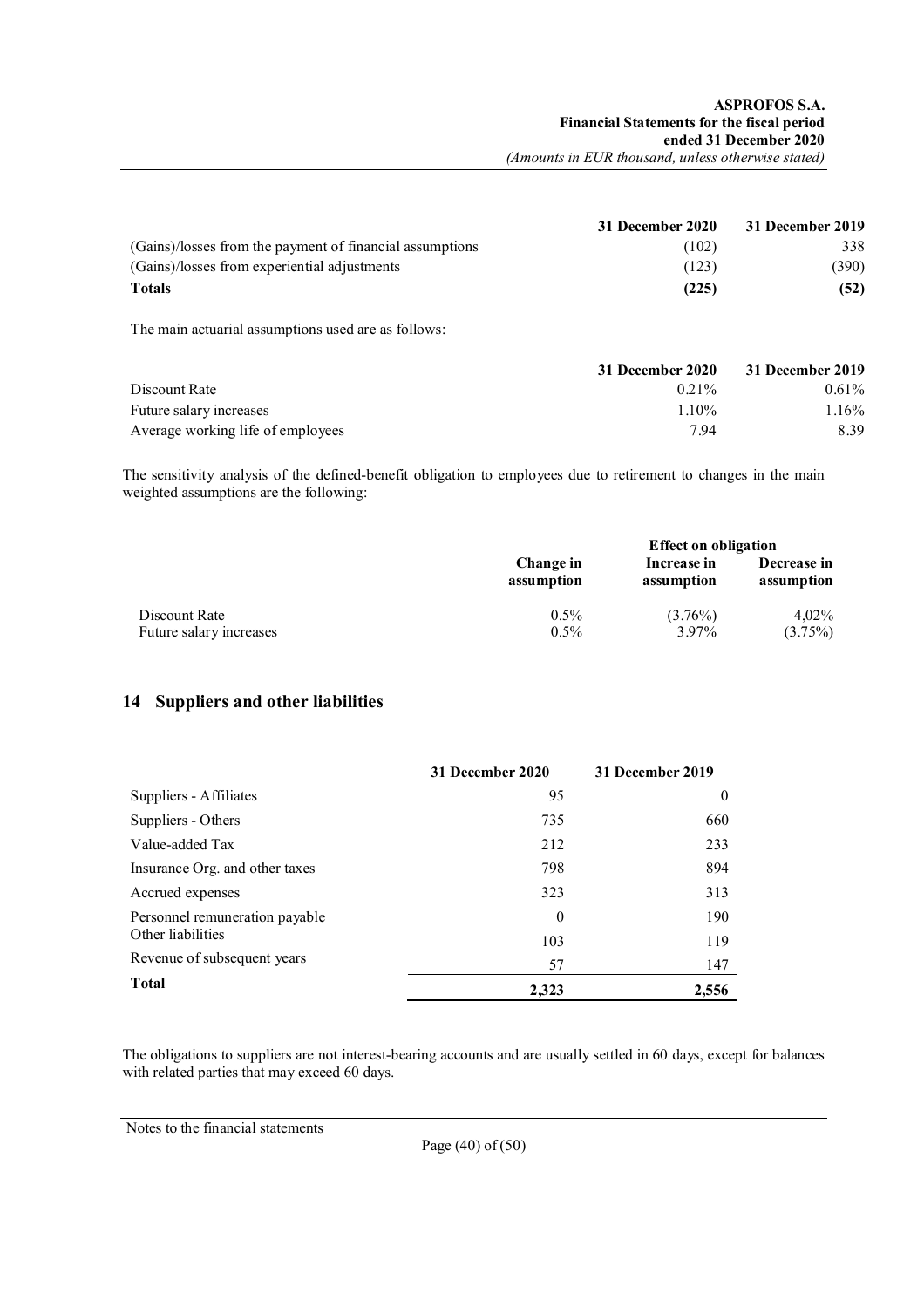|                                                          | 31 December 2020 | 31 December 2019 |
|----------------------------------------------------------|------------------|------------------|
| (Gains)/losses from the payment of financial assumptions | (102)            | 338              |
| (Gains)/losses from experiential adjustments             | (123)            | (390)            |
| <b>Totals</b>                                            | (225)            |                  |

The main actuarial assumptions used are as follows:

|                                   | 31 December 2020 | 31 December 2019 |
|-----------------------------------|------------------|------------------|
| Discount Rate                     | $0.21\%$         | $0.61\%$         |
| Future salary increases           | $1.10\%$         | 1.16%            |
| Average working life of employees | 794              | 8.39             |

The sensitivity analysis of the defined-benefit obligation to employees due to retirement to changes in the main weighted assumptions are the following:

|                         | <b>Effect on obligation</b> |             |             |
|-------------------------|-----------------------------|-------------|-------------|
|                         | Change in                   | Increase in | Decrease in |
|                         | assumption                  | assumption  | assumption  |
| Discount Rate           | $0.5\%$                     | $(3.76\%)$  | 4.02%       |
| Future salary increases | $0.5\%$                     | 3.97%       | (3.75%)     |

## **14 Suppliers and other liabilities**

|                                | 31 December 2020 | 31 December 2019 |
|--------------------------------|------------------|------------------|
| Suppliers - Affiliates         | 95               | $\theta$         |
| Suppliers - Others             | 735              | 660              |
| Value-added Tax                | 212              | 233              |
| Insurance Org. and other taxes | 798              | 894              |
| Accrued expenses               | 323              | 313              |
| Personnel remuneration payable | $\theta$         | 190              |
| Other liabilities              | 103              | 119              |
| Revenue of subsequent years    | 57               | 147              |
| Total                          | 2.323            | 2,556            |

The obligations to suppliers are not interest-bearing accounts and are usually settled in 60 days, except for balances with related parties that may exceed 60 days.

Notes to the financial statements

Page (40) of (50)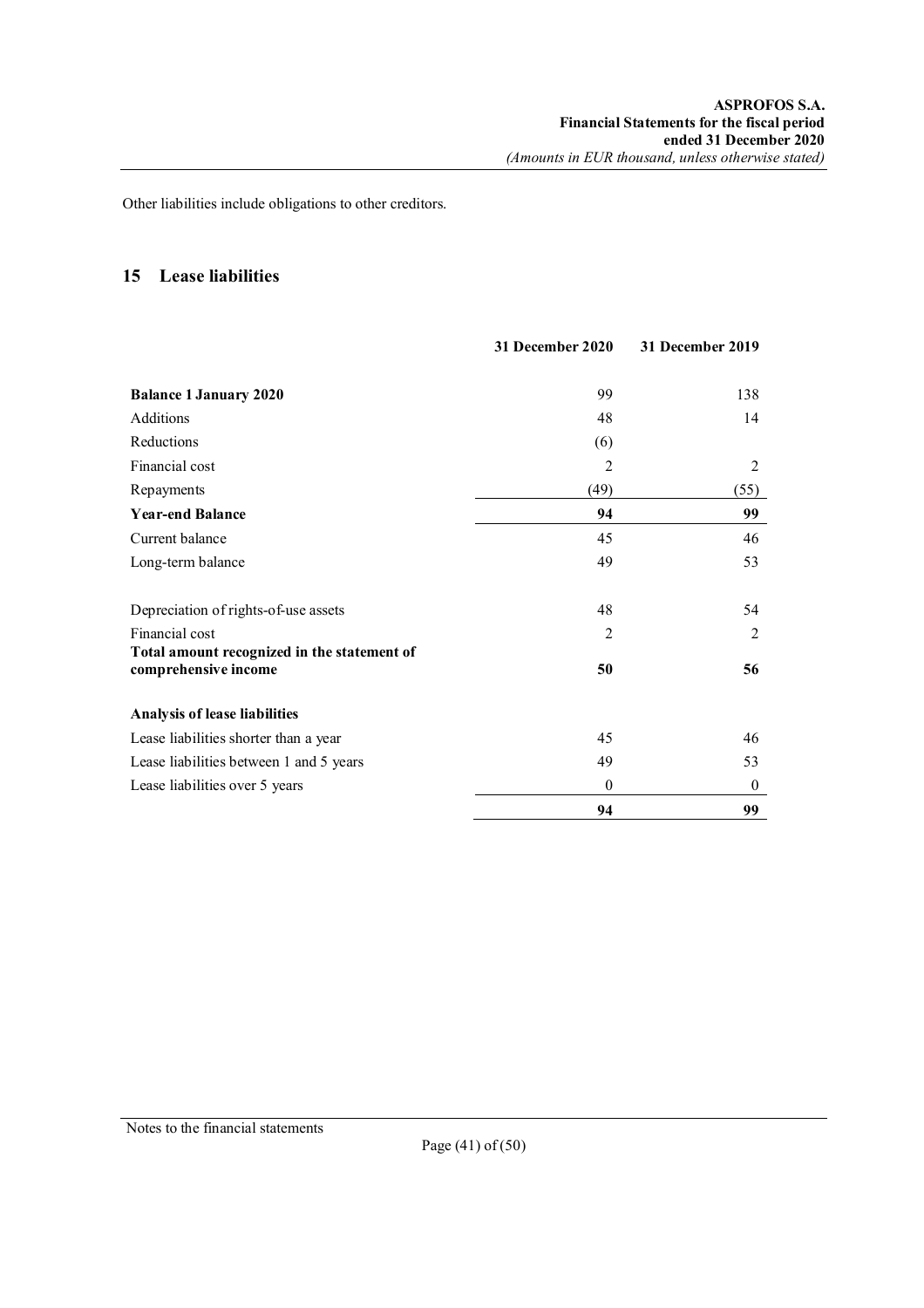Other liabilities include obligations to other creditors.

## **15 Lease liabilities**

|                                                                     | 31 December 2020 | 31 December 2019 |
|---------------------------------------------------------------------|------------------|------------------|
| <b>Balance 1 January 2020</b>                                       | 99               | 138              |
| Additions                                                           | 48               | 14               |
| Reductions                                                          | (6)              |                  |
| Financial cost                                                      | 2                | 2                |
| Repayments                                                          | (49)             | (55)             |
| <b>Year-end Balance</b>                                             | 94               | 99               |
| Current balance                                                     | 45               | 46               |
| Long-term balance                                                   | 49               | 53               |
| Depreciation of rights-of-use assets                                | 48               | 54               |
| Financial cost                                                      | $\overline{2}$   | 2                |
| Total amount recognized in the statement of<br>comprehensive income | 50               | 56               |
| <b>Analysis of lease liabilities</b>                                |                  |                  |
| Lease liabilities shorter than a year                               | 45               | 46               |
| Lease liabilities between 1 and 5 years                             | 49               | 53               |
| Lease liabilities over 5 years                                      | $\theta$         | $\boldsymbol{0}$ |
|                                                                     | 94               | 99               |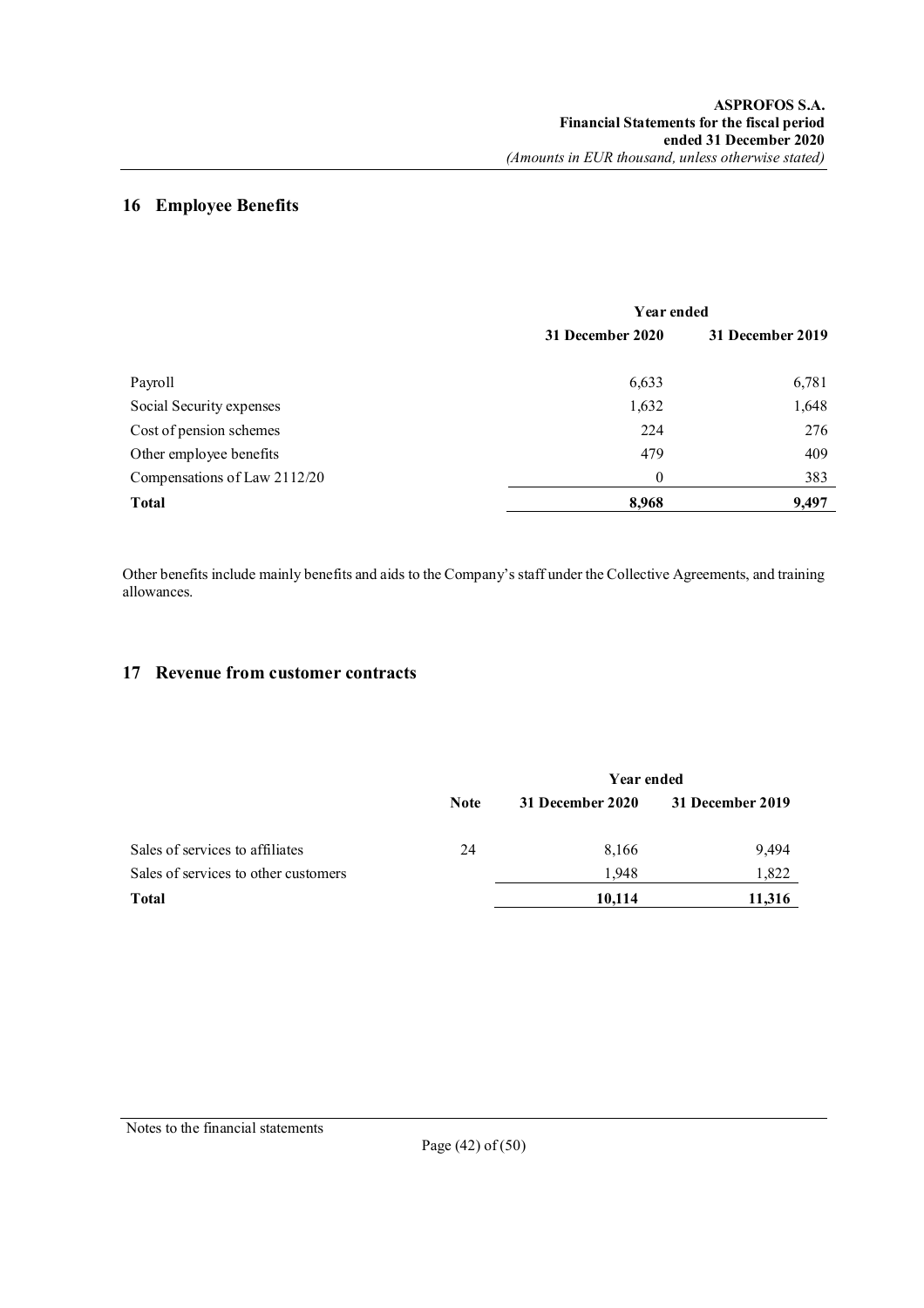## **16 Employee Benefits**

|                              | Year ended       |                  |
|------------------------------|------------------|------------------|
|                              | 31 December 2020 | 31 December 2019 |
| Payroll                      | 6,633            | 6,781            |
| Social Security expenses     | 1,632            | 1,648            |
| Cost of pension schemes      | 224              | 276              |
| Other employee benefits      | 479              | 409              |
| Compensations of Law 2112/20 | $\theta$         | 383              |
| <b>Total</b>                 | 8,968            | 9,497            |

Other benefits include mainly benefits and aids to the Company's staff under the Collective Agreements, and training allowances.

## **17 Revenue from customer contracts**

|                                      | Year ended  |                  |                  |
|--------------------------------------|-------------|------------------|------------------|
|                                      | <b>Note</b> | 31 December 2020 | 31 December 2019 |
| Sales of services to affiliates      | 24          | 8,166            | 9,494            |
| Sales of services to other customers |             | 1.948            | 1,822            |
| <b>Total</b>                         |             | 10,114           | 11,316           |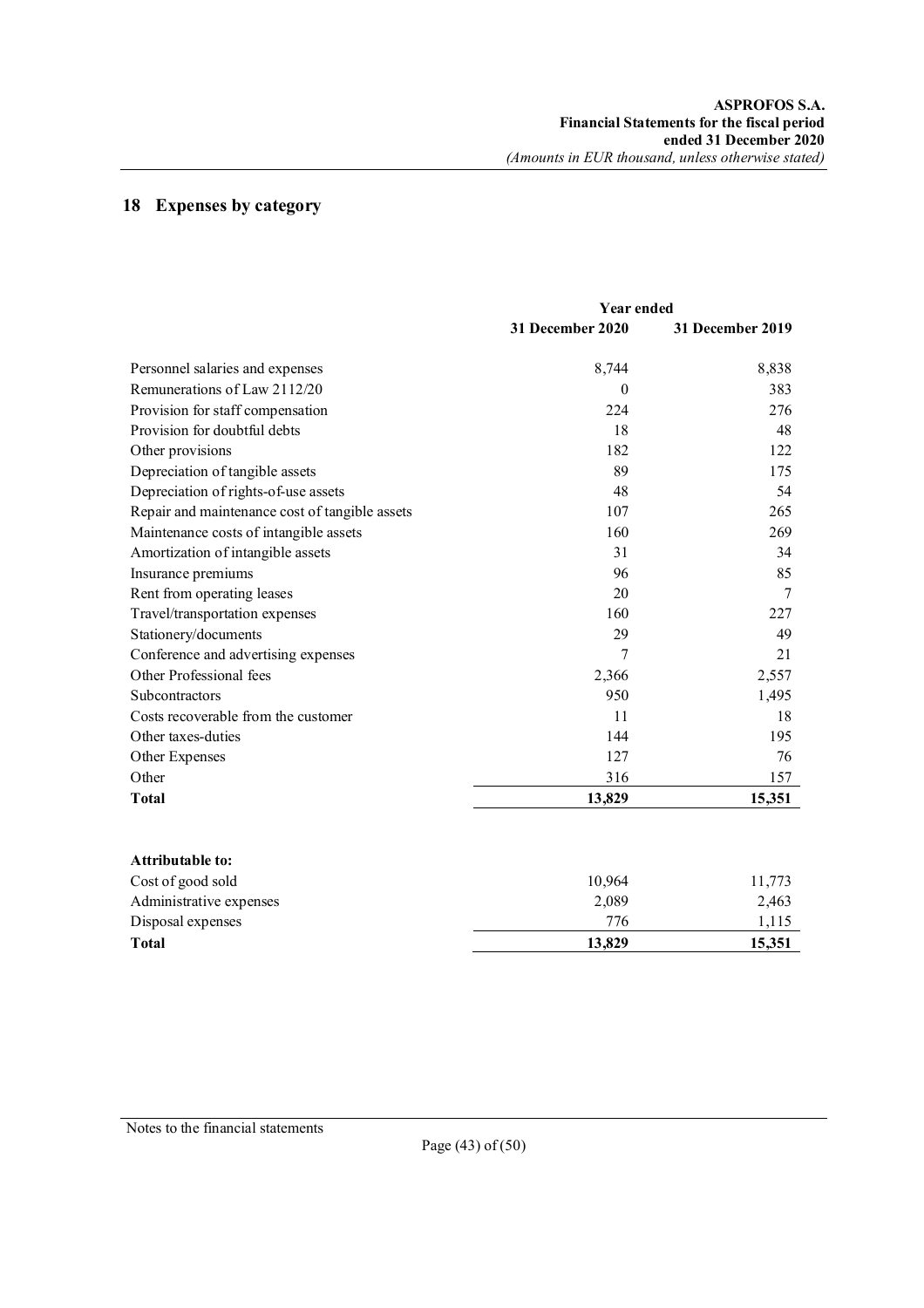## **18 Expenses by category**

|                                                | <b>Year ended</b> |                  |
|------------------------------------------------|-------------------|------------------|
|                                                | 31 December 2020  | 31 December 2019 |
| Personnel salaries and expenses                | 8,744             | 8,838            |
| Remunerations of Law 2112/20                   | $\theta$          | 383              |
| Provision for staff compensation               | 224               | 276              |
| Provision for doubtful debts                   | 18                | 48               |
| Other provisions                               | 182               | 122              |
| Depreciation of tangible assets                | 89                | 175              |
| Depreciation of rights-of-use assets           | 48                | 54               |
| Repair and maintenance cost of tangible assets | 107               | 265              |
| Maintenance costs of intangible assets         | 160               | 269              |
| Amortization of intangible assets              | 31                | 34               |
| Insurance premiums                             | 96                | 85               |
| Rent from operating leases                     | 20                | 7                |
| Travel/transportation expenses                 | 160               | 227              |
| Stationery/documents                           | 29                | 49               |
| Conference and advertising expenses            | 7                 | 21               |
| Other Professional fees                        | 2,366             | 2,557            |
| Subcontractors                                 | 950               | 1,495            |
| Costs recoverable from the customer            | 11                | 18               |
| Other taxes-duties                             | 144               | 195              |
| Other Expenses                                 | 127               | 76               |
| Other                                          | 316               | 157              |
| <b>Total</b>                                   | 13,829            | 15,351           |
| Attributable to:                               |                   |                  |

| <b>Total</b>            | 13,829 | 15,351 |
|-------------------------|--------|--------|
| Disposal expenses       | 776    | .115   |
| Administrative expenses | 2.089  | 2,463  |
| Cost of good sold       | 10.964 | 11.773 |
| .                       |        |        |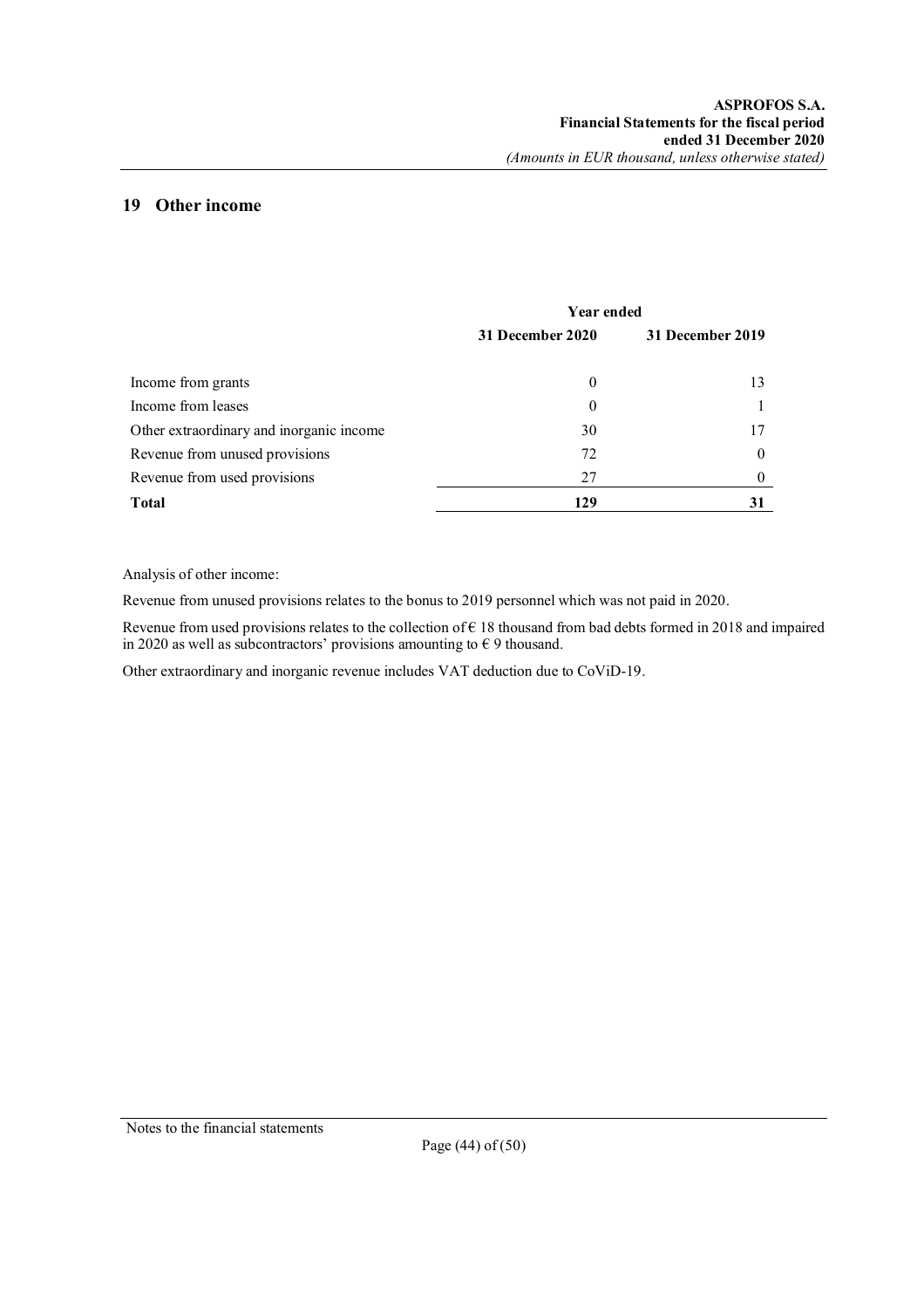## **19 Other income**

|                                          | <b>Year ended</b> |                  |
|------------------------------------------|-------------------|------------------|
|                                          | 31 December 2020  | 31 December 2019 |
| Income from grants                       | $\bf{0}$          | 13               |
| Income from leases                       | $\theta$          |                  |
| Other extraordinary and inorganic income | 30                | 17               |
| Revenue from unused provisions           | 72                | $\theta$         |
| Revenue from used provisions             | 27                |                  |
| <b>Total</b>                             | 129               | 31               |

Analysis of other income:

Revenue from unused provisions relates to the bonus to 2019 personnel which was not paid in 2020.

Revenue from used provisions relates to the collection of  $\epsilon$  18 thousand from bad debts formed in 2018 and impaired in 2020 as well as subcontractors' provisions amounting to  $\epsilon$  9 thousand.

Other extraordinary and inorganic revenue includes VAT deduction due to CoViD-19.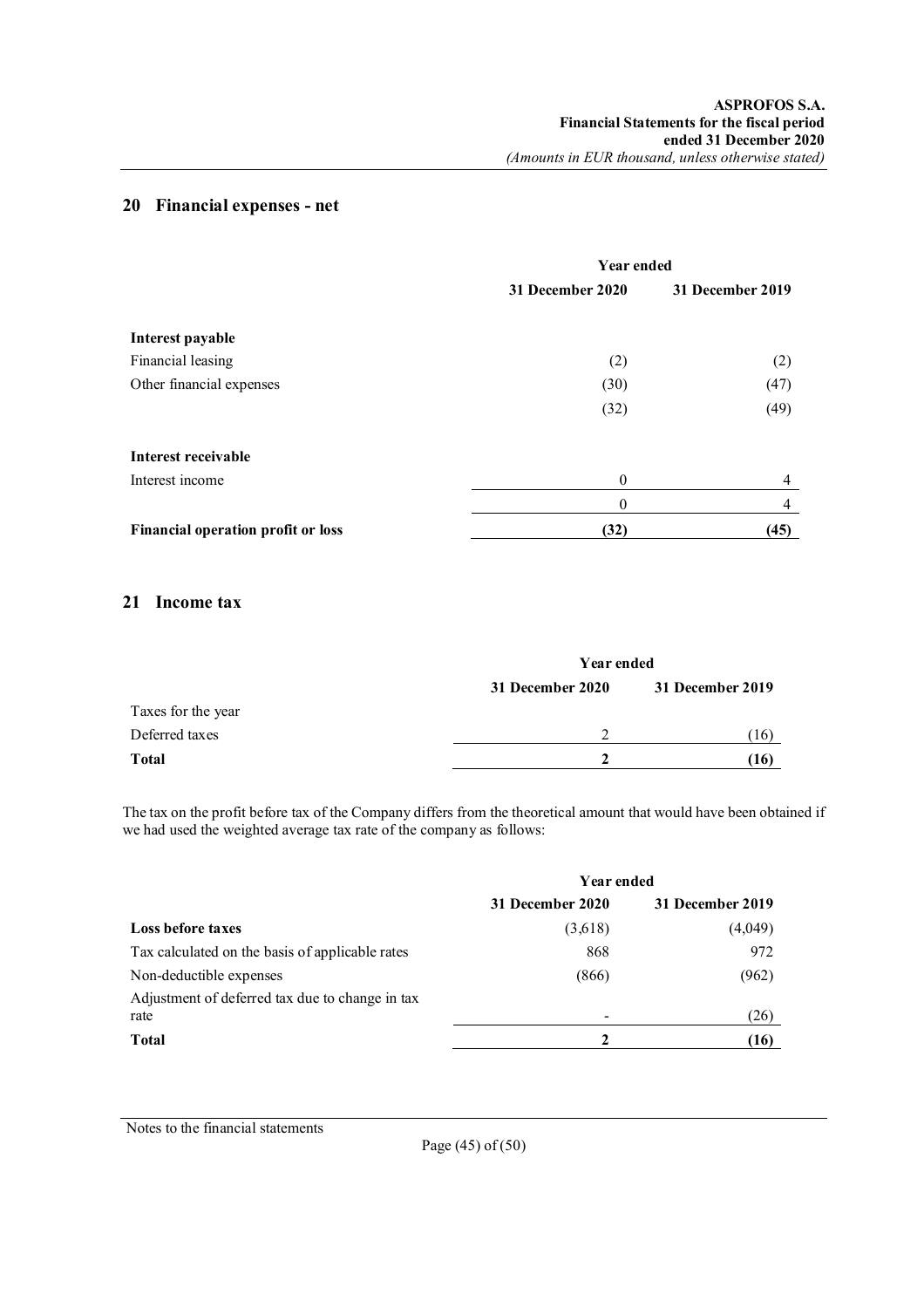## **20 Financial expenses - net**

|                                           | <b>Year ended</b> |                  |
|-------------------------------------------|-------------------|------------------|
|                                           | 31 December 2020  | 31 December 2019 |
| Interest payable                          |                   |                  |
| Financial leasing                         | (2)               | (2)              |
| Other financial expenses                  | (30)              | (47)             |
|                                           | (32)              | (49)             |
| Interest receivable                       |                   |                  |
| Interest income                           | $\theta$          | 4                |
|                                           | $\theta$          | 4                |
| <b>Financial operation profit or loss</b> | (32)              | (45)             |

## **21 Income tax**

|                    | Year ended       |                  |
|--------------------|------------------|------------------|
|                    | 31 December 2020 | 31 December 2019 |
| Taxes for the year |                  |                  |
| Deferred taxes     | C                | <sup>16</sup>    |
| <b>Total</b>       |                  | [16]             |

The tax on the profit before tax of the Company differs from the theoretical amount that would have been obtained if we had used the weighted average tax rate of the company as follows:

|                                                         | <b>Year ended</b> |                  |
|---------------------------------------------------------|-------------------|------------------|
|                                                         | 31 December 2020  | 31 December 2019 |
| Loss before taxes                                       | (3,618)           | (4,049)          |
| Tax calculated on the basis of applicable rates         | 868               | 972              |
| Non-deductible expenses                                 | (866)             | (962)            |
| Adjustment of deferred tax due to change in tax<br>rate |                   | (26)             |
| <b>Total</b>                                            |                   | (16)             |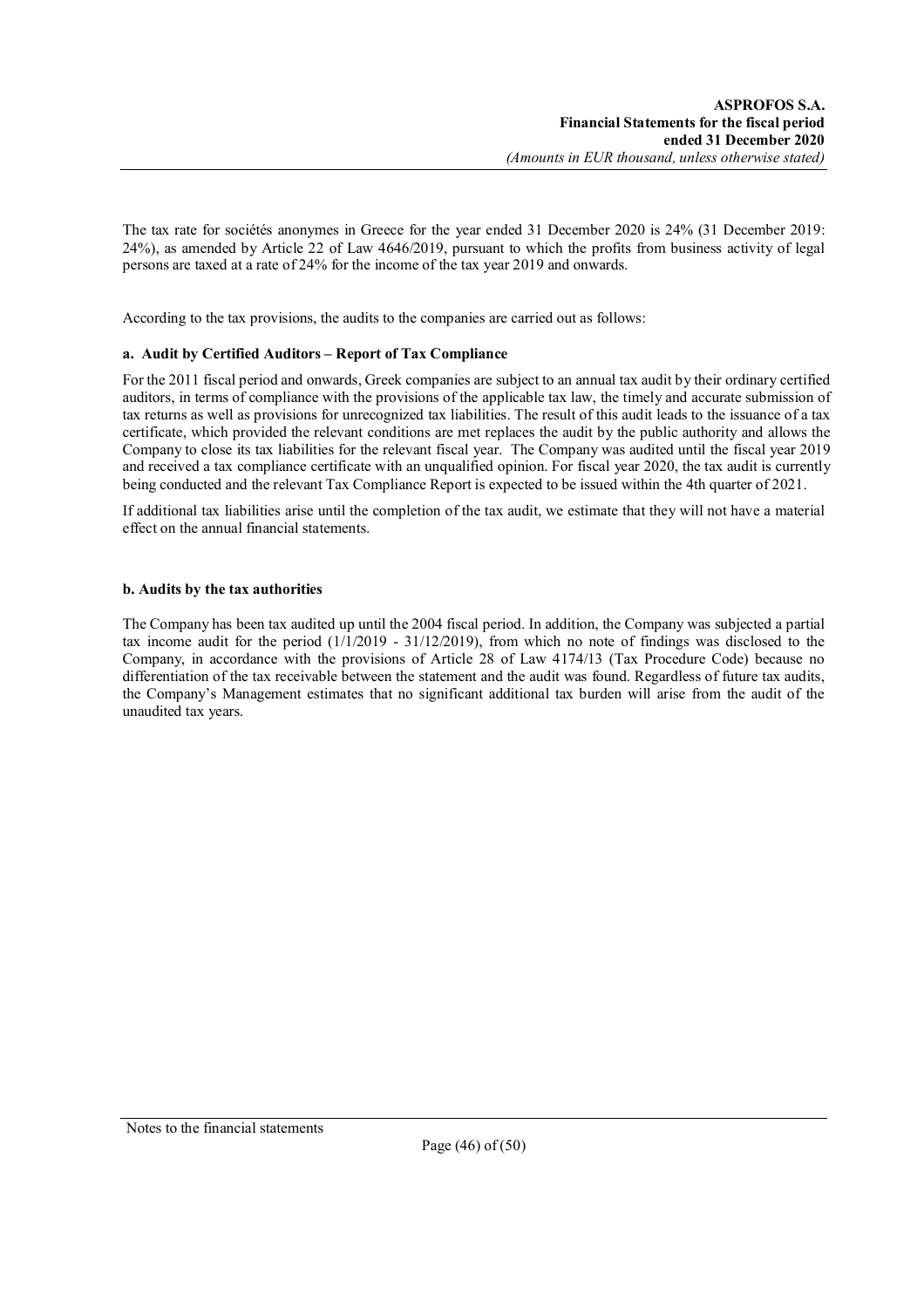The tax rate for sociétés anonymes in Greece for the year ended 31 December 2020 is 24% (31 December 2019: 24%), as amended by Article 22 of Law 4646/2019, pursuant to which the profits from business activity of legal persons are taxed at a rate of 24% for the income of the tax year 2019 and onwards.

According to the tax provisions, the audits to the companies are carried out as follows:

### **a. Audit by Certified Auditors – Report of Tax Compliance**

For the 2011 fiscal period and onwards, Greek companies are subject to an annual tax audit by their ordinary certified auditors, in terms of compliance with the provisions of the applicable tax law, the timely and accurate submission of tax returns as well as provisions for unrecognized tax liabilities. The result of this audit leads to the issuance of a tax certificate, which provided the relevant conditions are met replaces the audit by the public authority and allows the Company to close its tax liabilities for the relevant fiscal year. The Company was audited until the fiscal year 2019 and received a tax compliance certificate with an unqualified opinion. For fiscal year 2020, the tax audit is currently being conducted and the relevant Tax Compliance Report is expected to be issued within the 4th quarter of 2021.

If additional tax liabilities arise until the completion of the tax audit, we estimate that they will not have a material effect on the annual financial statements.

### **b. Audits by the tax authorities**

The Company has been tax audited up until the 2004 fiscal period. In addition, the Company was subjected a partial tax income audit for the period (1/1/2019 - 31/12/2019), from which no note of findings was disclosed to the Company, in accordance with the provisions of Article 28 of Law 4174/13 (Tax Procedure Code) because no differentiation of the tax receivable between the statement and the audit was found. Regardless of future tax audits, the Company's Management estimates that no significant additional tax burden will arise from the audit of the unaudited tax years.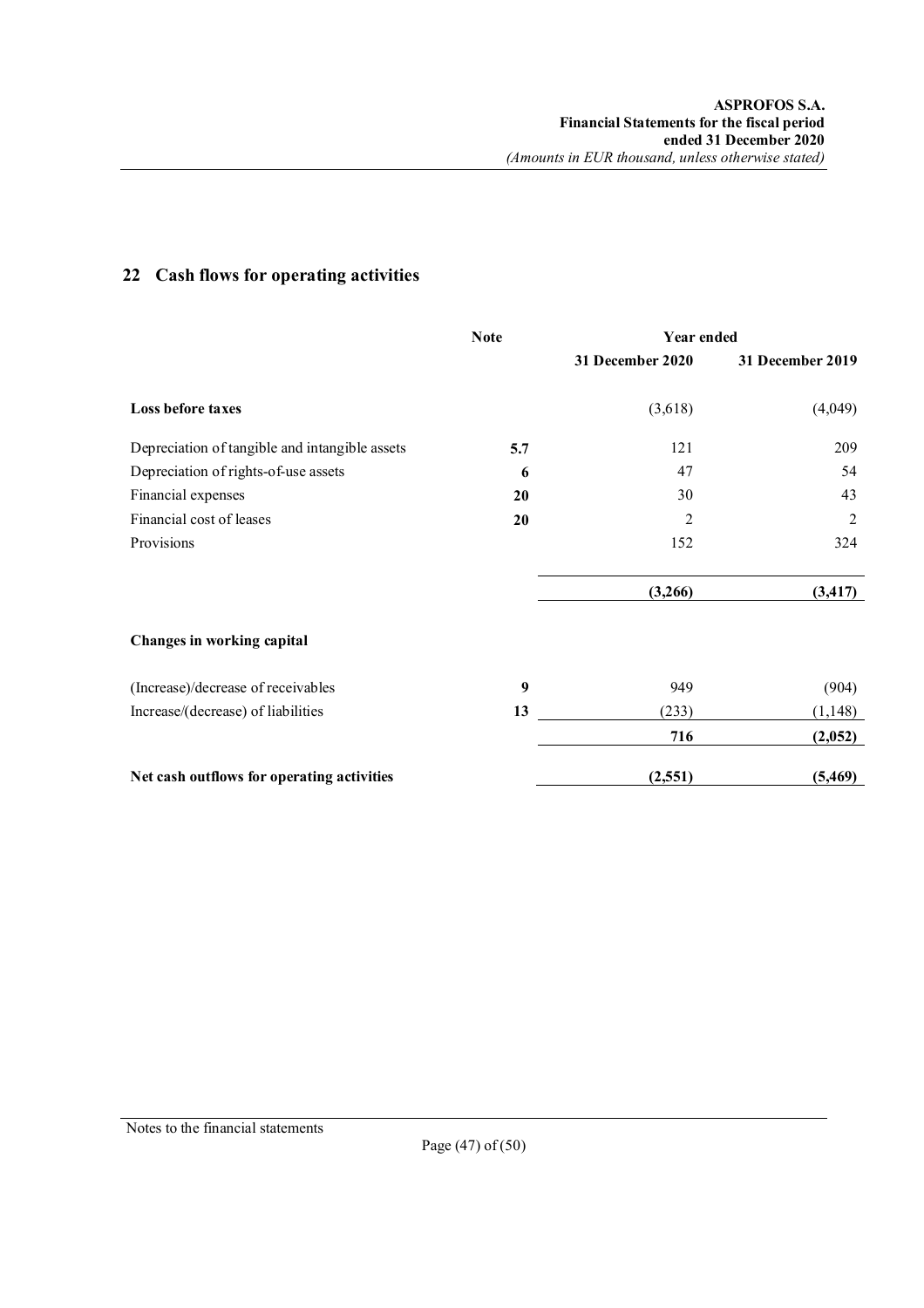|                                                | <b>Note</b> | Year ended       |                  |
|------------------------------------------------|-------------|------------------|------------------|
|                                                |             | 31 December 2020 | 31 December 2019 |
| Loss before taxes                              |             | (3,618)          | (4,049)          |
| Depreciation of tangible and intangible assets | 5.7         | 121              | 209              |
| Depreciation of rights-of-use assets           | 6           | 47               | 54               |
| Financial expenses                             | 20          | 30               | 43               |
| Financial cost of leases                       | 20          | $\overline{2}$   | 2                |
| Provisions                                     |             | 152              | 324              |
|                                                |             | (3,266)          | (3, 417)         |
| Changes in working capital                     |             |                  |                  |
| (Increase)/decrease of receivables             | 9           | 949              | (904)            |
| Increase/(decrease) of liabilities             | 13          | (233)            | (1,148)          |
|                                                |             | 716              | (2,052)          |
| Net cash outflows for operating activities     |             | (2,551)          | (5,469)          |

## **22 Cash flows for operating activities**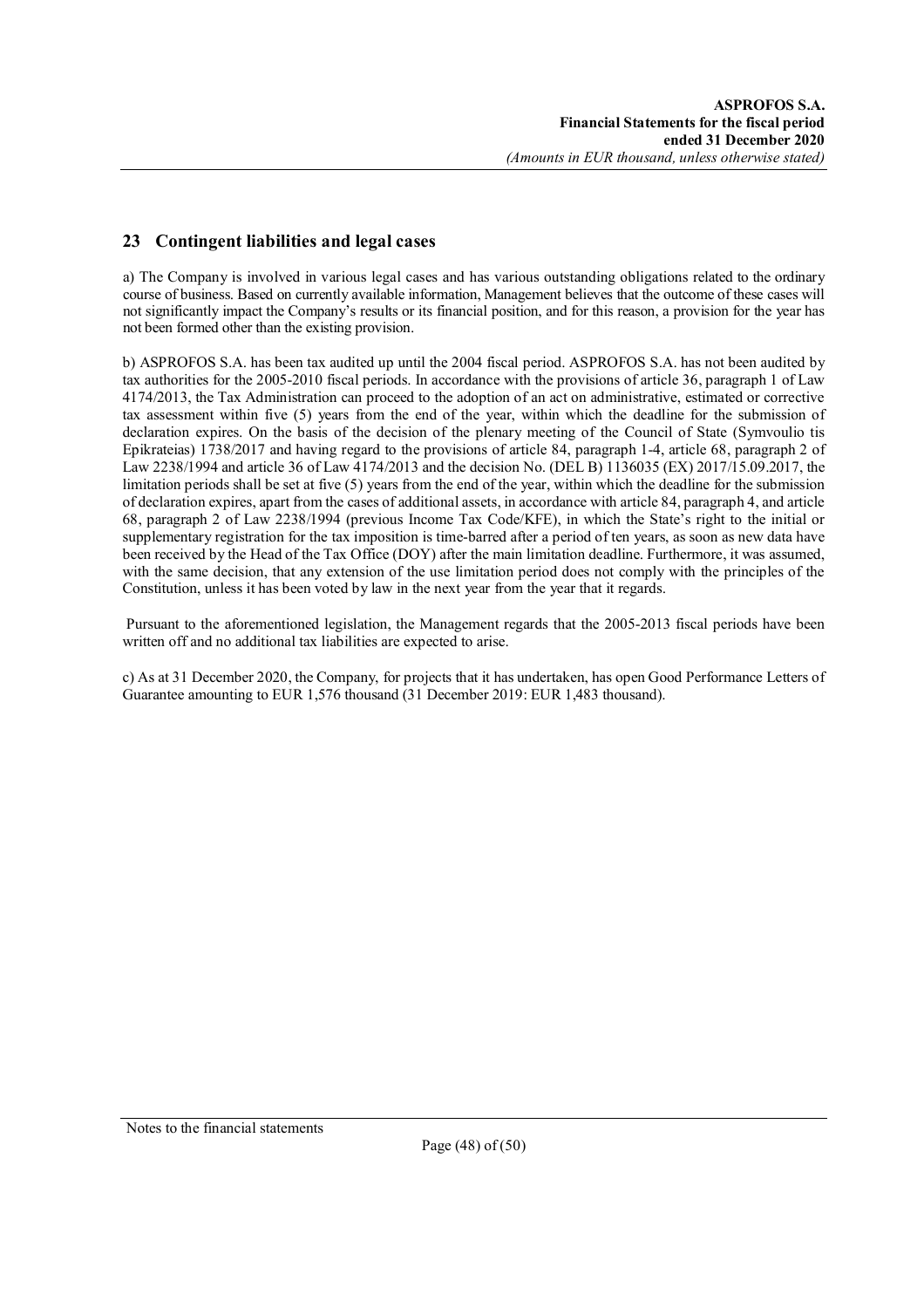## **23 Contingent liabilities and legal cases**

a) The Company is involved in various legal cases and has various outstanding obligations related to the ordinary course of business. Based on currently available information, Management believes that the outcome of these cases will not significantly impact the Company's results or its financial position, and for this reason, a provision for the year has not been formed other than the existing provision.

b) ASPROFOS S.A. has been tax audited up until the 2004 fiscal period. ASPROFOS S.A. has not been audited by tax authorities for the 2005-2010 fiscal periods. In accordance with the provisions of article 36, paragraph 1 of Law 4174/2013, the Tax Administration can proceed to the adoption of an act on administrative, estimated or corrective tax assessment within five (5) years from the end of the year, within which the deadline for the submission of declaration expires. On the basis of the decision of the plenary meeting of the Council of State (Symvoulio tis Epikrateias) 1738/2017 and having regard to the provisions of article 84, paragraph 1-4, article 68, paragraph 2 of Law 2238/1994 and article 36 of Law 4174/2013 and the decision No. (DEL B) 1136035 (EX) 2017/15.09.2017, the limitation periods shall be set at five (5) years from the end of the year, within which the deadline for the submission of declaration expires, apart from the cases of additional assets, in accordance with article 84, paragraph 4, and article 68, paragraph 2 of Law 2238/1994 (previous Income Tax Code/KFE), in which the State's right to the initial or supplementary registration for the tax imposition is time-barred after a period of ten years, as soon as new data have been received by the Head of the Tax Office (DOY) after the main limitation deadline. Furthermore, it was assumed, with the same decision, that any extension of the use limitation period does not comply with the principles of the Constitution, unless it has been voted by law in the next year from the year that it regards.

Pursuant to the aforementioned legislation, the Management regards that the 2005-2013 fiscal periods have been written off and no additional tax liabilities are expected to arise.

c) As at 31 December 2020, the Company, for projects that it has undertaken, has open Good Performance Letters of Guarantee amounting to EUR 1,576 thousand (31 December 2019: EUR 1,483 thousand).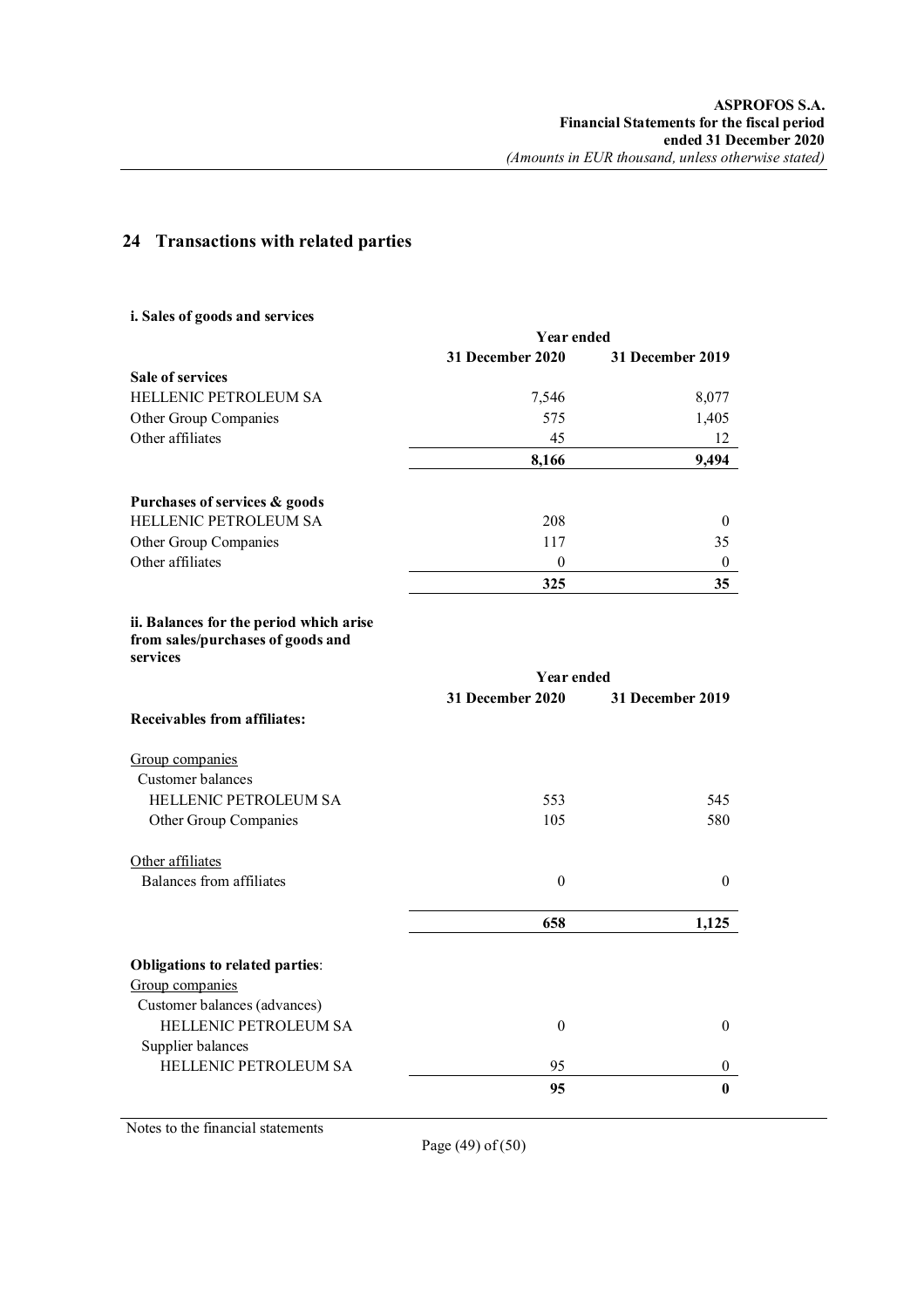## **24 Transactions with related parties**

## **i. Sales of goods and services**

|                                                                                          | <b>Year ended</b> |                  |  |
|------------------------------------------------------------------------------------------|-------------------|------------------|--|
|                                                                                          | 31 December 2020  | 31 December 2019 |  |
| Sale of services                                                                         |                   |                  |  |
| HELLENIC PETROLEUM SA                                                                    | 7,546             | 8,077            |  |
| Other Group Companies                                                                    | 575               | 1,405            |  |
| Other affiliates                                                                         | 45                | 12               |  |
|                                                                                          | 8,166             | 9,494            |  |
| Purchases of services & goods                                                            |                   |                  |  |
| HELLENIC PETROLEUM SA                                                                    | 208               | 0                |  |
| Other Group Companies                                                                    | 117               | 35               |  |
| Other affiliates                                                                         | $\theta$          | $\boldsymbol{0}$ |  |
|                                                                                          | 325               | 35               |  |
| ii. Balances for the period which arise<br>from sales/purchases of goods and<br>services |                   |                  |  |
|                                                                                          | <b>Year ended</b> |                  |  |
|                                                                                          | 31 December 2020  | 31 December 2019 |  |
| <b>Receivables from affiliates:</b>                                                      |                   |                  |  |
| Group companies                                                                          |                   |                  |  |
| Customer balances                                                                        |                   |                  |  |
| HELLENIC PETROLEUM SA                                                                    | 553               | 545              |  |
| Other Group Companies                                                                    | 105               | 580              |  |
| Other affiliates                                                                         |                   |                  |  |
| <b>Balances from affiliates</b>                                                          | $\mathbf{0}$      | $\boldsymbol{0}$ |  |
|                                                                                          | 658               | 1,125            |  |
|                                                                                          |                   |                  |  |
| Obligations to related parties:<br>Group companies                                       |                   |                  |  |
| Customer balances (advances)                                                             |                   |                  |  |
| HELLENIC PETROLEUM SA                                                                    | $\theta$          | $\theta$         |  |
|                                                                                          |                   |                  |  |
| Supplier balances<br><b>HELLENIC PETROLEUM SA</b>                                        | 95                | 0                |  |
|                                                                                          | 95                | $\bf{0}$         |  |
|                                                                                          |                   |                  |  |

Notes to the financial statements

Page (49) of (50)